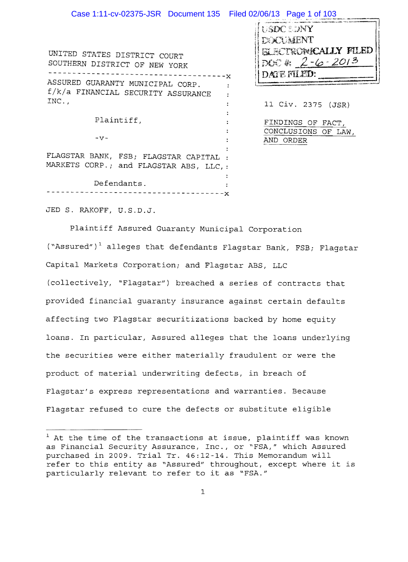| Case 1:11-cv-02375-JSR Document 135 Filed 02/06/13 Page 1 of 103                   |                                                                        |
|------------------------------------------------------------------------------------|------------------------------------------------------------------------|
| UNITED STATES DISTRICT COURT<br>SOUTHERN DISTRICT OF NEW YORK                      | USDC SONY<br>DEXUMENT<br><b>ELECTROWICALLY FILED</b><br>DOC & 2-6-2013 |
| ASSURED GUARANTY MUNICIPAL CORP.<br>f/k/a FINANCIAL SECURITY ASSURANCE<br>$INC.$ , | DATE FILED:<br>11 Civ. 2375 (JSR)                                      |
| Plaintiff,<br>$-V -$                                                               | FINDINGS OF FACT,<br>CONCLUSIONS OF LAW,                               |
| FLAGSTAR BANK, FSB; FLAGSTAR CAPITAL :<br>MARKETS CORP.; and FLAGSTAR ABS, LLC, :  | AND ORDER                                                              |
| Defendants.                                                                        |                                                                        |

JED S. RAKOFF, U.S.D.J.

---x

Plaintiff Assured Guaranty Municipal Corporation ("Assured")<sup>1</sup> alleges that defendants Flagstar Bank, FSB; Flagstar Capital Markets Corporation; and Flagstar ABS, LLC (collectively, "Flagstar") breached a series of contracts that provided financial guaranty insurance against certain defaults affecting two Flagstar securitizations backed by home equity loans. In particular, Assured alleges that the loans underlying the securities were either materially fraudulent or were the product of material underwriting defects, in breach of Flagstar's express representations and warranties. Because Flagstar refused to cure the defects or substitute eligible --....-------

 $1$  At the time of the transactions at issue, plaintiff was known as Financial Security Assurance, Inc., or "FSA," which Assured purchased in 2009. Trial Tr. 46:12-14. This Memorandum will refer to this entity as "Assured" throughout, except where it is particularly relevant to refer to it as "FSA."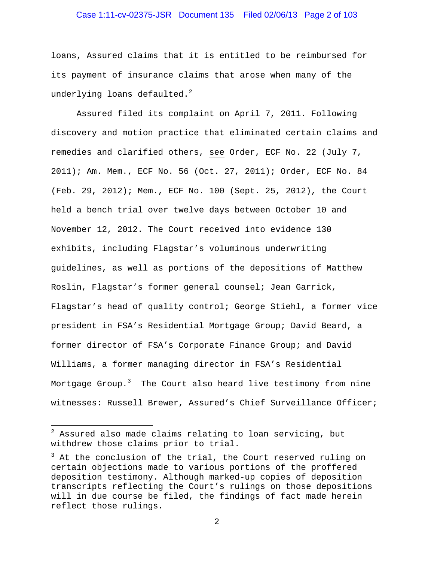## Case 1:11-cv-02375-JSR Document 135 Filed 02/06/13 Page 2 of 103

loans, Assured claims that it is entitled to be reimbursed for its payment of insurance claims that arose when many of the underlying loans defaulted. $^2$ 

Assured filed its complaint on April 7, 2011. Following discovery and motion practice that eliminated certain claims and remedies and clarified others, see Order, ECF No. 22 (July 7, 2011); Am. Mem., ECF No. 56 (Oct. 27, 2011); Order, ECF No. 84 (Feb. 29, 2012); Mem., ECF No. 100 (Sept. 25, 2012), the Court held a bench trial over twelve days between October 10 and November 12, 2012. The Court received into evidence 130 exhibits, including Flagstar's voluminous underwriting guidelines, as well as portions of the depositions of Matthew Roslin, Flagstar's former general counsel; Jean Garrick, Flagstar's head of quality control; George Stiehl, a former vice president in FSA's Residential Mortgage Group; David Beard, a former director of FSA's Corporate Finance Group; and David Williams, a former managing director in FSA's Residential Mortgage Group. $^3$  The Court also heard live testimony from nine witnesses: Russell Brewer, Assured's Chief Surveillance Officer;

 $\overline{a}$ 

 $^2$  Assured also made claims relating to loan servicing, but withdrew those claims prior to trial.

 $3$  At the conclusion of the trial, the Court reserved ruling on certain objections made to various portions of the proffered deposition testimony. Although marked-up copies of deposition transcripts reflecting the Court's rulings on those depositions will in due course be filed, the findings of fact made herein reflect those rulings.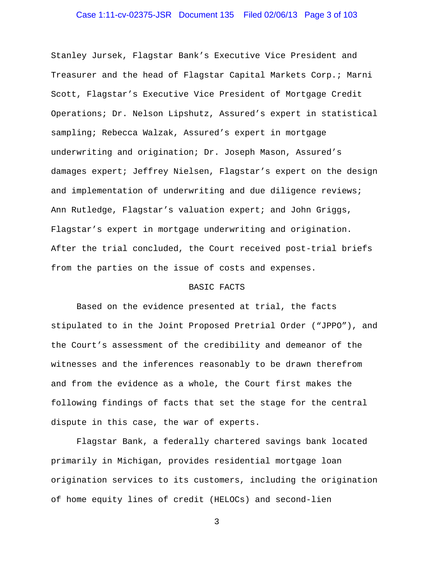## Case 1:11-cv-02375-JSR Document 135 Filed 02/06/13 Page 3 of 103

Stanley Jursek, Flagstar Bank's Executive Vice President and Treasurer and the head of Flagstar Capital Markets Corp.; Marni Scott, Flagstar's Executive Vice President of Mortgage Credit Operations; Dr. Nelson Lipshutz, Assured's expert in statistical sampling; Rebecca Walzak, Assured's expert in mortgage underwriting and origination; Dr. Joseph Mason, Assured's damages expert; Jeffrey Nielsen, Flagstar's expert on the design and implementation of underwriting and due diligence reviews; Ann Rutledge, Flagstar's valuation expert; and John Griggs, Flagstar's expert in mortgage underwriting and origination. After the trial concluded, the Court received post-trial briefs from the parties on the issue of costs and expenses.

#### BASIC FACTS

Based on the evidence presented at trial, the facts stipulated to in the Joint Proposed Pretrial Order ("JPPO"), and the Court's assessment of the credibility and demeanor of the witnesses and the inferences reasonably to be drawn therefrom and from the evidence as a whole, the Court first makes the following findings of facts that set the stage for the central dispute in this case, the war of experts.

Flagstar Bank, a federally chartered savings bank located primarily in Michigan, provides residential mortgage loan origination services to its customers, including the origination of home equity lines of credit (HELOCs) and second-lien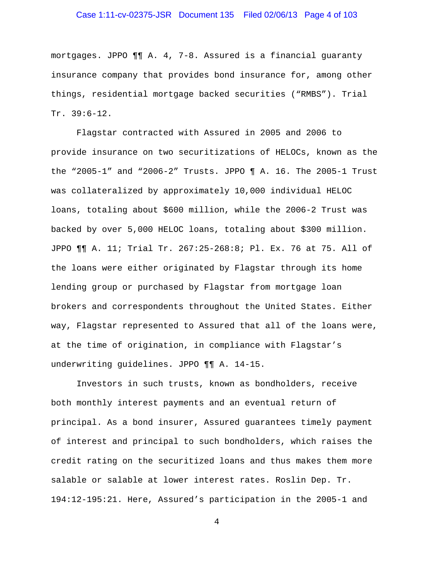## Case 1:11-cv-02375-JSR Document 135 Filed 02/06/13 Page 4 of 103

mortgages. JPPO ¶¶ A. 4, 7-8. Assured is a financial guaranty insurance company that provides bond insurance for, among other things, residential mortgage backed securities ("RMBS"). Trial Tr. 39:6-12.

Flagstar contracted with Assured in 2005 and 2006 to provide insurance on two securitizations of HELOCs, known as the the "2005-1" and "2006-2" Trusts. JPPO ¶ A. 16. The 2005-1 Trust was collateralized by approximately 10,000 individual HELOC loans, totaling about \$600 million, while the 2006-2 Trust was backed by over 5,000 HELOC loans, totaling about \$300 million. JPPO ¶¶ A. 11; Trial Tr. 267:25-268:8; Pl. Ex. 76 at 75. All of the loans were either originated by Flagstar through its home lending group or purchased by Flagstar from mortgage loan brokers and correspondents throughout the United States. Either way, Flagstar represented to Assured that all of the loans were, at the time of origination, in compliance with Flagstar's underwriting guidelines. JPPO ¶¶ A. 14-15.

Investors in such trusts, known as bondholders, receive both monthly interest payments and an eventual return of principal. As a bond insurer, Assured guarantees timely payment of interest and principal to such bondholders, which raises the credit rating on the securitized loans and thus makes them more salable or salable at lower interest rates. Roslin Dep. Tr. 194:12-195:21. Here, Assured's participation in the 2005-1 and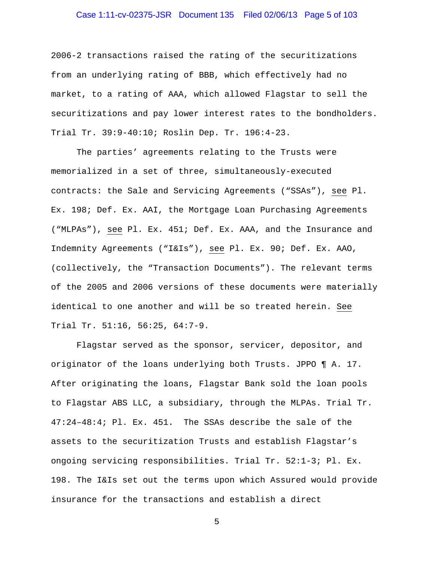## Case 1:11-cv-02375-JSR Document 135 Filed 02/06/13 Page 5 of 103

2006-2 transactions raised the rating of the securitizations from an underlying rating of BBB, which effectively had no market, to a rating of AAA, which allowed Flagstar to sell the securitizations and pay lower interest rates to the bondholders. Trial Tr. 39:9-40:10; Roslin Dep. Tr. 196:4-23.

The parties' agreements relating to the Trusts were memorialized in a set of three, simultaneously-executed contracts: the Sale and Servicing Agreements ("SSAs"), see Pl. Ex. 198; Def. Ex. AAI, the Mortgage Loan Purchasing Agreements ("MLPAs"), see Pl. Ex. 451; Def. Ex. AAA, and the Insurance and Indemnity Agreements ("I&Is"), see Pl. Ex. 90; Def. Ex. AAO, (collectively, the "Transaction Documents"). The relevant terms of the 2005 and 2006 versions of these documents were materially identical to one another and will be so treated herein. See Trial Tr. 51:16, 56:25, 64:7-9.

Flagstar served as the sponsor, servicer, depositor, and originator of the loans underlying both Trusts. JPPO ¶ A. 17. After originating the loans, Flagstar Bank sold the loan pools to Flagstar ABS LLC, a subsidiary, through the MLPAs. Trial Tr. 47:24–48:4; Pl. Ex. 451. The SSAs describe the sale of the assets to the securitization Trusts and establish Flagstar's ongoing servicing responsibilities. Trial Tr. 52:1-3; Pl. Ex. 198. The I&Is set out the terms upon which Assured would provide insurance for the transactions and establish a direct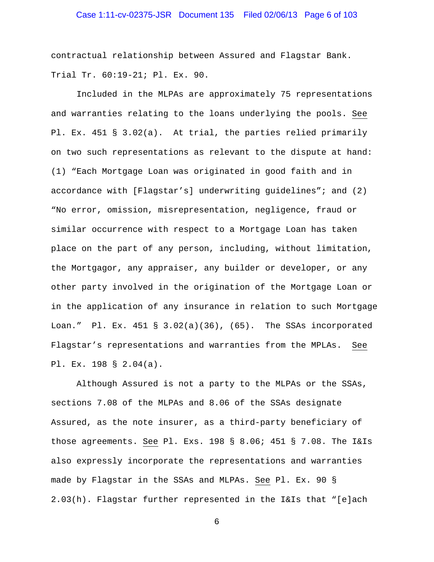## Case 1:11-cv-02375-JSR Document 135 Filed 02/06/13 Page 6 of 103

contractual relationship between Assured and Flagstar Bank. Trial Tr. 60:19-21; Pl. Ex. 90.

Included in the MLPAs are approximately 75 representations and warranties relating to the loans underlying the pools. See Pl. Ex. 451 § 3.02(a). At trial, the parties relied primarily on two such representations as relevant to the dispute at hand: (1) "Each Mortgage Loan was originated in good faith and in accordance with [Flagstar's] underwriting guidelines"; and (2) "No error, omission, misrepresentation, negligence, fraud or similar occurrence with respect to a Mortgage Loan has taken place on the part of any person, including, without limitation, the Mortgagor, any appraiser, any builder or developer, or any other party involved in the origination of the Mortgage Loan or in the application of any insurance in relation to such Mortgage Loan." Pl. Ex. 451 § 3.02(a)(36), (65). The SSAs incorporated Flagstar's representations and warranties from the MPLAs. See Pl. Ex. 198 § 2.04(a).

Although Assured is not a party to the MLPAs or the SSAs, sections 7.08 of the MLPAs and 8.06 of the SSAs designate Assured, as the note insurer, as a third-party beneficiary of those agreements. See Pl. Exs. 198 § 8.06; 451 § 7.08. The I&Is also expressly incorporate the representations and warranties made by Flagstar in the SSAs and MLPAs. See Pl. Ex. 90 § 2.03(h). Flagstar further represented in the I&Is that "[e]ach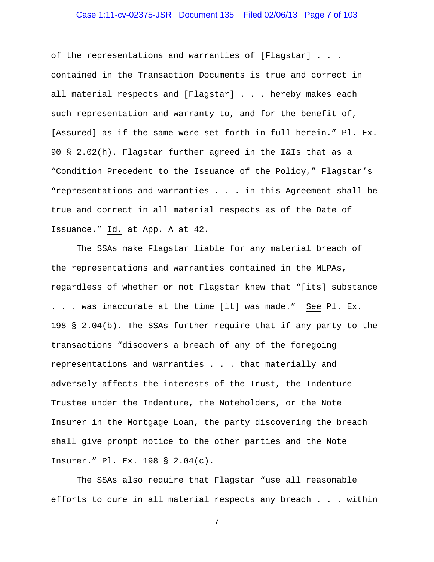## Case 1:11-cv-02375-JSR Document 135 Filed 02/06/13 Page 7 of 103

of the representations and warranties of [Flagstar] . . . contained in the Transaction Documents is true and correct in all material respects and [Flagstar] . . . hereby makes each such representation and warranty to, and for the benefit of, [Assured] as if the same were set forth in full herein." Pl. Ex. 90 § 2.02(h). Flagstar further agreed in the I&Is that as a "Condition Precedent to the Issuance of the Policy," Flagstar's "representations and warranties . . . in this Agreement shall be true and correct in all material respects as of the Date of Issuance." Id. at App. A at 42.

 The SSAs make Flagstar liable for any material breach of the representations and warranties contained in the MLPAs, regardless of whether or not Flagstar knew that "[its] substance . . . was inaccurate at the time [it] was made." See Pl. Ex. 198 § 2.04(b). The SSAs further require that if any party to the transactions "discovers a breach of any of the foregoing representations and warranties . . . that materially and adversely affects the interests of the Trust, the Indenture Trustee under the Indenture, the Noteholders, or the Note Insurer in the Mortgage Loan, the party discovering the breach shall give prompt notice to the other parties and the Note Insurer." Pl. Ex. 198 § 2.04(c).

 The SSAs also require that Flagstar "use all reasonable efforts to cure in all material respects any breach . . . within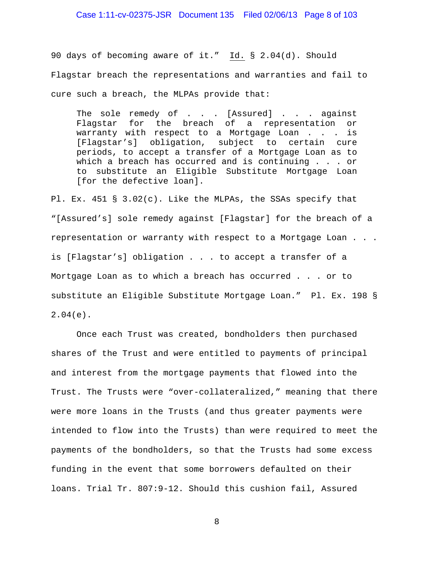90 days of becoming aware of it." Id. § 2.04(d). Should Flagstar breach the representations and warranties and fail to cure such a breach, the MLPAs provide that:

The sole remedy of . . . [Assured] . . . against Flagstar for the breach of a representation or warranty with respect to a Mortgage Loan . . . is [Flagstar's] obligation, subject to certain cure periods, to accept a transfer of a Mortgage Loan as to which a breach has occurred and is continuing . . . or to substitute an Eligible Substitute Mortgage Loan [for the defective loan].

Pl. Ex. 451 § 3.02(c). Like the MLPAs, the SSAs specify that "[Assured's] sole remedy against [Flagstar] for the breach of a representation or warranty with respect to a Mortgage Loan . . . is [Flagstar's] obligation . . . to accept a transfer of a Mortgage Loan as to which a breach has occurred . . . or to substitute an Eligible Substitute Mortgage Loan." Pl. Ex. 198 § 2.04(e).

Once each Trust was created, bondholders then purchased shares of the Trust and were entitled to payments of principal and interest from the mortgage payments that flowed into the Trust. The Trusts were "over-collateralized," meaning that there were more loans in the Trusts (and thus greater payments were intended to flow into the Trusts) than were required to meet the payments of the bondholders, so that the Trusts had some excess funding in the event that some borrowers defaulted on their loans. Trial Tr. 807:9-12. Should this cushion fail, Assured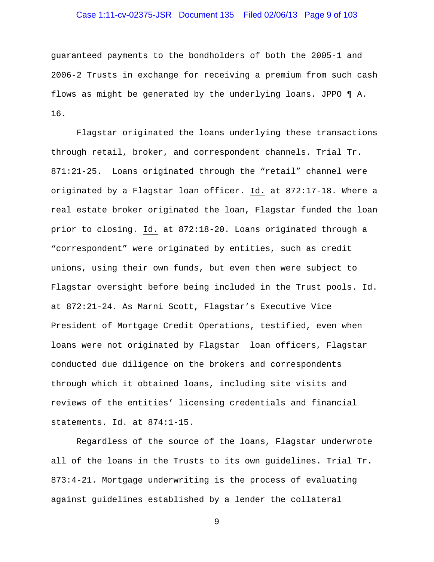## Case 1:11-cv-02375-JSR Document 135 Filed 02/06/13 Page 9 of 103

guaranteed payments to the bondholders of both the 2005-1 and 2006-2 Trusts in exchange for receiving a premium from such cash flows as might be generated by the underlying loans. JPPO ¶ A. 16.

Flagstar originated the loans underlying these transactions through retail, broker, and correspondent channels. Trial Tr. 871:21-25. Loans originated through the "retail" channel were originated by a Flagstar loan officer. Id. at 872:17-18. Where a real estate broker originated the loan, Flagstar funded the loan prior to closing. Id. at 872:18-20. Loans originated through a "correspondent" were originated by entities, such as credit unions, using their own funds, but even then were subject to Flagstar oversight before being included in the Trust pools. Id. at 872:21-24. As Marni Scott, Flagstar's Executive Vice President of Mortgage Credit Operations, testified, even when loans were not originated by Flagstar loan officers, Flagstar conducted due diligence on the brokers and correspondents through which it obtained loans, including site visits and reviews of the entities' licensing credentials and financial statements. Id. at 874:1-15.

Regardless of the source of the loans, Flagstar underwrote all of the loans in the Trusts to its own guidelines. Trial Tr. 873:4-21. Mortgage underwriting is the process of evaluating against guidelines established by a lender the collateral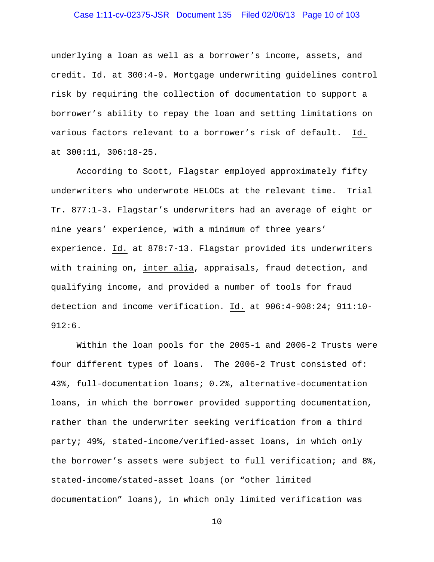## Case 1:11-cv-02375-JSR Document 135 Filed 02/06/13 Page 10 of 103

underlying a loan as well as a borrower's income, assets, and credit. Id. at 300:4-9. Mortgage underwriting guidelines control risk by requiring the collection of documentation to support a borrower's ability to repay the loan and setting limitations on various factors relevant to a borrower's risk of default. Id. at 300:11, 306:18-25.

 According to Scott, Flagstar employed approximately fifty underwriters who underwrote HELOCs at the relevant time. Trial Tr. 877:1-3. Flagstar's underwriters had an average of eight or nine years' experience, with a minimum of three years' experience. Id. at 878:7-13. Flagstar provided its underwriters with training on, inter alia, appraisals, fraud detection, and qualifying income, and provided a number of tools for fraud detection and income verification. Id. at 906:4-908:24; 911:10- 912:6.

Within the loan pools for the 2005-1 and 2006-2 Trusts were four different types of loans. The 2006-2 Trust consisted of: 43%, full-documentation loans; 0.2%, alternative-documentation loans, in which the borrower provided supporting documentation, rather than the underwriter seeking verification from a third party; 49%, stated-income/verified-asset loans, in which only the borrower's assets were subject to full verification; and 8%, stated-income/stated-asset loans (or "other limited documentation" loans), in which only limited verification was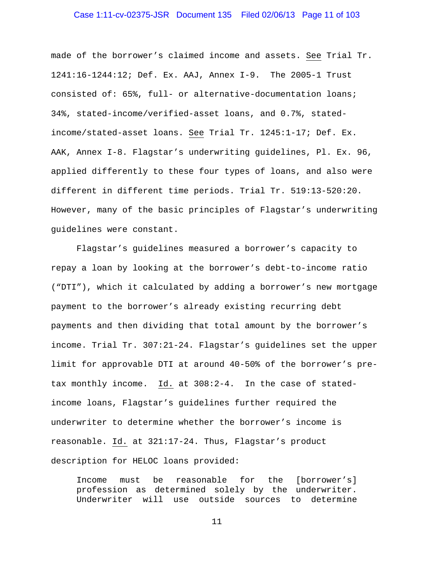## Case 1:11-cv-02375-JSR Document 135 Filed 02/06/13 Page 11 of 103

made of the borrower's claimed income and assets. See Trial Tr. 1241:16-1244:12; Def. Ex. AAJ, Annex I-9. The 2005-1 Trust consisted of: 65%, full- or alternative-documentation loans; 34%, stated-income/verified-asset loans, and 0.7%, statedincome/stated-asset loans. See Trial Tr. 1245:1-17; Def. Ex. AAK, Annex I-8. Flagstar's underwriting guidelines, Pl. Ex. 96, applied differently to these four types of loans, and also were different in different time periods. Trial Tr. 519:13-520:20. However, many of the basic principles of Flagstar's underwriting guidelines were constant.

 Flagstar's guidelines measured a borrower's capacity to repay a loan by looking at the borrower's debt-to-income ratio ("DTI"), which it calculated by adding a borrower's new mortgage payment to the borrower's already existing recurring debt payments and then dividing that total amount by the borrower's income. Trial Tr. 307:21-24. Flagstar's guidelines set the upper limit for approvable DTI at around 40-50% of the borrower's pretax monthly income. Id. at 308:2-4. In the case of statedincome loans, Flagstar's guidelines further required the underwriter to determine whether the borrower's income is reasonable. Id. at 321:17-24. Thus, Flagstar's product description for HELOC loans provided:

Income must be reasonable for the [borrower's] profession as determined solely by the underwriter. Underwriter will use outside sources to determine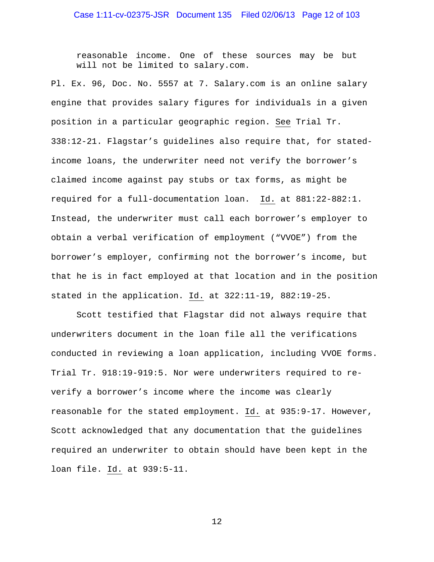reasonable income. One of these sources may be but will not be limited to salary.com.

Pl. Ex. 96, Doc. No. 5557 at 7. Salary.com is an online salary engine that provides salary figures for individuals in a given position in a particular geographic region. See Trial Tr. 338:12-21. Flagstar's guidelines also require that, for statedincome loans, the underwriter need not verify the borrower's claimed income against pay stubs or tax forms, as might be required for a full-documentation loan. Id. at 881:22-882:1. Instead, the underwriter must call each borrower's employer to obtain a verbal verification of employment ("VVOE") from the borrower's employer, confirming not the borrower's income, but that he is in fact employed at that location and in the position stated in the application. Id. at 322:11-19, 882:19-25.

Scott testified that Flagstar did not always require that underwriters document in the loan file all the verifications conducted in reviewing a loan application, including VVOE forms. Trial Tr. 918:19-919:5. Nor were underwriters required to reverify a borrower's income where the income was clearly reasonable for the stated employment. Id. at 935:9-17. However, Scott acknowledged that any documentation that the guidelines required an underwriter to obtain should have been kept in the loan file. Id. at 939:5-11.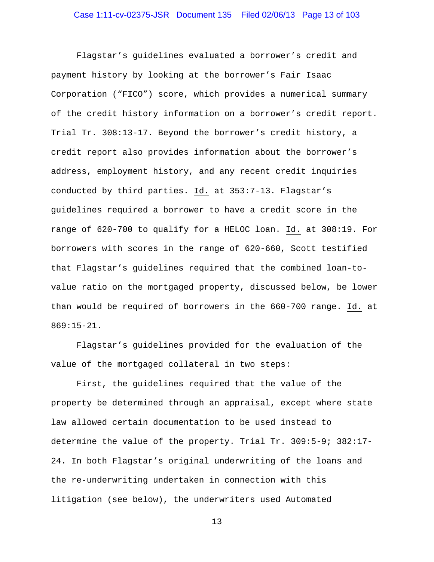Flagstar's guidelines evaluated a borrower's credit and payment history by looking at the borrower's Fair Isaac Corporation ("FICO") score, which provides a numerical summary of the credit history information on a borrower's credit report. Trial Tr. 308:13-17. Beyond the borrower's credit history, a credit report also provides information about the borrower's address, employment history, and any recent credit inquiries conducted by third parties. Id. at 353:7-13. Flagstar's guidelines required a borrower to have a credit score in the range of 620-700 to qualify for a HELOC loan. Id. at 308:19. For borrowers with scores in the range of 620-660, Scott testified that Flagstar's guidelines required that the combined loan-tovalue ratio on the mortgaged property, discussed below, be lower than would be required of borrowers in the 660-700 range. Id. at 869:15-21.

 Flagstar's guidelines provided for the evaluation of the value of the mortgaged collateral in two steps:

First, the guidelines required that the value of the property be determined through an appraisal, except where state law allowed certain documentation to be used instead to determine the value of the property. Trial Tr. 309:5-9; 382:17- 24. In both Flagstar's original underwriting of the loans and the re-underwriting undertaken in connection with this litigation (see below), the underwriters used Automated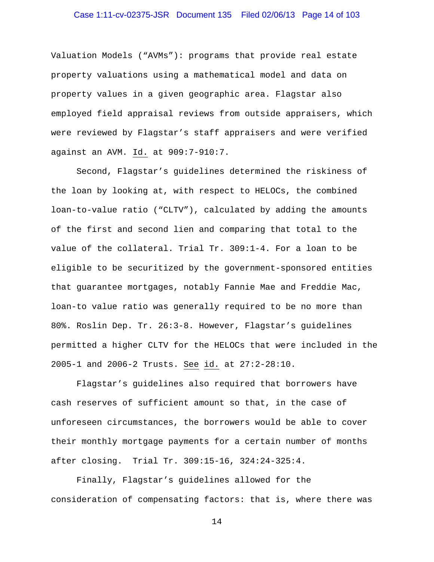# Case 1:11-cv-02375-JSR Document 135 Filed 02/06/13 Page 14 of 103

Valuation Models ("AVMs"): programs that provide real estate property valuations using a mathematical model and data on property values in a given geographic area. Flagstar also employed field appraisal reviews from outside appraisers, which were reviewed by Flagstar's staff appraisers and were verified against an AVM. Id. at 909:7-910:7.

Second, Flagstar's guidelines determined the riskiness of the loan by looking at, with respect to HELOCs, the combined loan-to-value ratio ("CLTV"), calculated by adding the amounts of the first and second lien and comparing that total to the value of the collateral. Trial Tr. 309:1-4. For a loan to be eligible to be securitized by the government-sponsored entities that guarantee mortgages, notably Fannie Mae and Freddie Mac, loan-to value ratio was generally required to be no more than 80%. Roslin Dep. Tr. 26:3-8. However, Flagstar's guidelines permitted a higher CLTV for the HELOCs that were included in the 2005-1 and 2006-2 Trusts. See id. at 27:2-28:10.

 Flagstar's guidelines also required that borrowers have cash reserves of sufficient amount so that, in the case of unforeseen circumstances, the borrowers would be able to cover their monthly mortgage payments for a certain number of months after closing. Trial Tr. 309:15-16, 324:24-325:4.

 Finally, Flagstar's guidelines allowed for the consideration of compensating factors: that is, where there was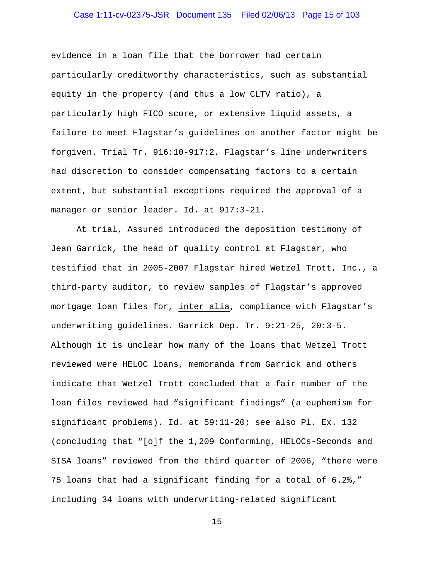## Case 1:11-cv-02375-JSR Document 135 Filed 02/06/13 Page 15 of 103

evidence in a loan file that the borrower had certain particularly creditworthy characteristics, such as substantial equity in the property (and thus a low CLTV ratio), a particularly high FICO score, or extensive liquid assets, a failure to meet Flagstar's guidelines on another factor might be forgiven. Trial Tr. 916:10-917:2. Flagstar's line underwriters had discretion to consider compensating factors to a certain extent, but substantial exceptions required the approval of a manager or senior leader. Id. at 917:3-21.

At trial, Assured introduced the deposition testimony of Jean Garrick, the head of quality control at Flagstar, who testified that in 2005-2007 Flagstar hired Wetzel Trott, Inc., a third-party auditor, to review samples of Flagstar's approved mortgage loan files for, inter alia, compliance with Flagstar's underwriting guidelines. Garrick Dep. Tr. 9:21-25, 20:3-5. Although it is unclear how many of the loans that Wetzel Trott reviewed were HELOC loans, memoranda from Garrick and others indicate that Wetzel Trott concluded that a fair number of the loan files reviewed had "significant findings" (a euphemism for significant problems). Id. at 59:11-20; see also Pl. Ex. 132 (concluding that "[o]f the 1,209 Conforming, HELOCs-Seconds and SISA loans" reviewed from the third quarter of 2006, "there were 75 loans that had a significant finding for a total of 6.2%," including 34 loans with underwriting-related significant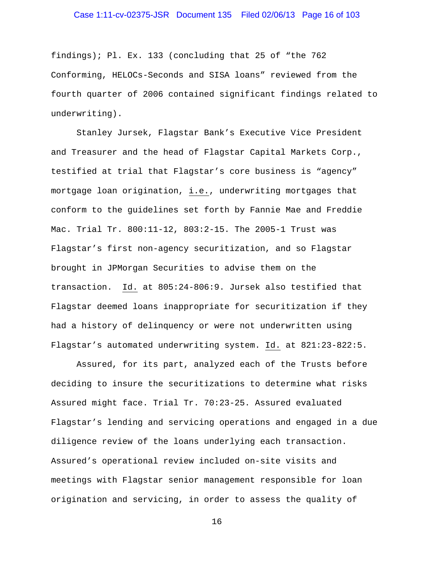## Case 1:11-cv-02375-JSR Document 135 Filed 02/06/13 Page 16 of 103

findings); Pl. Ex. 133 (concluding that 25 of "the 762 Conforming, HELOCs-Seconds and SISA loans" reviewed from the fourth quarter of 2006 contained significant findings related to underwriting).

Stanley Jursek, Flagstar Bank's Executive Vice President and Treasurer and the head of Flagstar Capital Markets Corp., testified at trial that Flagstar's core business is "agency" mortgage loan origination, i.e., underwriting mortgages that conform to the guidelines set forth by Fannie Mae and Freddie Mac. Trial Tr. 800:11-12, 803:2-15. The 2005-1 Trust was Flagstar's first non-agency securitization, and so Flagstar brought in JPMorgan Securities to advise them on the transaction. Id. at 805:24-806:9. Jursek also testified that Flagstar deemed loans inappropriate for securitization if they had a history of delinquency or were not underwritten using Flagstar's automated underwriting system. Id. at 821:23-822:5.

Assured, for its part, analyzed each of the Trusts before deciding to insure the securitizations to determine what risks Assured might face. Trial Tr. 70:23-25. Assured evaluated Flagstar's lending and servicing operations and engaged in a due diligence review of the loans underlying each transaction. Assured's operational review included on-site visits and meetings with Flagstar senior management responsible for loan origination and servicing, in order to assess the quality of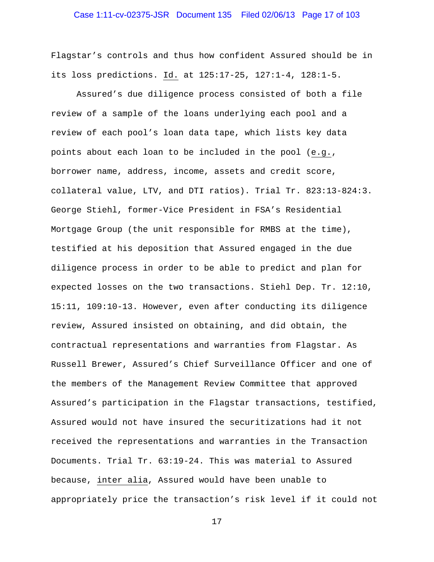## Case 1:11-cv-02375-JSR Document 135 Filed 02/06/13 Page 17 of 103

Flagstar's controls and thus how confident Assured should be in its loss predictions. Id. at 125:17-25, 127:1-4, 128:1-5.

Assured's due diligence process consisted of both a file review of a sample of the loans underlying each pool and a review of each pool's loan data tape, which lists key data points about each loan to be included in the pool (e.g., borrower name, address, income, assets and credit score, collateral value, LTV, and DTI ratios). Trial Tr. 823:13-824:3. George Stiehl, former-Vice President in FSA's Residential Mortgage Group (the unit responsible for RMBS at the time), testified at his deposition that Assured engaged in the due diligence process in order to be able to predict and plan for expected losses on the two transactions. Stiehl Dep. Tr. 12:10, 15:11, 109:10-13. However, even after conducting its diligence review, Assured insisted on obtaining, and did obtain, the contractual representations and warranties from Flagstar. As Russell Brewer, Assured's Chief Surveillance Officer and one of the members of the Management Review Committee that approved Assured's participation in the Flagstar transactions, testified, Assured would not have insured the securitizations had it not received the representations and warranties in the Transaction Documents. Trial Tr. 63:19-24. This was material to Assured because, inter alia, Assured would have been unable to appropriately price the transaction's risk level if it could not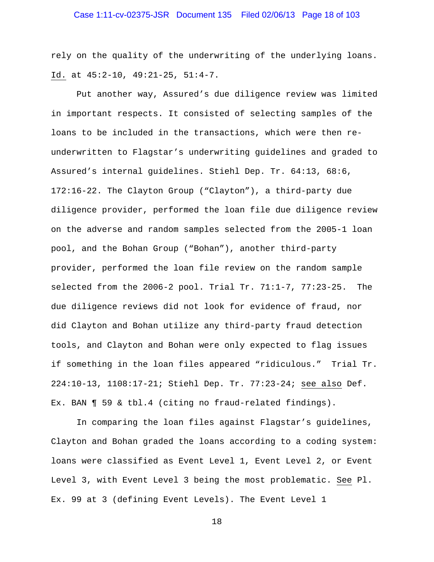rely on the quality of the underwriting of the underlying loans. Id. at 45:2-10, 49:21-25, 51:4-7.

Put another way, Assured's due diligence review was limited in important respects. It consisted of selecting samples of the loans to be included in the transactions, which were then reunderwritten to Flagstar's underwriting guidelines and graded to Assured's internal guidelines. Stiehl Dep. Tr. 64:13, 68:6, 172:16-22. The Clayton Group ("Clayton"), a third-party due diligence provider, performed the loan file due diligence review on the adverse and random samples selected from the 2005-1 loan pool, and the Bohan Group ("Bohan"), another third-party provider, performed the loan file review on the random sample selected from the 2006-2 pool. Trial Tr. 71:1-7, 77:23-25. The due diligence reviews did not look for evidence of fraud, nor did Clayton and Bohan utilize any third-party fraud detection tools, and Clayton and Bohan were only expected to flag issues if something in the loan files appeared "ridiculous." Trial Tr. 224:10-13, 1108:17-21; Stiehl Dep. Tr. 77:23-24; see also Def. Ex. BAN ¶ 59 & tbl.4 (citing no fraud-related findings).

In comparing the loan files against Flagstar's guidelines, Clayton and Bohan graded the loans according to a coding system: loans were classified as Event Level 1, Event Level 2, or Event Level 3, with Event Level 3 being the most problematic. See Pl. Ex. 99 at 3 (defining Event Levels). The Event Level 1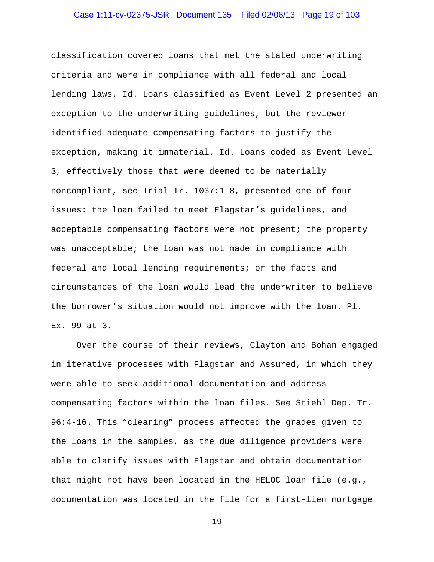## Case 1:11-cv-02375-JSR Document 135 Filed 02/06/13 Page 19 of 103

classification covered loans that met the stated underwriting criteria and were in compliance with all federal and local lending laws. Id. Loans classified as Event Level 2 presented an exception to the underwriting guidelines, but the reviewer identified adequate compensating factors to justify the exception, making it immaterial. Id. Loans coded as Event Level 3, effectively those that were deemed to be materially noncompliant, see Trial Tr. 1037:1-8, presented one of four issues: the loan failed to meet Flagstar's guidelines, and acceptable compensating factors were not present; the property was unacceptable; the loan was not made in compliance with federal and local lending requirements; or the facts and circumstances of the loan would lead the underwriter to believe the borrower's situation would not improve with the loan. Pl. Ex. 99 at 3.

Over the course of their reviews, Clayton and Bohan engaged in iterative processes with Flagstar and Assured, in which they were able to seek additional documentation and address compensating factors within the loan files. See Stiehl Dep. Tr. 96:4-16. This "clearing" process affected the grades given to the loans in the samples, as the due diligence providers were able to clarify issues with Flagstar and obtain documentation that might not have been located in the HELOC loan file (e.g., documentation was located in the file for a first-lien mortgage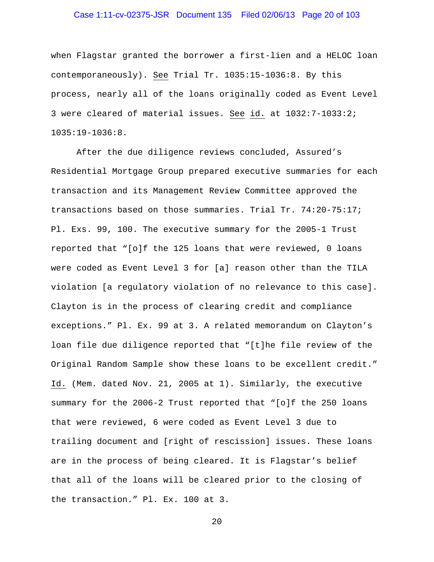## Case 1:11-cv-02375-JSR Document 135 Filed 02/06/13 Page 20 of 103

when Flagstar granted the borrower a first-lien and a HELOC loan contemporaneously). See Trial Tr. 1035:15-1036:8. By this process, nearly all of the loans originally coded as Event Level 3 were cleared of material issues. See id. at 1032:7-1033:2; 1035:19-1036:8.

After the due diligence reviews concluded, Assured's Residential Mortgage Group prepared executive summaries for each transaction and its Management Review Committee approved the transactions based on those summaries. Trial Tr. 74:20-75:17; Pl. Exs. 99, 100. The executive summary for the 2005-1 Trust reported that "[o]f the 125 loans that were reviewed, 0 loans were coded as Event Level 3 for [a] reason other than the TILA violation [a regulatory violation of no relevance to this case]. Clayton is in the process of clearing credit and compliance exceptions." Pl. Ex. 99 at 3. A related memorandum on Clayton's loan file due diligence reported that "[t]he file review of the Original Random Sample show these loans to be excellent credit." Id. (Mem. dated Nov. 21, 2005 at 1). Similarly, the executive summary for the 2006-2 Trust reported that "[o]f the 250 loans that were reviewed, 6 were coded as Event Level 3 due to trailing document and [right of rescission] issues. These loans are in the process of being cleared. It is Flagstar's belief that all of the loans will be cleared prior to the closing of the transaction." Pl. Ex. 100 at 3.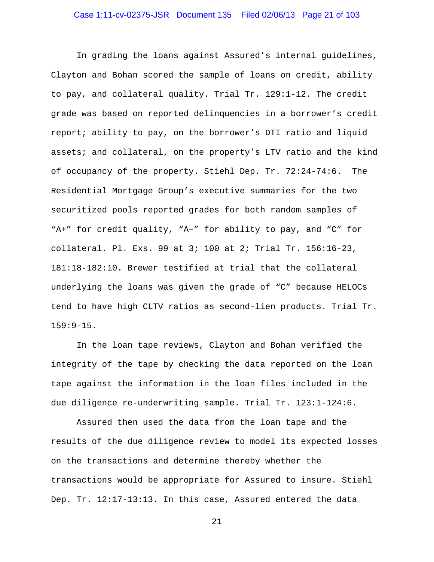In grading the loans against Assured's internal guidelines, Clayton and Bohan scored the sample of loans on credit, ability to pay, and collateral quality. Trial Tr. 129:1-12. The credit grade was based on reported delinquencies in a borrower's credit report; ability to pay, on the borrower's DTI ratio and liquid assets; and collateral, on the property's LTV ratio and the kind of occupancy of the property. Stiehl Dep. Tr. 72:24-74:6. The Residential Mortgage Group's executive summaries for the two securitized pools reported grades for both random samples of "A+" for credit quality, "A–" for ability to pay, and "C" for collateral. Pl. Exs. 99 at 3; 100 at 2; Trial Tr. 156:16-23, 181:18-182:10. Brewer testified at trial that the collateral underlying the loans was given the grade of "C" because HELOCs tend to have high CLTV ratios as second-lien products. Trial Tr. 159:9-15.

In the loan tape reviews, Clayton and Bohan verified the integrity of the tape by checking the data reported on the loan tape against the information in the loan files included in the due diligence re-underwriting sample. Trial Tr. 123:1-124:6.

Assured then used the data from the loan tape and the results of the due diligence review to model its expected losses on the transactions and determine thereby whether the transactions would be appropriate for Assured to insure. Stiehl Dep. Tr. 12:17-13:13. In this case, Assured entered the data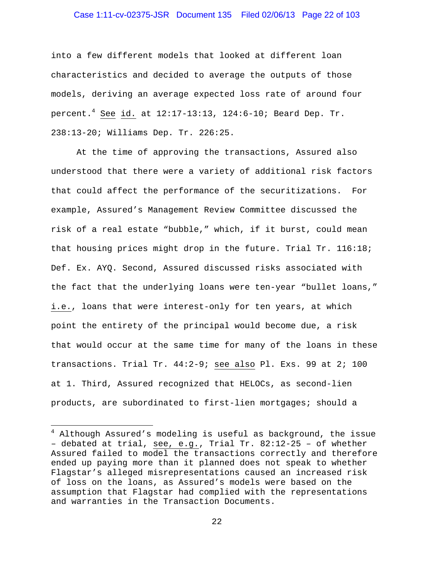## Case 1:11-cv-02375-JSR Document 135 Filed 02/06/13 Page 22 of 103

into a few different models that looked at different loan characteristics and decided to average the outputs of those models, deriving an average expected loss rate of around four percent.<sup>4</sup> See id. at  $12:17-13:13$ ,  $124:6-10$ ; Beard Dep. Tr. 238:13-20; Williams Dep. Tr. 226:25.

At the time of approving the transactions, Assured also understood that there were a variety of additional risk factors that could affect the performance of the securitizations. For example, Assured's Management Review Committee discussed the risk of a real estate "bubble," which, if it burst, could mean that housing prices might drop in the future. Trial Tr. 116:18; Def. Ex. AYQ. Second, Assured discussed risks associated with the fact that the underlying loans were ten-year "bullet loans," i.e., loans that were interest-only for ten years, at which point the entirety of the principal would become due, a risk that would occur at the same time for many of the loans in these transactions. Trial Tr. 44:2-9; see also Pl. Exs. 99 at 2; 100 at 1. Third, Assured recognized that HELOCs, as second-lien products, are subordinated to first-lien mortgages; should a

<sup>&</sup>lt;sup>4</sup> Although Assured's modeling is useful as background, the issue – debated at trial, see, e.g., Trial Tr. 82:12-25 – of whether Assured failed to model the transactions correctly and therefore ended up paying more than it planned does not speak to whether Flagstar's alleged misrepresentations caused an increased risk of loss on the loans, as Assured's models were based on the assumption that Flagstar had complied with the representations and warranties in the Transaction Documents.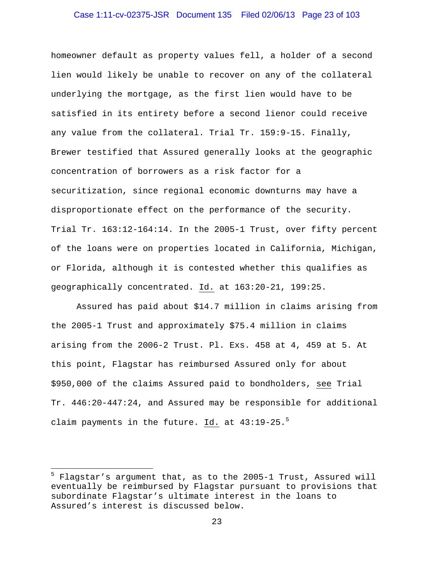## Case 1:11-cv-02375-JSR Document 135 Filed 02/06/13 Page 23 of 103

homeowner default as property values fell, a holder of a second lien would likely be unable to recover on any of the collateral underlying the mortgage, as the first lien would have to be satisfied in its entirety before a second lienor could receive any value from the collateral. Trial Tr. 159:9-15. Finally, Brewer testified that Assured generally looks at the geographic concentration of borrowers as a risk factor for a securitization, since regional economic downturns may have a disproportionate effect on the performance of the security. Trial Tr. 163:12-164:14. In the 2005-1 Trust, over fifty percent of the loans were on properties located in California, Michigan, or Florida, although it is contested whether this qualifies as geographically concentrated. Id. at 163:20-21, 199:25.

Assured has paid about \$14.7 million in claims arising from the 2005-1 Trust and approximately \$75.4 million in claims arising from the 2006-2 Trust. Pl. Exs. 458 at 4, 459 at 5. At this point, Flagstar has reimbursed Assured only for about \$950,000 of the claims Assured paid to bondholders, see Trial Tr. 446:20-447:24, and Assured may be responsible for additional claim payments in the future. Id. at  $43:19-25.^5$ 

<sup>5</sup> Flagstar's argument that, as to the 2005-1 Trust, Assured will eventually be reimbursed by Flagstar pursuant to provisions that subordinate Flagstar's ultimate interest in the loans to Assured's interest is discussed below.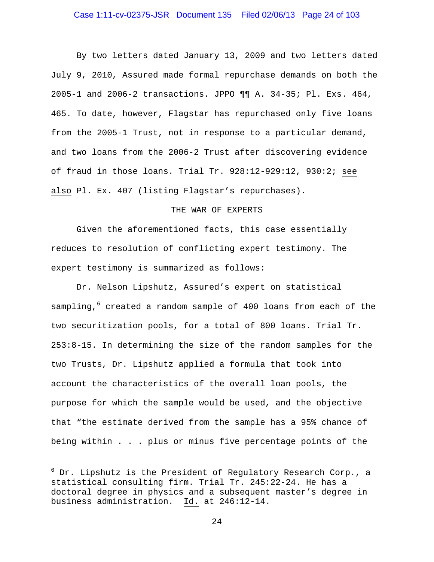## Case 1:11-cv-02375-JSR Document 135 Filed 02/06/13 Page 24 of 103

By two letters dated January 13, 2009 and two letters dated July 9, 2010, Assured made formal repurchase demands on both the 2005-1 and 2006-2 transactions. JPPO ¶¶ A. 34-35; Pl. Exs. 464, 465. To date, however, Flagstar has repurchased only five loans from the 2005-1 Trust, not in response to a particular demand, and two loans from the 2006-2 Trust after discovering evidence of fraud in those loans. Trial Tr. 928:12-929:12, 930:2; see also Pl. Ex. 407 (listing Flagstar's repurchases).

#### THE WAR OF EXPERTS

Given the aforementioned facts, this case essentially reduces to resolution of conflicting expert testimony. The expert testimony is summarized as follows:

Dr. Nelson Lipshutz, Assured's expert on statistical sampling,<sup>6</sup> created a random sample of 400 loans from each of the two securitization pools, for a total of 800 loans. Trial Tr. 253:8-15. In determining the size of the random samples for the two Trusts, Dr. Lipshutz applied a formula that took into account the characteristics of the overall loan pools, the purpose for which the sample would be used, and the objective that "the estimate derived from the sample has a 95% chance of being within . . . plus or minus five percentage points of the

 $^6$  Dr. Lipshutz is the President of Regulatory Research Corp., a statistical consulting firm. Trial Tr. 245:22-24. He has a doctoral degree in physics and a subsequent master's degree in business administration. Id. at 246:12-14.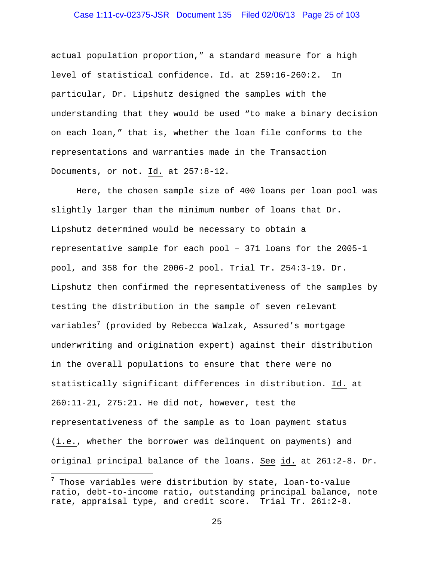## Case 1:11-cv-02375-JSR Document 135 Filed 02/06/13 Page 25 of 103

actual population proportion," a standard measure for a high level of statistical confidence. Id. at 259:16-260:2. In particular, Dr. Lipshutz designed the samples with the understanding that they would be used "to make a binary decision on each loan," that is, whether the loan file conforms to the representations and warranties made in the Transaction Documents, or not. Id. at 257:8-12.

Here, the chosen sample size of 400 loans per loan pool was slightly larger than the minimum number of loans that Dr. Lipshutz determined would be necessary to obtain a representative sample for each pool – 371 loans for the 2005-1 pool, and 358 for the 2006-2 pool. Trial Tr. 254:3-19. Dr. Lipshutz then confirmed the representativeness of the samples by testing the distribution in the sample of seven relevant variables<sup>7</sup> (provided by Rebecca Walzak, Assured's mortgage underwriting and origination expert) against their distribution in the overall populations to ensure that there were no statistically significant differences in distribution. Id. at 260:11-21, 275:21. He did not, however, test the representativeness of the sample as to loan payment status (i.e., whether the borrower was delinquent on payments) and original principal balance of the loans. See id. at 261:2-8. Dr.

 $^7$  Those variables were distribution by state, loan-to-value ratio, debt-to-income ratio, outstanding principal balance, note rate, appraisal type, and credit score. Trial Tr. 261:2-8.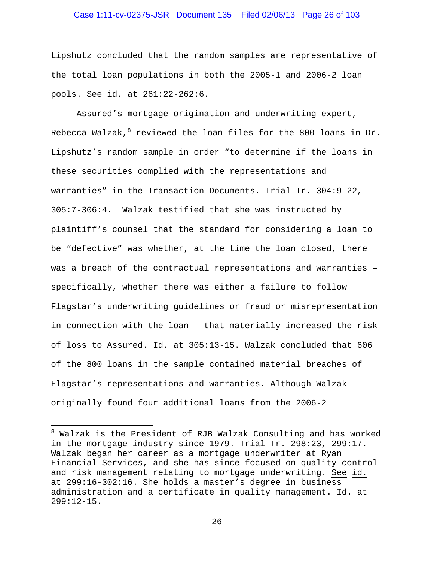## Case 1:11-cv-02375-JSR Document 135 Filed 02/06/13 Page 26 of 103

Lipshutz concluded that the random samples are representative of the total loan populations in both the 2005-1 and 2006-2 loan pools. See id. at 261:22-262:6.

Assured's mortgage origination and underwriting expert, Rebecca Walzak, $^8$  reviewed the loan files for the 800 loans in Dr. Lipshutz's random sample in order "to determine if the loans in these securities complied with the representations and warranties" in the Transaction Documents. Trial Tr. 304:9-22, 305:7-306:4. Walzak testified that she was instructed by plaintiff's counsel that the standard for considering a loan to be "defective" was whether, at the time the loan closed, there was a breach of the contractual representations and warranties – specifically, whether there was either a failure to follow Flagstar's underwriting guidelines or fraud or misrepresentation in connection with the loan – that materially increased the risk of loss to Assured. Id. at 305:13-15. Walzak concluded that 606 of the 800 loans in the sample contained material breaches of Flagstar's representations and warranties. Although Walzak originally found four additional loans from the 2006-2

<sup>&</sup>lt;sup>8</sup> Walzak is the President of RJB Walzak Consulting and has worked in the mortgage industry since 1979. Trial Tr. 298:23, 299:17. Walzak began her career as a mortgage underwriter at Ryan Financial Services, and she has since focused on quality control and risk management relating to mortgage underwriting. See id. at 299:16-302:16. She holds a master's degree in business administration and a certificate in quality management. Id. at 299:12-15.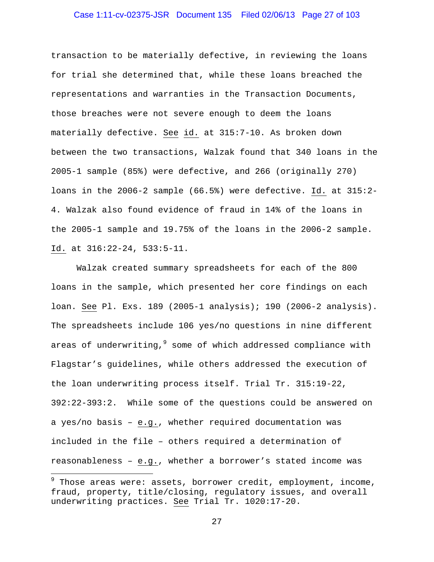## Case 1:11-cv-02375-JSR Document 135 Filed 02/06/13 Page 27 of 103

transaction to be materially defective, in reviewing the loans for trial she determined that, while these loans breached the representations and warranties in the Transaction Documents, those breaches were not severe enough to deem the loans materially defective. See id. at 315:7-10. As broken down between the two transactions, Walzak found that 340 loans in the 2005-1 sample (85%) were defective, and 266 (originally 270) loans in the 2006-2 sample (66.5%) were defective. Id. at 315:2- 4. Walzak also found evidence of fraud in 14% of the loans in the 2005-1 sample and 19.75% of the loans in the 2006-2 sample. Id. at 316:22-24, 533:5-11.

Walzak created summary spreadsheets for each of the 800 loans in the sample, which presented her core findings on each loan. See Pl. Exs. 189 (2005-1 analysis); 190 (2006-2 analysis). The spreadsheets include 106 yes/no questions in nine different areas of underwriting,<sup>9</sup> some of which addressed compliance with Flagstar's guidelines, while others addressed the execution of the loan underwriting process itself. Trial Tr. 315:19-22, 392:22-393:2. While some of the questions could be answered on a yes/no basis – e.g., whether required documentation was included in the file – others required a determination of reasonableness – e.g., whether a borrower's stated income was

<u>.</u>

<sup>9</sup> Those areas were: assets, borrower credit, employment, income, fraud, property, title/closing, regulatory issues, and overall underwriting practices. See Trial Tr. 1020:17-20.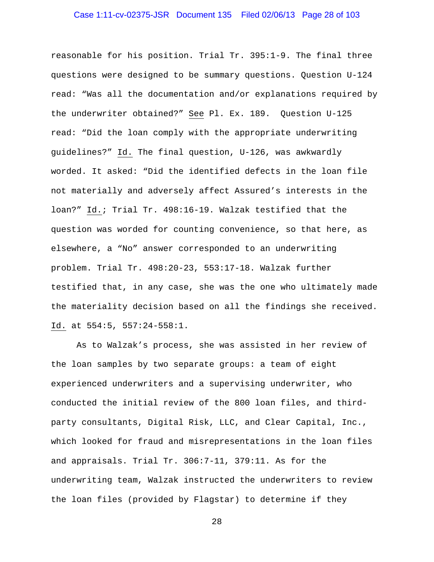## Case 1:11-cv-02375-JSR Document 135 Filed 02/06/13 Page 28 of 103

reasonable for his position. Trial Tr. 395:1-9. The final three questions were designed to be summary questions. Question U-124 read: "Was all the documentation and/or explanations required by the underwriter obtained?" See Pl. Ex. 189. Question U-125 read: "Did the loan comply with the appropriate underwriting guidelines?" Id. The final question, U-126, was awkwardly worded. It asked: "Did the identified defects in the loan file not materially and adversely affect Assured's interests in the loan?" Id.; Trial Tr. 498:16-19. Walzak testified that the question was worded for counting convenience, so that here, as elsewhere, a "No" answer corresponded to an underwriting problem. Trial Tr. 498:20-23, 553:17-18. Walzak further testified that, in any case, she was the one who ultimately made the materiality decision based on all the findings she received. Id. at 554:5, 557:24-558:1.

As to Walzak's process, she was assisted in her review of the loan samples by two separate groups: a team of eight experienced underwriters and a supervising underwriter, who conducted the initial review of the 800 loan files, and thirdparty consultants, Digital Risk, LLC, and Clear Capital, Inc., which looked for fraud and misrepresentations in the loan files and appraisals. Trial Tr. 306:7-11, 379:11. As for the underwriting team, Walzak instructed the underwriters to review the loan files (provided by Flagstar) to determine if they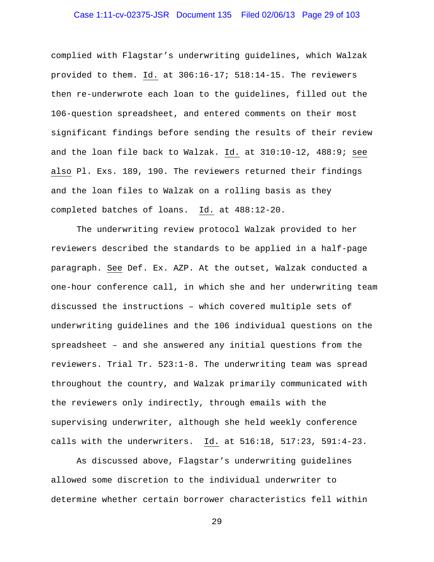## Case 1:11-cv-02375-JSR Document 135 Filed 02/06/13 Page 29 of 103

complied with Flagstar's underwriting guidelines, which Walzak provided to them. Id. at 306:16-17; 518:14-15. The reviewers then re-underwrote each loan to the guidelines, filled out the 106-question spreadsheet, and entered comments on their most significant findings before sending the results of their review and the loan file back to Walzak. Id. at 310:10-12, 488:9; see also Pl. Exs. 189, 190. The reviewers returned their findings and the loan files to Walzak on a rolling basis as they completed batches of loans. Id. at 488:12-20.

The underwriting review protocol Walzak provided to her reviewers described the standards to be applied in a half-page paragraph. See Def. Ex. AZP. At the outset, Walzak conducted a one-hour conference call, in which she and her underwriting team discussed the instructions – which covered multiple sets of underwriting guidelines and the 106 individual questions on the spreadsheet – and she answered any initial questions from the reviewers. Trial Tr. 523:1-8. The underwriting team was spread throughout the country, and Walzak primarily communicated with the reviewers only indirectly, through emails with the supervising underwriter, although she held weekly conference calls with the underwriters. Id. at 516:18, 517:23, 591:4-23.

As discussed above, Flagstar's underwriting guidelines allowed some discretion to the individual underwriter to determine whether certain borrower characteristics fell within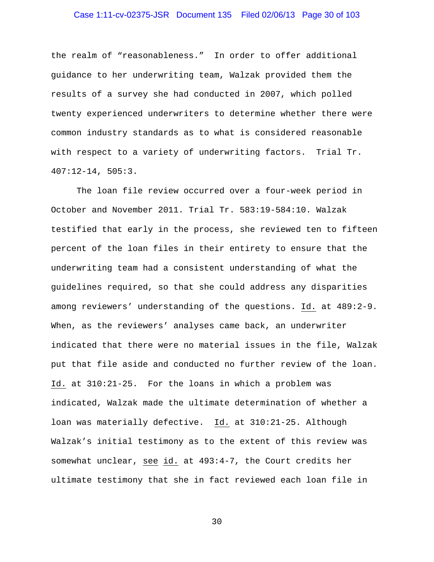## Case 1:11-cv-02375-JSR Document 135 Filed 02/06/13 Page 30 of 103

the realm of "reasonableness." In order to offer additional guidance to her underwriting team, Walzak provided them the results of a survey she had conducted in 2007, which polled twenty experienced underwriters to determine whether there were common industry standards as to what is considered reasonable with respect to a variety of underwriting factors. Trial Tr. 407:12-14, 505:3.

The loan file review occurred over a four-week period in October and November 2011. Trial Tr. 583:19-584:10. Walzak testified that early in the process, she reviewed ten to fifteen percent of the loan files in their entirety to ensure that the underwriting team had a consistent understanding of what the guidelines required, so that she could address any disparities among reviewers' understanding of the questions. Id. at 489:2-9. When, as the reviewers' analyses came back, an underwriter indicated that there were no material issues in the file, Walzak put that file aside and conducted no further review of the loan. Id. at 310:21-25. For the loans in which a problem was indicated, Walzak made the ultimate determination of whether a loan was materially defective. Id. at 310:21-25. Although Walzak's initial testimony as to the extent of this review was somewhat unclear, see id. at 493:4-7, the Court credits her ultimate testimony that she in fact reviewed each loan file in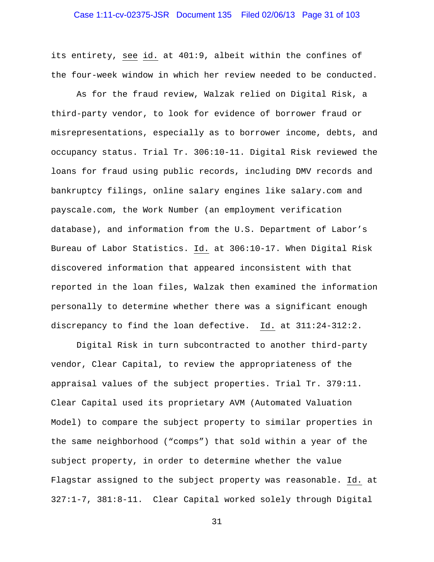its entirety, see id. at 401:9, albeit within the confines of the four-week window in which her review needed to be conducted.

As for the fraud review, Walzak relied on Digital Risk, a third-party vendor, to look for evidence of borrower fraud or misrepresentations, especially as to borrower income, debts, and occupancy status. Trial Tr. 306:10-11. Digital Risk reviewed the loans for fraud using public records, including DMV records and bankruptcy filings, online salary engines like salary.com and payscale.com, the Work Number (an employment verification database), and information from the U.S. Department of Labor's Bureau of Labor Statistics. Id. at 306:10-17. When Digital Risk discovered information that appeared inconsistent with that reported in the loan files, Walzak then examined the information personally to determine whether there was a significant enough discrepancy to find the loan defective. Id. at 311:24-312:2.

Digital Risk in turn subcontracted to another third-party vendor, Clear Capital, to review the appropriateness of the appraisal values of the subject properties. Trial Tr. 379:11. Clear Capital used its proprietary AVM (Automated Valuation Model) to compare the subject property to similar properties in the same neighborhood ("comps") that sold within a year of the subject property, in order to determine whether the value Flagstar assigned to the subject property was reasonable. Id. at 327:1-7, 381:8-11. Clear Capital worked solely through Digital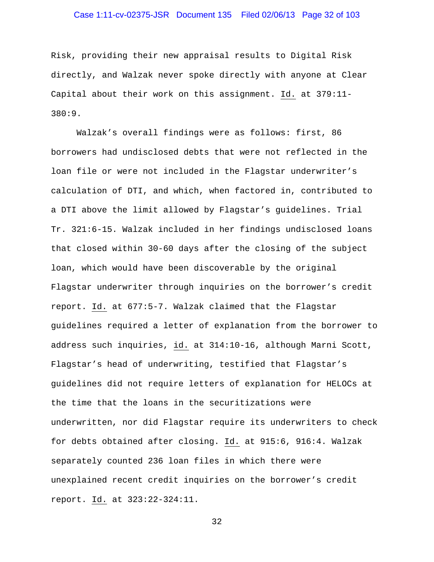## Case 1:11-cv-02375-JSR Document 135 Filed 02/06/13 Page 32 of 103

Risk, providing their new appraisal results to Digital Risk directly, and Walzak never spoke directly with anyone at Clear Capital about their work on this assignment. Id. at 379:11- 380:9.

Walzak's overall findings were as follows: first, 86 borrowers had undisclosed debts that were not reflected in the loan file or were not included in the Flagstar underwriter's calculation of DTI, and which, when factored in, contributed to a DTI above the limit allowed by Flagstar's guidelines. Trial Tr. 321:6-15. Walzak included in her findings undisclosed loans that closed within 30-60 days after the closing of the subject loan, which would have been discoverable by the original Flagstar underwriter through inquiries on the borrower's credit report. Id. at 677:5-7. Walzak claimed that the Flagstar guidelines required a letter of explanation from the borrower to address such inquiries, id. at 314:10-16, although Marni Scott, Flagstar's head of underwriting, testified that Flagstar's guidelines did not require letters of explanation for HELOCs at the time that the loans in the securitizations were underwritten, nor did Flagstar require its underwriters to check for debts obtained after closing. Id. at 915:6, 916:4. Walzak separately counted 236 loan files in which there were unexplained recent credit inquiries on the borrower's credit report. Id. at 323:22-324:11.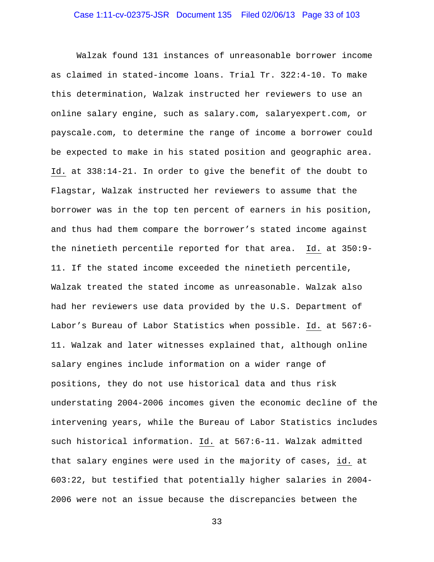Walzak found 131 instances of unreasonable borrower income as claimed in stated-income loans. Trial Tr. 322:4-10. To make this determination, Walzak instructed her reviewers to use an online salary engine, such as salary.com, salaryexpert.com, or payscale.com, to determine the range of income a borrower could be expected to make in his stated position and geographic area. Id. at 338:14-21. In order to give the benefit of the doubt to Flagstar, Walzak instructed her reviewers to assume that the borrower was in the top ten percent of earners in his position, and thus had them compare the borrower's stated income against the ninetieth percentile reported for that area. Id. at 350:9- 11. If the stated income exceeded the ninetieth percentile, Walzak treated the stated income as unreasonable. Walzak also had her reviewers use data provided by the U.S. Department of Labor's Bureau of Labor Statistics when possible. Id. at 567:6- 11. Walzak and later witnesses explained that, although online salary engines include information on a wider range of positions, they do not use historical data and thus risk understating 2004-2006 incomes given the economic decline of the intervening years, while the Bureau of Labor Statistics includes such historical information. Id. at 567:6-11. Walzak admitted that salary engines were used in the majority of cases, id. at 603:22, but testified that potentially higher salaries in 2004- 2006 were not an issue because the discrepancies between the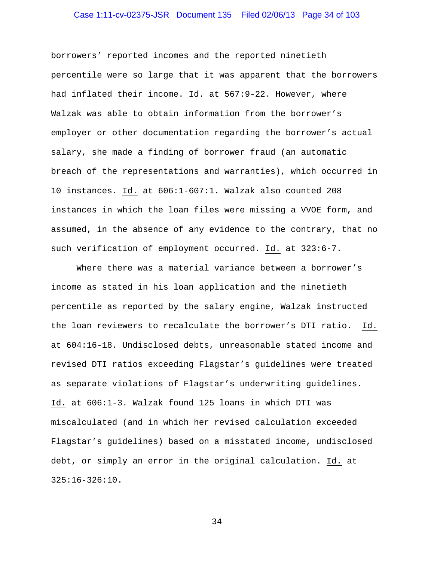## Case 1:11-cv-02375-JSR Document 135 Filed 02/06/13 Page 34 of 103

borrowers' reported incomes and the reported ninetieth percentile were so large that it was apparent that the borrowers had inflated their income. Id. at 567:9-22. However, where Walzak was able to obtain information from the borrower's employer or other documentation regarding the borrower's actual salary, she made a finding of borrower fraud (an automatic breach of the representations and warranties), which occurred in 10 instances. Id. at 606:1-607:1. Walzak also counted 208 instances in which the loan files were missing a VVOE form, and assumed, in the absence of any evidence to the contrary, that no such verification of employment occurred. Id. at 323:6-7.

Where there was a material variance between a borrower's income as stated in his loan application and the ninetieth percentile as reported by the salary engine, Walzak instructed the loan reviewers to recalculate the borrower's DTI ratio. Id. at 604:16-18. Undisclosed debts, unreasonable stated income and revised DTI ratios exceeding Flagstar's guidelines were treated as separate violations of Flagstar's underwriting guidelines. Id. at 606:1-3. Walzak found 125 loans in which DTI was miscalculated (and in which her revised calculation exceeded Flagstar's guidelines) based on a misstated income, undisclosed debt, or simply an error in the original calculation. Id. at 325:16-326:10.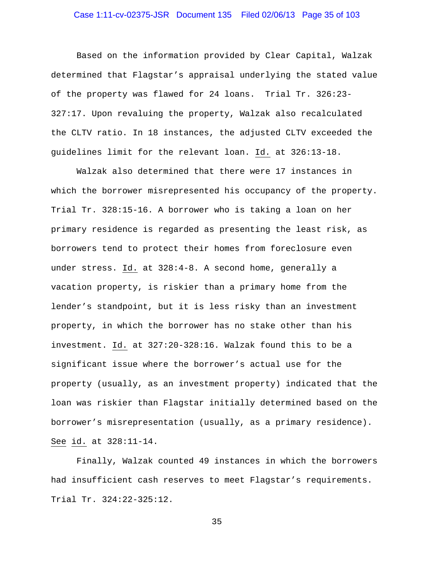## Case 1:11-cv-02375-JSR Document 135 Filed 02/06/13 Page 35 of 103

Based on the information provided by Clear Capital, Walzak determined that Flagstar's appraisal underlying the stated value of the property was flawed for 24 loans. Trial Tr. 326:23- 327:17. Upon revaluing the property, Walzak also recalculated the CLTV ratio. In 18 instances, the adjusted CLTV exceeded the guidelines limit for the relevant loan. Id. at 326:13-18.

Walzak also determined that there were 17 instances in which the borrower misrepresented his occupancy of the property. Trial Tr. 328:15-16. A borrower who is taking a loan on her primary residence is regarded as presenting the least risk, as borrowers tend to protect their homes from foreclosure even under stress. Id. at 328:4-8. A second home, generally a vacation property, is riskier than a primary home from the lender's standpoint, but it is less risky than an investment property, in which the borrower has no stake other than his investment. Id. at 327:20-328:16. Walzak found this to be a significant issue where the borrower's actual use for the property (usually, as an investment property) indicated that the loan was riskier than Flagstar initially determined based on the borrower's misrepresentation (usually, as a primary residence). See id. at 328:11-14.

Finally, Walzak counted 49 instances in which the borrowers had insufficient cash reserves to meet Flagstar's requirements. Trial Tr. 324:22-325:12.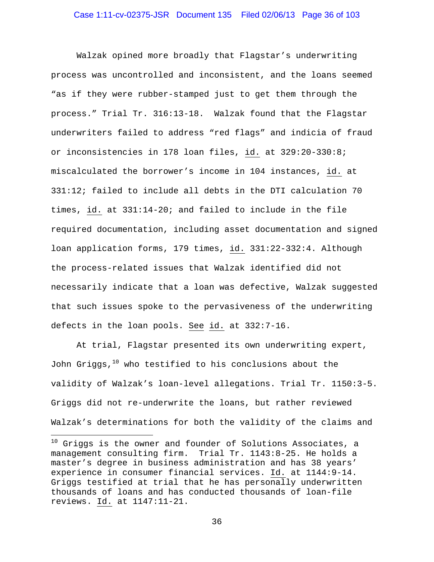Walzak opined more broadly that Flagstar's underwriting process was uncontrolled and inconsistent, and the loans seemed "as if they were rubber-stamped just to get them through the process." Trial Tr. 316:13-18. Walzak found that the Flagstar underwriters failed to address "red flags" and indicia of fraud or inconsistencies in 178 loan files, id. at 329:20-330:8; miscalculated the borrower's income in 104 instances, id. at 331:12; failed to include all debts in the DTI calculation 70 times, id. at 331:14-20; and failed to include in the file required documentation, including asset documentation and signed loan application forms, 179 times, id. 331:22-332:4. Although the process-related issues that Walzak identified did not necessarily indicate that a loan was defective, Walzak suggested that such issues spoke to the pervasiveness of the underwriting defects in the loan pools. See id. at 332:7-16.

At trial, Flagstar presented its own underwriting expert, John Griggs, $10$  who testified to his conclusions about the validity of Walzak's loan-level allegations. Trial Tr. 1150:3-5. Griggs did not re-underwrite the loans, but rather reviewed Walzak's determinations for both the validity of the claims and

 $^{10}$  Griggs is the owner and founder of Solutions Associates, a management consulting firm. Trial Tr. 1143:8-25. He holds a master's degree in business administration and has 38 years' experience in consumer financial services. Id. at 1144:9-14. Griggs testified at trial that he has personally underwritten thousands of loans and has conducted thousands of loan-file reviews. Id. at 1147:11-21.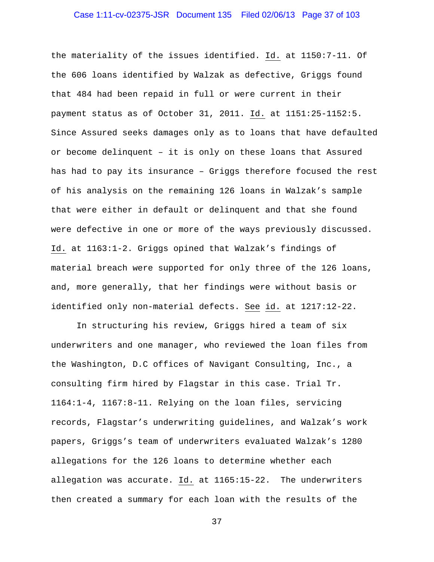# Case 1:11-cv-02375-JSR Document 135 Filed 02/06/13 Page 37 of 103

the materiality of the issues identified. Id. at 1150:7-11. Of the 606 loans identified by Walzak as defective, Griggs found that 484 had been repaid in full or were current in their payment status as of October 31, 2011. Id. at 1151:25-1152:5. Since Assured seeks damages only as to loans that have defaulted or become delinquent – it is only on these loans that Assured has had to pay its insurance – Griggs therefore focused the rest of his analysis on the remaining 126 loans in Walzak's sample that were either in default or delinquent and that she found were defective in one or more of the ways previously discussed. Id. at 1163:1-2. Griggs opined that Walzak's findings of material breach were supported for only three of the 126 loans, and, more generally, that her findings were without basis or identified only non-material defects. See id. at 1217:12-22.

In structuring his review, Griggs hired a team of six underwriters and one manager, who reviewed the loan files from the Washington, D.C offices of Navigant Consulting, Inc., a consulting firm hired by Flagstar in this case. Trial Tr. 1164:1-4, 1167:8-11. Relying on the loan files, servicing records, Flagstar's underwriting guidelines, and Walzak's work papers, Griggs's team of underwriters evaluated Walzak's 1280 allegations for the 126 loans to determine whether each allegation was accurate. Id. at 1165:15-22. The underwriters then created a summary for each loan with the results of the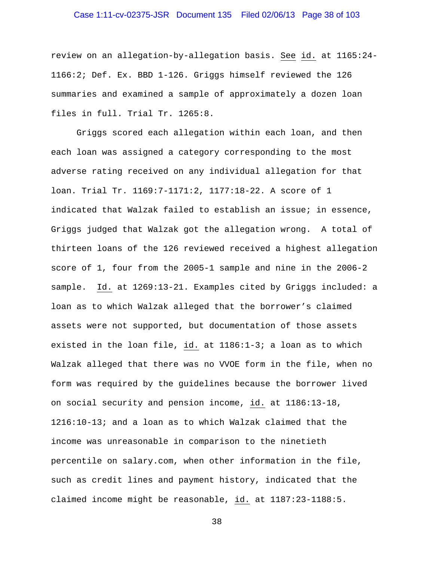# Case 1:11-cv-02375-JSR Document 135 Filed 02/06/13 Page 38 of 103

review on an allegation-by-allegation basis. See id. at 1165:24- 1166:2; Def. Ex. BBD 1-126. Griggs himself reviewed the 126 summaries and examined a sample of approximately a dozen loan files in full. Trial Tr. 1265:8.

Griggs scored each allegation within each loan, and then each loan was assigned a category corresponding to the most adverse rating received on any individual allegation for that loan. Trial Tr. 1169:7-1171:2, 1177:18-22. A score of 1 indicated that Walzak failed to establish an issue; in essence, Griggs judged that Walzak got the allegation wrong. A total of thirteen loans of the 126 reviewed received a highest allegation score of 1, four from the 2005-1 sample and nine in the 2006-2 sample. Id. at 1269:13-21. Examples cited by Griggs included: a loan as to which Walzak alleged that the borrower's claimed assets were not supported, but documentation of those assets existed in the loan file, id. at 1186:1-3; a loan as to which Walzak alleged that there was no VVOE form in the file, when no form was required by the guidelines because the borrower lived on social security and pension income, id. at 1186:13-18, 1216:10-13; and a loan as to which Walzak claimed that the income was unreasonable in comparison to the ninetieth percentile on salary.com, when other information in the file, such as credit lines and payment history, indicated that the claimed income might be reasonable, id. at 1187:23-1188:5.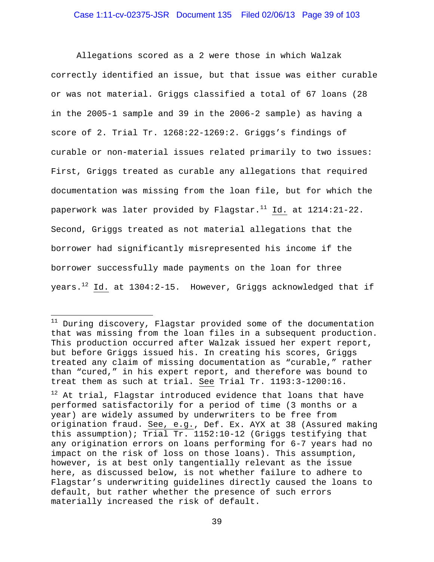Allegations scored as a 2 were those in which Walzak correctly identified an issue, but that issue was either curable or was not material. Griggs classified a total of 67 loans (28 in the 2005-1 sample and 39 in the 2006-2 sample) as having a score of 2. Trial Tr. 1268:22-1269:2. Griggs's findings of curable or non-material issues related primarily to two issues: First, Griggs treated as curable any allegations that required documentation was missing from the loan file, but for which the paperwork was later provided by Flagstar.<sup>11</sup> Id. at 1214:21-22. Second, Griggs treated as not material allegations that the borrower had significantly misrepresented his income if the borrower successfully made payments on the loan for three years.<sup>12</sup> Id. at 1304:2-15. However, Griggs acknowledged that if

 $\overline{a}$ 

<sup>&</sup>lt;sup>11</sup> During discovery, Flagstar provided some of the documentation that was missing from the loan files in a subsequent production. This production occurred after Walzak issued her expert report, but before Griggs issued his. In creating his scores, Griggs treated any claim of missing documentation as "curable," rather than "cured," in his expert report, and therefore was bound to treat them as such at trial. See Trial Tr. 1193:3-1200:16.

 $12$  At trial, Flagstar introduced evidence that loans that have performed satisfactorily for a period of time (3 months or a year) are widely assumed by underwriters to be free from origination fraud. See, e.g., Def. Ex. AYX at 38 (Assured making this assumption); Trial Tr. 1152:10-12 (Griggs testifying that any origination errors on loans performing for 6-7 years had no impact on the risk of loss on those loans). This assumption, however, is at best only tangentially relevant as the issue here, as discussed below, is not whether failure to adhere to Flagstar's underwriting guidelines directly caused the loans to default, but rather whether the presence of such errors materially increased the risk of default.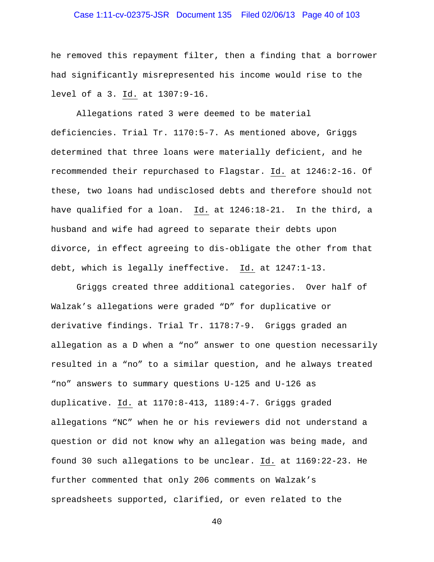# Case 1:11-cv-02375-JSR Document 135 Filed 02/06/13 Page 40 of 103

he removed this repayment filter, then a finding that a borrower had significantly misrepresented his income would rise to the level of a 3. Id. at 1307:9-16.

Allegations rated 3 were deemed to be material deficiencies. Trial Tr. 1170:5-7. As mentioned above, Griggs determined that three loans were materially deficient, and he recommended their repurchased to Flagstar. Id. at 1246:2-16. Of these, two loans had undisclosed debts and therefore should not have qualified for a loan. Id. at 1246:18-21. In the third, a husband and wife had agreed to separate their debts upon divorce, in effect agreeing to dis-obligate the other from that debt, which is legally ineffective. Id. at 1247:1-13.

Griggs created three additional categories. Over half of Walzak's allegations were graded "D" for duplicative or derivative findings. Trial Tr. 1178:7-9. Griggs graded an allegation as a D when a "no" answer to one question necessarily resulted in a "no" to a similar question, and he always treated "no" answers to summary questions U-125 and U-126 as duplicative. Id. at 1170:8-413, 1189:4-7. Griggs graded allegations "NC" when he or his reviewers did not understand a question or did not know why an allegation was being made, and found 30 such allegations to be unclear. Id. at 1169:22-23. He further commented that only 206 comments on Walzak's spreadsheets supported, clarified, or even related to the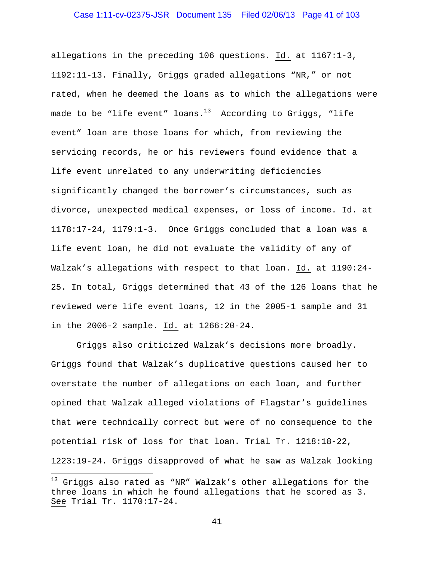allegations in the preceding 106 questions. Id. at 1167:1-3, 1192:11-13. Finally, Griggs graded allegations "NR," or not rated, when he deemed the loans as to which the allegations were made to be "life event" loans. $^{13}$  According to Griggs, "life event" loan are those loans for which, from reviewing the servicing records, he or his reviewers found evidence that a life event unrelated to any underwriting deficiencies significantly changed the borrower's circumstances, such as divorce, unexpected medical expenses, or loss of income. Id. at 1178:17-24, 1179:1-3. Once Griggs concluded that a loan was a life event loan, he did not evaluate the validity of any of Walzak's allegations with respect to that loan. Id. at 1190:24- 25. In total, Griggs determined that 43 of the 126 loans that he reviewed were life event loans, 12 in the 2005-1 sample and 31 in the 2006-2 sample. Id. at 1266:20-24.

Griggs also criticized Walzak's decisions more broadly. Griggs found that Walzak's duplicative questions caused her to overstate the number of allegations on each loan, and further opined that Walzak alleged violations of Flagstar's guidelines that were technically correct but were of no consequence to the potential risk of loss for that loan. Trial Tr. 1218:18-22, 1223:19-24. Griggs disapproved of what he saw as Walzak looking

 $\overline{a}$ 

<sup>&</sup>lt;sup>13</sup> Griggs also rated as "NR" Walzak's other allegations for the three loans in which he found allegations that he scored as 3. See Trial Tr. 1170:17-24.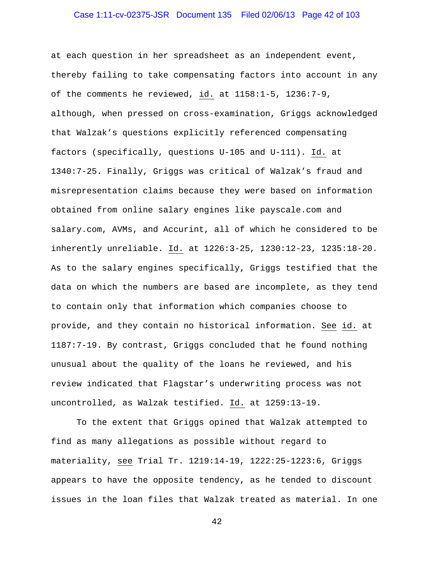# Case 1:11-cv-02375-JSR Document 135 Filed 02/06/13 Page 42 of 103

at each question in her spreadsheet as an independent event, thereby failing to take compensating factors into account in any of the comments he reviewed, id. at 1158:1-5, 1236:7-9, although, when pressed on cross-examination, Griggs acknowledged that Walzak's questions explicitly referenced compensating factors (specifically, questions U-105 and U-111). Id. at 1340:7-25. Finally, Griggs was critical of Walzak's fraud and misrepresentation claims because they were based on information obtained from online salary engines like payscale.com and salary.com, AVMs, and Accurint, all of which he considered to be inherently unreliable. Id. at 1226:3-25, 1230:12-23, 1235:18-20. As to the salary engines specifically, Griggs testified that the data on which the numbers are based are incomplete, as they tend to contain only that information which companies choose to provide, and they contain no historical information. See id. at 1187:7-19. By contrast, Griggs concluded that he found nothing unusual about the quality of the loans he reviewed, and his review indicated that Flagstar's underwriting process was not uncontrolled, as Walzak testified. Id. at 1259:13-19.

To the extent that Griggs opined that Walzak attempted to find as many allegations as possible without regard to materiality, see Trial Tr. 1219:14-19, 1222:25-1223:6, Griggs appears to have the opposite tendency, as he tended to discount issues in the loan files that Walzak treated as material. In one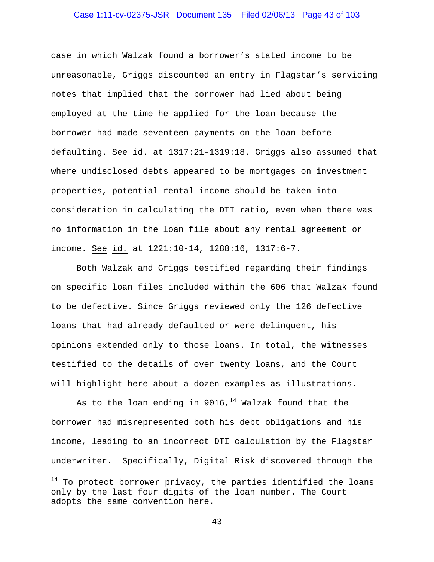# Case 1:11-cv-02375-JSR Document 135 Filed 02/06/13 Page 43 of 103

case in which Walzak found a borrower's stated income to be unreasonable, Griggs discounted an entry in Flagstar's servicing notes that implied that the borrower had lied about being employed at the time he applied for the loan because the borrower had made seventeen payments on the loan before defaulting. See id. at 1317:21-1319:18. Griggs also assumed that where undisclosed debts appeared to be mortgages on investment properties, potential rental income should be taken into consideration in calculating the DTI ratio, even when there was no information in the loan file about any rental agreement or income. See id. at 1221:10-14, 1288:16, 1317:6-7.

Both Walzak and Griggs testified regarding their findings on specific loan files included within the 606 that Walzak found to be defective. Since Griggs reviewed only the 126 defective loans that had already defaulted or were delinquent, his opinions extended only to those loans. In total, the witnesses testified to the details of over twenty loans, and the Court will highlight here about a dozen examples as illustrations.

As to the loan ending in 9016, $14$  Walzak found that the borrower had misrepresented both his debt obligations and his income, leading to an incorrect DTI calculation by the Flagstar underwriter. Specifically, Digital Risk discovered through the

 $\overline{a}$ 

 $14$  To protect borrower privacy, the parties identified the loans only by the last four digits of the loan number. The Court adopts the same convention here.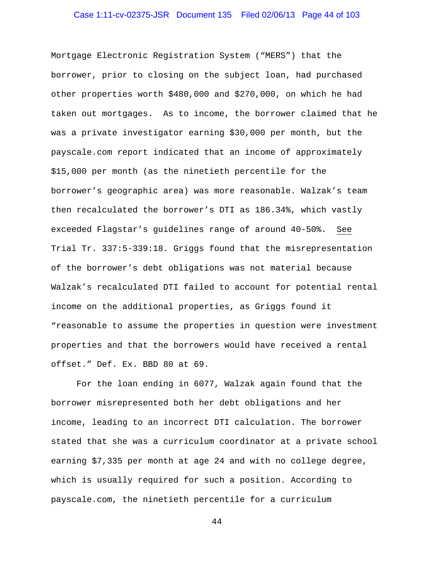# Case 1:11-cv-02375-JSR Document 135 Filed 02/06/13 Page 44 of 103

Mortgage Electronic Registration System ("MERS") that the borrower, prior to closing on the subject loan, had purchased other properties worth \$480,000 and \$270,000, on which he had taken out mortgages. As to income, the borrower claimed that he was a private investigator earning \$30,000 per month, but the payscale.com report indicated that an income of approximately \$15,000 per month (as the ninetieth percentile for the borrower's geographic area) was more reasonable. Walzak's team then recalculated the borrower's DTI as 186.34%, which vastly exceeded Flagstar's guidelines range of around 40-50%. See Trial Tr. 337:5-339:18. Griggs found that the misrepresentation of the borrower's debt obligations was not material because Walzak's recalculated DTI failed to account for potential rental income on the additional properties, as Griggs found it "reasonable to assume the properties in question were investment properties and that the borrowers would have received a rental offset." Def. Ex. BBD 80 at 69.

For the loan ending in 6077, Walzak again found that the borrower misrepresented both her debt obligations and her income, leading to an incorrect DTI calculation. The borrower stated that she was a curriculum coordinator at a private school earning \$7,335 per month at age 24 and with no college degree, which is usually required for such a position. According to payscale.com, the ninetieth percentile for a curriculum

```
44
```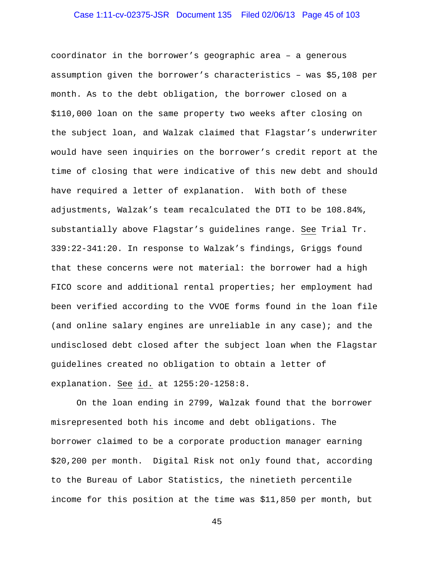# Case 1:11-cv-02375-JSR Document 135 Filed 02/06/13 Page 45 of 103

coordinator in the borrower's geographic area – a generous assumption given the borrower's characteristics – was \$5,108 per month. As to the debt obligation, the borrower closed on a \$110,000 loan on the same property two weeks after closing on the subject loan, and Walzak claimed that Flagstar's underwriter would have seen inquiries on the borrower's credit report at the time of closing that were indicative of this new debt and should have required a letter of explanation. With both of these adjustments, Walzak's team recalculated the DTI to be 108.84%, substantially above Flagstar's guidelines range. See Trial Tr. 339:22-341:20. In response to Walzak's findings, Griggs found that these concerns were not material: the borrower had a high FICO score and additional rental properties; her employment had been verified according to the VVOE forms found in the loan file (and online salary engines are unreliable in any case); and the undisclosed debt closed after the subject loan when the Flagstar guidelines created no obligation to obtain a letter of explanation. See id. at 1255:20-1258:8.

On the loan ending in 2799, Walzak found that the borrower misrepresented both his income and debt obligations. The borrower claimed to be a corporate production manager earning \$20,200 per month. Digital Risk not only found that, according to the Bureau of Labor Statistics, the ninetieth percentile income for this position at the time was \$11,850 per month, but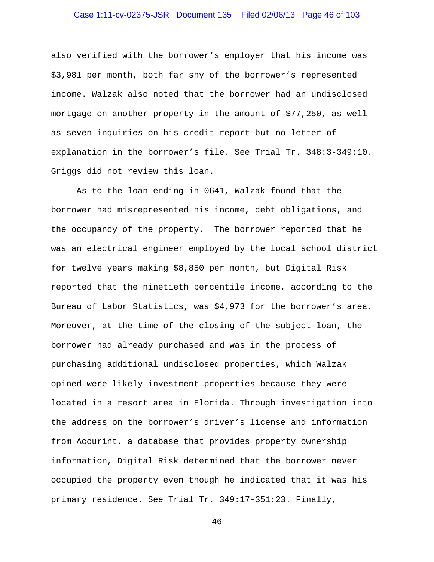# Case 1:11-cv-02375-JSR Document 135 Filed 02/06/13 Page 46 of 103

also verified with the borrower's employer that his income was \$3,981 per month, both far shy of the borrower's represented income. Walzak also noted that the borrower had an undisclosed mortgage on another property in the amount of \$77,250, as well as seven inquiries on his credit report but no letter of explanation in the borrower's file. See Trial Tr. 348:3-349:10. Griggs did not review this loan.

As to the loan ending in 0641, Walzak found that the borrower had misrepresented his income, debt obligations, and the occupancy of the property. The borrower reported that he was an electrical engineer employed by the local school district for twelve years making \$8,850 per month, but Digital Risk reported that the ninetieth percentile income, according to the Bureau of Labor Statistics, was \$4,973 for the borrower's area. Moreover, at the time of the closing of the subject loan, the borrower had already purchased and was in the process of purchasing additional undisclosed properties, which Walzak opined were likely investment properties because they were located in a resort area in Florida. Through investigation into the address on the borrower's driver's license and information from Accurint, a database that provides property ownership information, Digital Risk determined that the borrower never occupied the property even though he indicated that it was his primary residence. See Trial Tr. 349:17-351:23. Finally,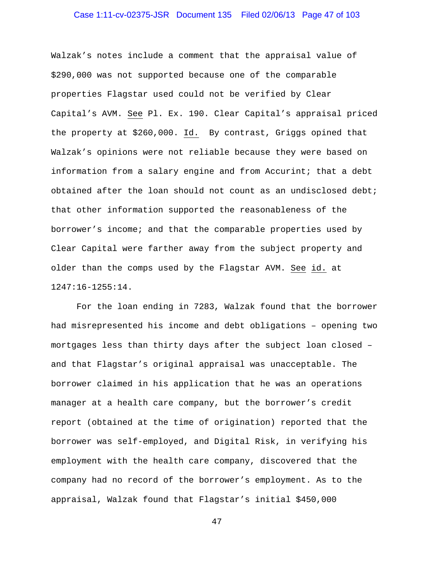# Case 1:11-cv-02375-JSR Document 135 Filed 02/06/13 Page 47 of 103

Walzak's notes include a comment that the appraisal value of \$290,000 was not supported because one of the comparable properties Flagstar used could not be verified by Clear Capital's AVM. See Pl. Ex. 190. Clear Capital's appraisal priced the property at \$260,000. Id. By contrast, Griggs opined that Walzak's opinions were not reliable because they were based on information from a salary engine and from Accurint; that a debt obtained after the loan should not count as an undisclosed debt; that other information supported the reasonableness of the borrower's income; and that the comparable properties used by Clear Capital were farther away from the subject property and older than the comps used by the Flagstar AVM. See id. at 1247:16-1255:14.

For the loan ending in 7283, Walzak found that the borrower had misrepresented his income and debt obligations – opening two mortgages less than thirty days after the subject loan closed – and that Flagstar's original appraisal was unacceptable. The borrower claimed in his application that he was an operations manager at a health care company, but the borrower's credit report (obtained at the time of origination) reported that the borrower was self-employed, and Digital Risk, in verifying his employment with the health care company, discovered that the company had no record of the borrower's employment. As to the appraisal, Walzak found that Flagstar's initial \$450,000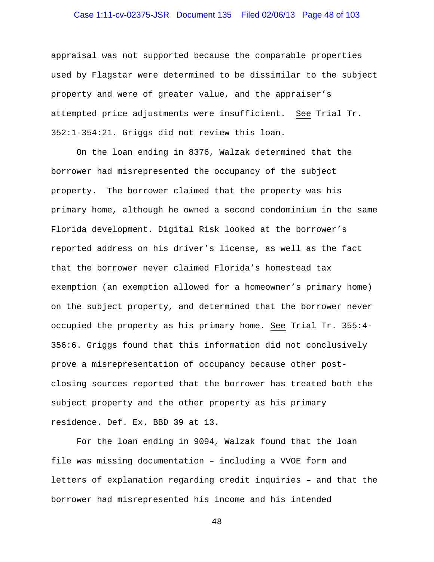# Case 1:11-cv-02375-JSR Document 135 Filed 02/06/13 Page 48 of 103

appraisal was not supported because the comparable properties used by Flagstar were determined to be dissimilar to the subject property and were of greater value, and the appraiser's attempted price adjustments were insufficient. See Trial Tr. 352:1-354:21. Griggs did not review this loan.

On the loan ending in 8376, Walzak determined that the borrower had misrepresented the occupancy of the subject property. The borrower claimed that the property was his primary home, although he owned a second condominium in the same Florida development. Digital Risk looked at the borrower's reported address on his driver's license, as well as the fact that the borrower never claimed Florida's homestead tax exemption (an exemption allowed for a homeowner's primary home) on the subject property, and determined that the borrower never occupied the property as his primary home. See Trial Tr. 355:4- 356:6. Griggs found that this information did not conclusively prove a misrepresentation of occupancy because other postclosing sources reported that the borrower has treated both the subject property and the other property as his primary residence. Def. Ex. BBD 39 at 13.

For the loan ending in 9094, Walzak found that the loan file was missing documentation – including a VVOE form and letters of explanation regarding credit inquiries – and that the borrower had misrepresented his income and his intended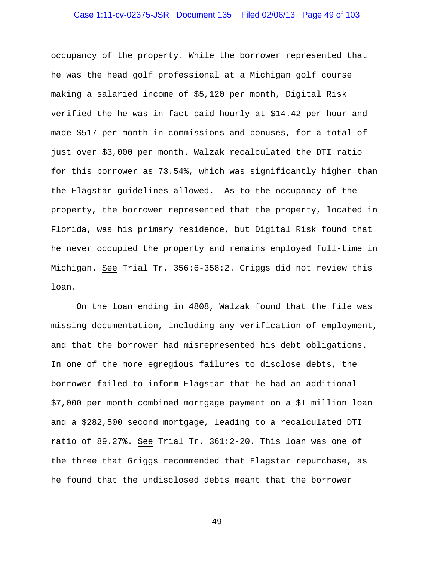# Case 1:11-cv-02375-JSR Document 135 Filed 02/06/13 Page 49 of 103

occupancy of the property. While the borrower represented that he was the head golf professional at a Michigan golf course making a salaried income of \$5,120 per month, Digital Risk verified the he was in fact paid hourly at \$14.42 per hour and made \$517 per month in commissions and bonuses, for a total of just over \$3,000 per month. Walzak recalculated the DTI ratio for this borrower as 73.54%, which was significantly higher than the Flagstar guidelines allowed. As to the occupancy of the property, the borrower represented that the property, located in Florida, was his primary residence, but Digital Risk found that he never occupied the property and remains employed full-time in Michigan. See Trial Tr. 356:6-358:2. Griggs did not review this loan.

On the loan ending in 4808, Walzak found that the file was missing documentation, including any verification of employment, and that the borrower had misrepresented his debt obligations. In one of the more egregious failures to disclose debts, the borrower failed to inform Flagstar that he had an additional \$7,000 per month combined mortgage payment on a \$1 million loan and a \$282,500 second mortgage, leading to a recalculated DTI ratio of 89.27%. See Trial Tr. 361:2-20. This loan was one of the three that Griggs recommended that Flagstar repurchase, as he found that the undisclosed debts meant that the borrower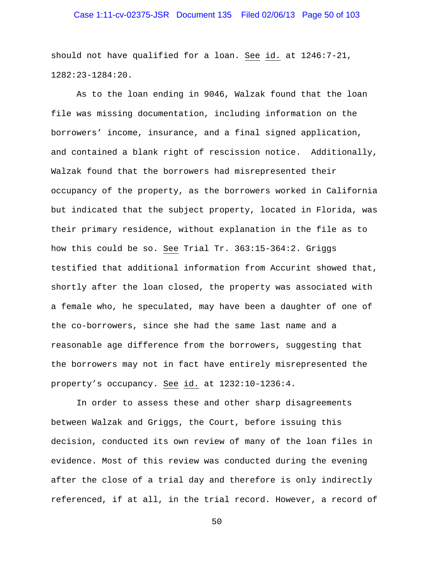# Case 1:11-cv-02375-JSR Document 135 Filed 02/06/13 Page 50 of 103

should not have qualified for a loan. See id. at 1246:7-21, 1282:23-1284:20.

As to the loan ending in 9046, Walzak found that the loan file was missing documentation, including information on the borrowers' income, insurance, and a final signed application, and contained a blank right of rescission notice. Additionally, Walzak found that the borrowers had misrepresented their occupancy of the property, as the borrowers worked in California but indicated that the subject property, located in Florida, was their primary residence, without explanation in the file as to how this could be so. See Trial Tr. 363:15-364:2. Griggs testified that additional information from Accurint showed that, shortly after the loan closed, the property was associated with a female who, he speculated, may have been a daughter of one of the co-borrowers, since she had the same last name and a reasonable age difference from the borrowers, suggesting that the borrowers may not in fact have entirely misrepresented the property's occupancy. See id. at 1232:10-1236:4.

In order to assess these and other sharp disagreements between Walzak and Griggs, the Court, before issuing this decision, conducted its own review of many of the loan files in evidence. Most of this review was conducted during the evening after the close of a trial day and therefore is only indirectly referenced, if at all, in the trial record. However, a record of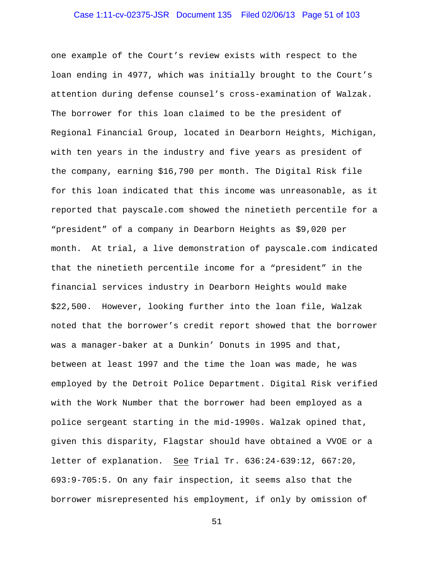# Case 1:11-cv-02375-JSR Document 135 Filed 02/06/13 Page 51 of 103

one example of the Court's review exists with respect to the loan ending in 4977, which was initially brought to the Court's attention during defense counsel's cross-examination of Walzak. The borrower for this loan claimed to be the president of Regional Financial Group, located in Dearborn Heights, Michigan, with ten years in the industry and five years as president of the company, earning \$16,790 per month. The Digital Risk file for this loan indicated that this income was unreasonable, as it reported that payscale.com showed the ninetieth percentile for a "president" of a company in Dearborn Heights as \$9,020 per month. At trial, a live demonstration of payscale.com indicated that the ninetieth percentile income for a "president" in the financial services industry in Dearborn Heights would make \$22,500. However, looking further into the loan file, Walzak noted that the borrower's credit report showed that the borrower was a manager-baker at a Dunkin' Donuts in 1995 and that, between at least 1997 and the time the loan was made, he was employed by the Detroit Police Department. Digital Risk verified with the Work Number that the borrower had been employed as a police sergeant starting in the mid-1990s. Walzak opined that, given this disparity, Flagstar should have obtained a VVOE or a letter of explanation. See Trial Tr. 636:24-639:12, 667:20, 693:9-705:5. On any fair inspection, it seems also that the borrower misrepresented his employment, if only by omission of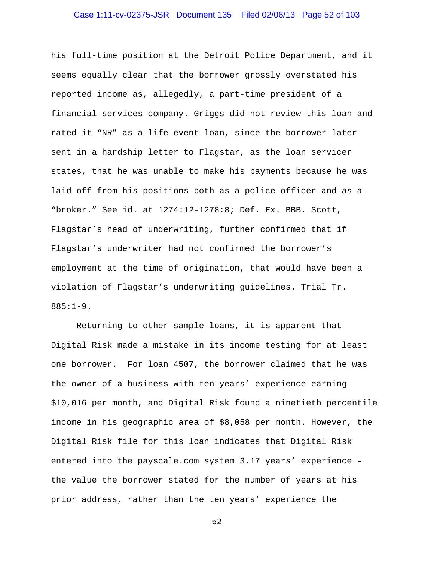# Case 1:11-cv-02375-JSR Document 135 Filed 02/06/13 Page 52 of 103

his full-time position at the Detroit Police Department, and it seems equally clear that the borrower grossly overstated his reported income as, allegedly, a part-time president of a financial services company. Griggs did not review this loan and rated it "NR" as a life event loan, since the borrower later sent in a hardship letter to Flagstar, as the loan servicer states, that he was unable to make his payments because he was laid off from his positions both as a police officer and as a "broker." See id. at 1274:12-1278:8; Def. Ex. BBB. Scott, Flagstar's head of underwriting, further confirmed that if Flagstar's underwriter had not confirmed the borrower's employment at the time of origination, that would have been a violation of Flagstar's underwriting guidelines. Trial Tr. 885:1-9.

Returning to other sample loans, it is apparent that Digital Risk made a mistake in its income testing for at least one borrower. For loan 4507, the borrower claimed that he was the owner of a business with ten years' experience earning \$10,016 per month, and Digital Risk found a ninetieth percentile income in his geographic area of \$8,058 per month. However, the Digital Risk file for this loan indicates that Digital Risk entered into the payscale.com system 3.17 years' experience – the value the borrower stated for the number of years at his prior address, rather than the ten years' experience the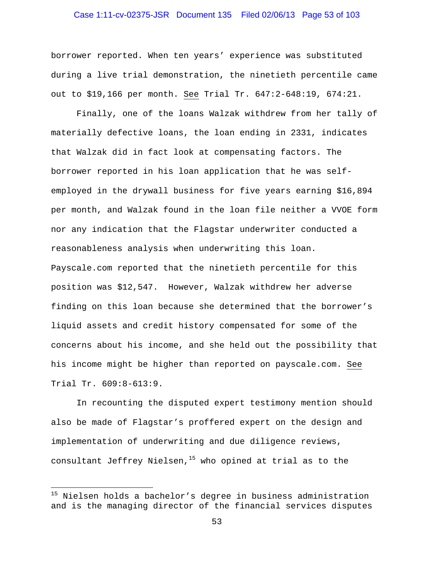# Case 1:11-cv-02375-JSR Document 135 Filed 02/06/13 Page 53 of 103

borrower reported. When ten years' experience was substituted during a live trial demonstration, the ninetieth percentile came out to \$19,166 per month. See Trial Tr. 647:2-648:19, 674:21.

Finally, one of the loans Walzak withdrew from her tally of materially defective loans, the loan ending in 2331, indicates that Walzak did in fact look at compensating factors. The borrower reported in his loan application that he was selfemployed in the drywall business for five years earning \$16,894 per month, and Walzak found in the loan file neither a VVOE form nor any indication that the Flagstar underwriter conducted a reasonableness analysis when underwriting this loan. Payscale.com reported that the ninetieth percentile for this position was \$12,547. However, Walzak withdrew her adverse finding on this loan because she determined that the borrower's liquid assets and credit history compensated for some of the concerns about his income, and she held out the possibility that his income might be higher than reported on payscale.com. See Trial Tr. 609:8-613:9.

In recounting the disputed expert testimony mention should also be made of Flagstar's proffered expert on the design and implementation of underwriting and due diligence reviews, consultant Jeffrey Nielsen, $15$  who opined at trial as to the

 $\overline{a}$ 

<sup>&</sup>lt;sup>15</sup> Nielsen holds a bachelor's degree in business administration and is the managing director of the financial services disputes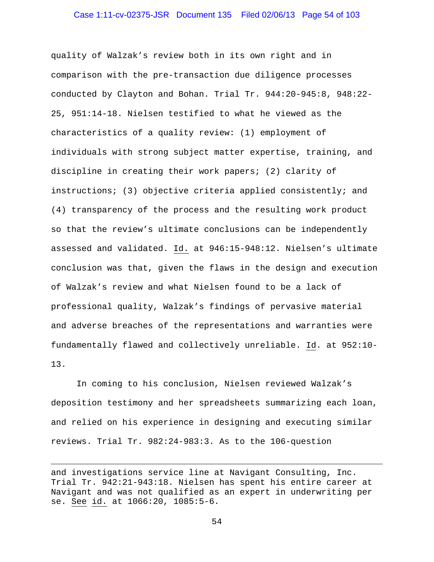# Case 1:11-cv-02375-JSR Document 135 Filed 02/06/13 Page 54 of 103

quality of Walzak's review both in its own right and in comparison with the pre-transaction due diligence processes conducted by Clayton and Bohan. Trial Tr. 944:20-945:8, 948:22- 25, 951:14-18. Nielsen testified to what he viewed as the characteristics of a quality review: (1) employment of individuals with strong subject matter expertise, training, and discipline in creating their work papers; (2) clarity of instructions; (3) objective criteria applied consistently; and (4) transparency of the process and the resulting work product so that the review's ultimate conclusions can be independently assessed and validated. Id. at 946:15-948:12. Nielsen's ultimate conclusion was that, given the flaws in the design and execution of Walzak's review and what Nielsen found to be a lack of professional quality, Walzak's findings of pervasive material and adverse breaches of the representations and warranties were fundamentally flawed and collectively unreliable. Id. at 952:10- 13.

In coming to his conclusion, Nielsen reviewed Walzak's deposition testimony and her spreadsheets summarizing each loan, and relied on his experience in designing and executing similar reviews. Trial Tr. 982:24-983:3. As to the 106-question

1

and investigations service line at Navigant Consulting, Inc. Trial Tr. 942:21-943:18. Nielsen has spent his entire career at Navigant and was not qualified as an expert in underwriting per se. See id. at 1066:20, 1085:5-6.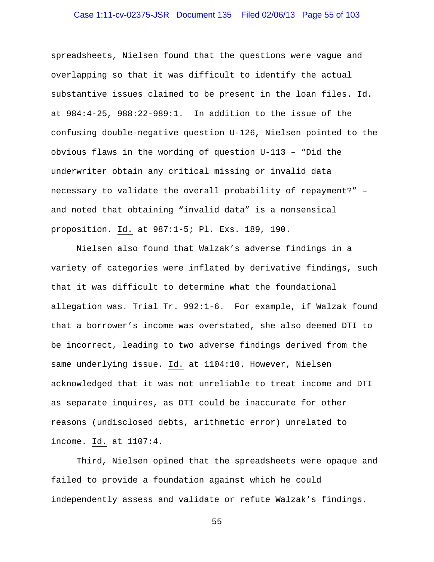# Case 1:11-cv-02375-JSR Document 135 Filed 02/06/13 Page 55 of 103

spreadsheets, Nielsen found that the questions were vague and overlapping so that it was difficult to identify the actual substantive issues claimed to be present in the loan files. Id. at 984:4-25, 988:22-989:1. In addition to the issue of the confusing double-negative question U-126, Nielsen pointed to the obvious flaws in the wording of question U-113 – "Did the underwriter obtain any critical missing or invalid data necessary to validate the overall probability of repayment?" – and noted that obtaining "invalid data" is a nonsensical proposition. Id. at 987:1-5; Pl. Exs. 189, 190.

Nielsen also found that Walzak's adverse findings in a variety of categories were inflated by derivative findings, such that it was difficult to determine what the foundational allegation was. Trial Tr. 992:1-6. For example, if Walzak found that a borrower's income was overstated, she also deemed DTI to be incorrect, leading to two adverse findings derived from the same underlying issue. Id. at 1104:10. However, Nielsen acknowledged that it was not unreliable to treat income and DTI as separate inquires, as DTI could be inaccurate for other reasons (undisclosed debts, arithmetic error) unrelated to income. Id. at 1107:4.

Third, Nielsen opined that the spreadsheets were opaque and failed to provide a foundation against which he could independently assess and validate or refute Walzak's findings.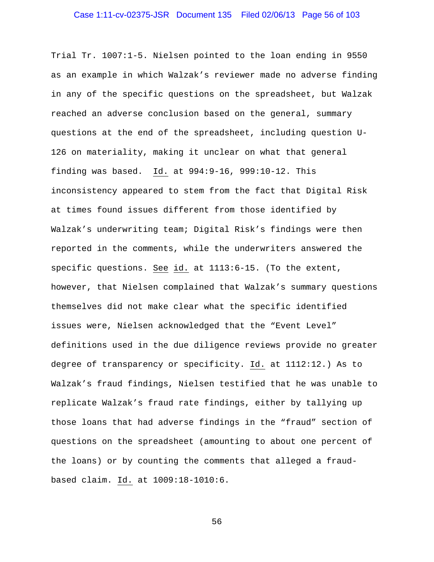# Case 1:11-cv-02375-JSR Document 135 Filed 02/06/13 Page 56 of 103

Trial Tr. 1007:1-5. Nielsen pointed to the loan ending in 9550 as an example in which Walzak's reviewer made no adverse finding in any of the specific questions on the spreadsheet, but Walzak reached an adverse conclusion based on the general, summary questions at the end of the spreadsheet, including question U-126 on materiality, making it unclear on what that general finding was based. Id. at 994:9-16, 999:10-12. This inconsistency appeared to stem from the fact that Digital Risk at times found issues different from those identified by Walzak's underwriting team; Digital Risk's findings were then reported in the comments, while the underwriters answered the specific questions. See id. at 1113:6-15. (To the extent, however, that Nielsen complained that Walzak's summary questions themselves did not make clear what the specific identified issues were, Nielsen acknowledged that the "Event Level" definitions used in the due diligence reviews provide no greater degree of transparency or specificity. Id. at 1112:12.) As to Walzak's fraud findings, Nielsen testified that he was unable to replicate Walzak's fraud rate findings, either by tallying up those loans that had adverse findings in the "fraud" section of questions on the spreadsheet (amounting to about one percent of the loans) or by counting the comments that alleged a fraudbased claim. Id. at 1009:18-1010:6.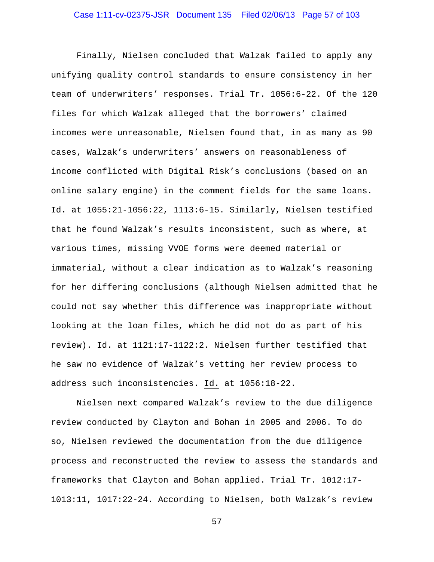Finally, Nielsen concluded that Walzak failed to apply any unifying quality control standards to ensure consistency in her team of underwriters' responses. Trial Tr. 1056:6-22. Of the 120 files for which Walzak alleged that the borrowers' claimed incomes were unreasonable, Nielsen found that, in as many as 90 cases, Walzak's underwriters' answers on reasonableness of income conflicted with Digital Risk's conclusions (based on an online salary engine) in the comment fields for the same loans. Id. at 1055:21-1056:22, 1113:6-15. Similarly, Nielsen testified that he found Walzak's results inconsistent, such as where, at various times, missing VVOE forms were deemed material or immaterial, without a clear indication as to Walzak's reasoning for her differing conclusions (although Nielsen admitted that he could not say whether this difference was inappropriate without looking at the loan files, which he did not do as part of his review). Id. at 1121:17-1122:2. Nielsen further testified that he saw no evidence of Walzak's vetting her review process to address such inconsistencies. Id. at 1056**:**18-22.

Nielsen next compared Walzak's review to the due diligence review conducted by Clayton and Bohan in 2005 and 2006. To do so, Nielsen reviewed the documentation from the due diligence process and reconstructed the review to assess the standards and frameworks that Clayton and Bohan applied. Trial Tr. 1012:17- 1013:11, 1017:22-24. According to Nielsen, both Walzak's review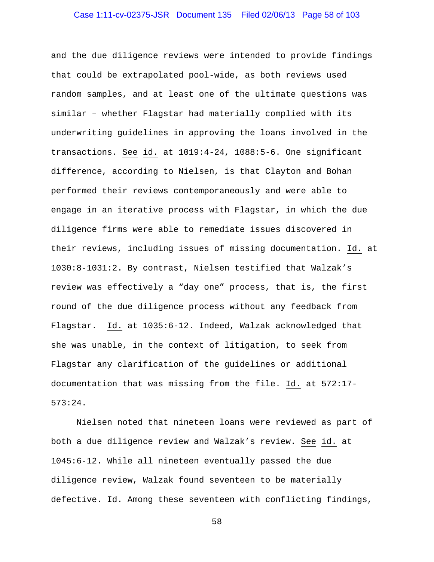# Case 1:11-cv-02375-JSR Document 135 Filed 02/06/13 Page 58 of 103

and the due diligence reviews were intended to provide findings that could be extrapolated pool-wide, as both reviews used random samples, and at least one of the ultimate questions was similar – whether Flagstar had materially complied with its underwriting guidelines in approving the loans involved in the transactions. See id. at 1019:4-24, 1088:5-6. One significant difference, according to Nielsen, is that Clayton and Bohan performed their reviews contemporaneously and were able to engage in an iterative process with Flagstar, in which the due diligence firms were able to remediate issues discovered in their reviews, including issues of missing documentation. Id. at 1030:8-1031:2. By contrast, Nielsen testified that Walzak's review was effectively a "day one" process, that is, the first round of the due diligence process without any feedback from Flagstar. Id. at 1035:6-12. Indeed, Walzak acknowledged that she was unable, in the context of litigation, to seek from Flagstar any clarification of the guidelines or additional documentation that was missing from the file. Id. at 572:17- 573:24.

Nielsen noted that nineteen loans were reviewed as part of both a due diligence review and Walzak's review. See id. at 1045:6-12. While all nineteen eventually passed the due diligence review, Walzak found seventeen to be materially defective. Id. Among these seventeen with conflicting findings,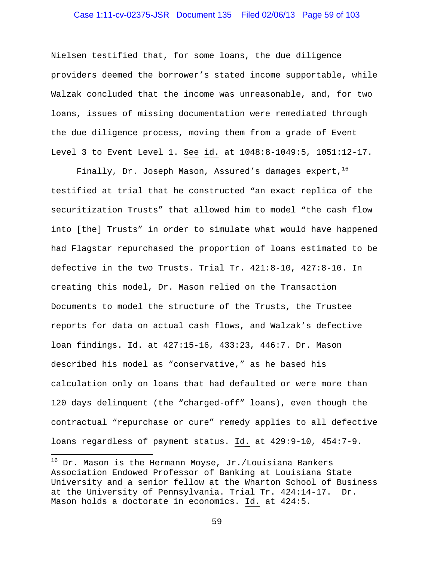# Case 1:11-cv-02375-JSR Document 135 Filed 02/06/13 Page 59 of 103

Nielsen testified that, for some loans, the due diligence providers deemed the borrower's stated income supportable, while Walzak concluded that the income was unreasonable, and, for two loans, issues of missing documentation were remediated through the due diligence process, moving them from a grade of Event Level 3 to Event Level 1. See id. at 1048:8-1049:5, 1051:12-17.

Finally, Dr. Joseph Mason, Assured's damages expert,  $16$ testified at trial that he constructed "an exact replica of the securitization Trusts" that allowed him to model "the cash flow into [the] Trusts" in order to simulate what would have happened had Flagstar repurchased the proportion of loans estimated to be defective in the two Trusts. Trial Tr. 421:8-10, 427:8-10. In creating this model, Dr. Mason relied on the Transaction Documents to model the structure of the Trusts, the Trustee reports for data on actual cash flows, and Walzak's defective loan findings. Id. at 427:15-16, 433:23, 446:7. Dr. Mason described his model as "conservative," as he based his calculation only on loans that had defaulted or were more than 120 days delinquent (the "charged-off" loans), even though the contractual "repurchase or cure" remedy applies to all defective loans regardless of payment status. Id. at 429:9-10, 454:7-9.

 $\overline{a}$ 

 $^{16}$  Dr. Mason is the Hermann Moyse, Jr./Louisiana Bankers Association Endowed Professor of Banking at Louisiana State University and a senior fellow at the Wharton School of Business at the University of Pennsylvania. Trial Tr. 424:14-17. Dr. Mason holds a doctorate in economics. Id. at 424:5.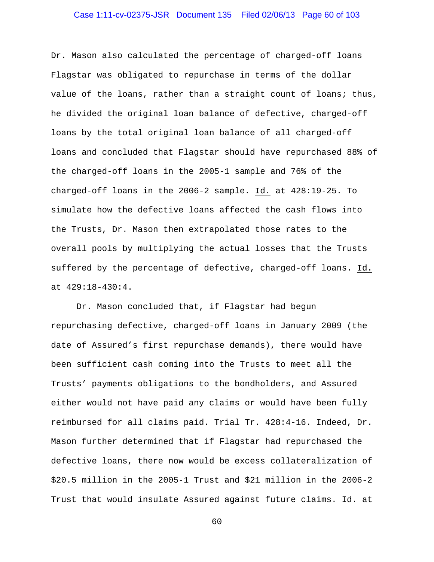# Case 1:11-cv-02375-JSR Document 135 Filed 02/06/13 Page 60 of 103

Dr. Mason also calculated the percentage of charged-off loans Flagstar was obligated to repurchase in terms of the dollar value of the loans, rather than a straight count of loans; thus, he divided the original loan balance of defective, charged-off loans by the total original loan balance of all charged-off loans and concluded that Flagstar should have repurchased 88% of the charged-off loans in the 2005-1 sample and 76% of the charged-off loans in the 2006-2 sample. Id. at 428:19-25. To simulate how the defective loans affected the cash flows into the Trusts, Dr. Mason then extrapolated those rates to the overall pools by multiplying the actual losses that the Trusts suffered by the percentage of defective, charged-off loans. Id. at 429:18-430:4.

Dr. Mason concluded that, if Flagstar had begun repurchasing defective, charged-off loans in January 2009 (the date of Assured's first repurchase demands), there would have been sufficient cash coming into the Trusts to meet all the Trusts' payments obligations to the bondholders, and Assured either would not have paid any claims or would have been fully reimbursed for all claims paid. Trial Tr. 428:4-16. Indeed, Dr. Mason further determined that if Flagstar had repurchased the defective loans, there now would be excess collateralization of \$20.5 million in the 2005-1 Trust and \$21 million in the 2006-2 Trust that would insulate Assured against future claims. Id. at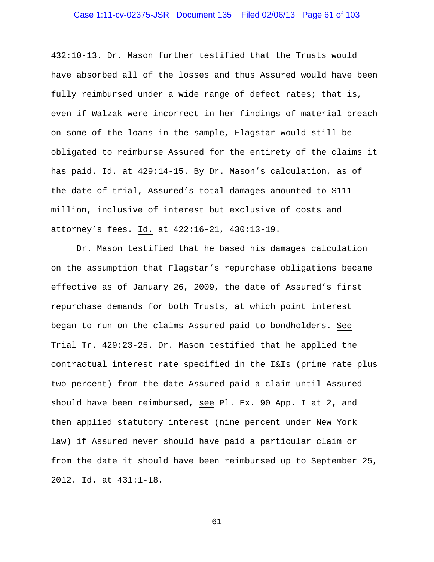# Case 1:11-cv-02375-JSR Document 135 Filed 02/06/13 Page 61 of 103

432:10-13. Dr. Mason further testified that the Trusts would have absorbed all of the losses and thus Assured would have been fully reimbursed under a wide range of defect rates; that is, even if Walzak were incorrect in her findings of material breach on some of the loans in the sample, Flagstar would still be obligated to reimburse Assured for the entirety of the claims it has paid. Id. at 429:14-15. By Dr. Mason's calculation, as of the date of trial, Assured's total damages amounted to \$111 million, inclusive of interest but exclusive of costs and attorney's fees. Id. at 422:16-21, 430:13-19.

Dr. Mason testified that he based his damages calculation on the assumption that Flagstar's repurchase obligations became effective as of January 26, 2009, the date of Assured's first repurchase demands for both Trusts, at which point interest began to run on the claims Assured paid to bondholders. See Trial Tr. 429:23-25. Dr. Mason testified that he applied the contractual interest rate specified in the I&Is (prime rate plus two percent) from the date Assured paid a claim until Assured should have been reimbursed, see Pl. Ex. 90 App. I at 2**,** and then applied statutory interest (nine percent under New York law) if Assured never should have paid a particular claim or from the date it should have been reimbursed up to September 25, 2012. Id. at 431:1-18.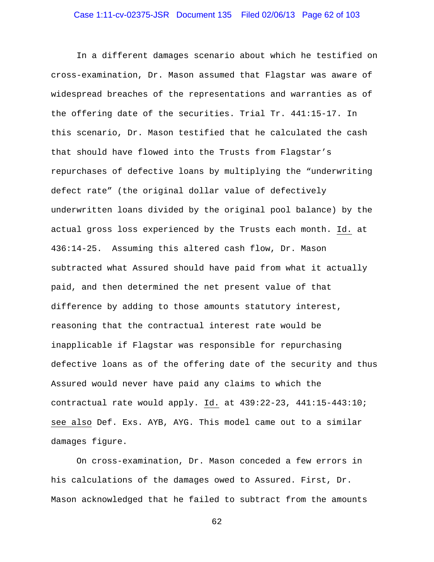# Case 1:11-cv-02375-JSR Document 135 Filed 02/06/13 Page 62 of 103

In a different damages scenario about which he testified on cross-examination, Dr. Mason assumed that Flagstar was aware of widespread breaches of the representations and warranties as of the offering date of the securities. Trial Tr. 441:15-17. In this scenario, Dr. Mason testified that he calculated the cash that should have flowed into the Trusts from Flagstar's repurchases of defective loans by multiplying the "underwriting defect rate" (the original dollar value of defectively underwritten loans divided by the original pool balance) by the actual gross loss experienced by the Trusts each month. Id. at 436:14-25. Assuming this altered cash flow, Dr. Mason subtracted what Assured should have paid from what it actually paid, and then determined the net present value of that difference by adding to those amounts statutory interest, reasoning that the contractual interest rate would be inapplicable if Flagstar was responsible for repurchasing defective loans as of the offering date of the security and thus Assured would never have paid any claims to which the contractual rate would apply. Id. at 439:22-23, 441:15-443:10; see also Def. Exs. AYB, AYG. This model came out to a similar damages figure.

On cross-examination, Dr. Mason conceded a few errors in his calculations of the damages owed to Assured. First, Dr. Mason acknowledged that he failed to subtract from the amounts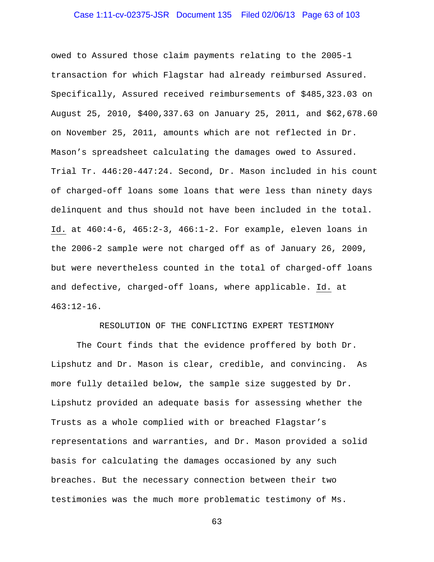# Case 1:11-cv-02375-JSR Document 135 Filed 02/06/13 Page 63 of 103

owed to Assured those claim payments relating to the 2005-1 transaction for which Flagstar had already reimbursed Assured. Specifically, Assured received reimbursements of \$485,323.03 on August 25, 2010, \$400,337.63 on January 25, 2011, and \$62,678.60 on November 25, 2011, amounts which are not reflected in Dr. Mason's spreadsheet calculating the damages owed to Assured. Trial Tr. 446:20-447:24. Second, Dr. Mason included in his count of charged-off loans some loans that were less than ninety days delinquent and thus should not have been included in the total. Id. at 460:4-6, 465:2-3, 466:1-2. For example, eleven loans in the 2006-2 sample were not charged off as of January 26, 2009, but were nevertheless counted in the total of charged-off loans and defective, charged-off loans, where applicable. Id. at 463:12-16.

RESOLUTION OF THE CONFLICTING EXPERT TESTIMONY

 The Court finds that the evidence proffered by both Dr. Lipshutz and Dr. Mason is clear, credible, and convincing. As more fully detailed below, the sample size suggested by Dr. Lipshutz provided an adequate basis for assessing whether the Trusts as a whole complied with or breached Flagstar's representations and warranties, and Dr. Mason provided a solid basis for calculating the damages occasioned by any such breaches. But the necessary connection between their two testimonies was the much more problematic testimony of Ms.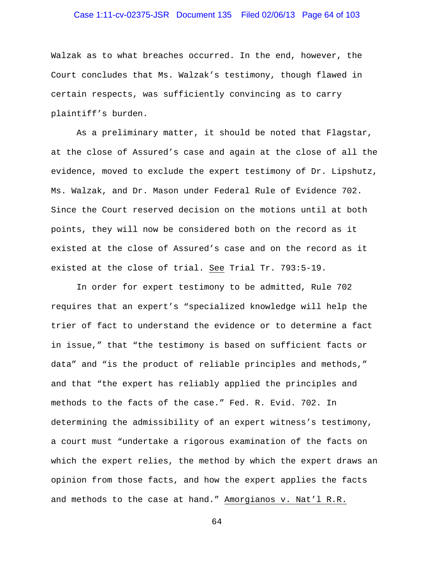# Case 1:11-cv-02375-JSR Document 135 Filed 02/06/13 Page 64 of 103

Walzak as to what breaches occurred. In the end, however, the Court concludes that Ms. Walzak's testimony, though flawed in certain respects, was sufficiently convincing as to carry plaintiff's burden.

 As a preliminary matter, it should be noted that Flagstar, at the close of Assured's case and again at the close of all the evidence, moved to exclude the expert testimony of Dr. Lipshutz, Ms. Walzak, and Dr. Mason under Federal Rule of Evidence 702. Since the Court reserved decision on the motions until at both points, they will now be considered both on the record as it existed at the close of Assured's case and on the record as it existed at the close of trial. See Trial Tr. 793:5-19.

 In order for expert testimony to be admitted, Rule 702 requires that an expert's "specialized knowledge will help the trier of fact to understand the evidence or to determine a fact in issue," that "the testimony is based on sufficient facts or data" and "is the product of reliable principles and methods," and that "the expert has reliably applied the principles and methods to the facts of the case." Fed. R. Evid. 702. In determining the admissibility of an expert witness's testimony, a court must "undertake a rigorous examination of the facts on which the expert relies, the method by which the expert draws an opinion from those facts, and how the expert applies the facts and methods to the case at hand." Amorgianos v. Nat'l R.R.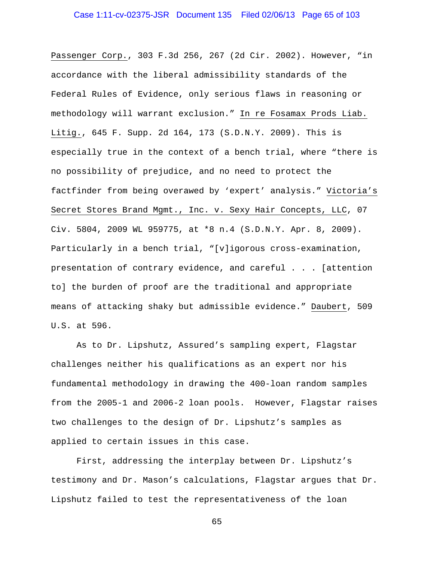Passenger Corp., 303 F.3d 256, 267 (2d Cir. 2002). However, "in accordance with the liberal admissibility standards of the Federal Rules of Evidence, only serious flaws in reasoning or methodology will warrant exclusion." In re Fosamax Prods Liab. Litig., 645 F. Supp. 2d 164, 173 (S.D.N.Y. 2009). This is especially true in the context of a bench trial, where "there is no possibility of prejudice, and no need to protect the factfinder from being overawed by 'expert' analysis." Victoria's Secret Stores Brand Mgmt., Inc. v. Sexy Hair Concepts, LLC, 07 Civ. 5804, 2009 WL 959775, at \*8 n.4 (S.D.N.Y. Apr. 8, 2009). Particularly in a bench trial, "[v]igorous cross-examination, presentation of contrary evidence, and careful . . . [attention to] the burden of proof are the traditional and appropriate means of attacking shaky but admissible evidence." Daubert, 509 U.S. at 596.

 As to Dr. Lipshutz, Assured's sampling expert, Flagstar challenges neither his qualifications as an expert nor his fundamental methodology in drawing the 400-loan random samples from the 2005-1 and 2006-2 loan pools. However, Flagstar raises two challenges to the design of Dr. Lipshutz's samples as applied to certain issues in this case.

 First, addressing the interplay between Dr. Lipshutz's testimony and Dr. Mason's calculations, Flagstar argues that Dr. Lipshutz failed to test the representativeness of the loan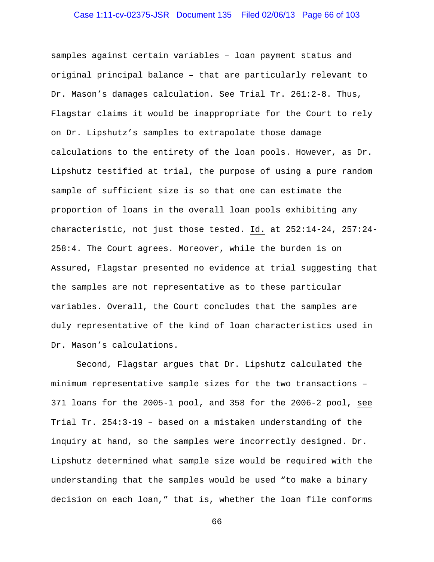# Case 1:11-cv-02375-JSR Document 135 Filed 02/06/13 Page 66 of 103

samples against certain variables – loan payment status and original principal balance – that are particularly relevant to Dr. Mason's damages calculation. See Trial Tr. 261:2-8. Thus, Flagstar claims it would be inappropriate for the Court to rely on Dr. Lipshutz's samples to extrapolate those damage calculations to the entirety of the loan pools. However, as Dr. Lipshutz testified at trial, the purpose of using a pure random sample of sufficient size is so that one can estimate the proportion of loans in the overall loan pools exhibiting any characteristic, not just those tested. Id. at 252:14-24, 257:24- 258:4. The Court agrees. Moreover, while the burden is on Assured, Flagstar presented no evidence at trial suggesting that the samples are not representative as to these particular variables. Overall, the Court concludes that the samples are duly representative of the kind of loan characteristics used in Dr. Mason's calculations.

Second, Flagstar argues that Dr. Lipshutz calculated the minimum representative sample sizes for the two transactions – 371 loans for the 2005-1 pool, and 358 for the 2006-2 pool, see Trial Tr. 254:3-19 – based on a mistaken understanding of the inquiry at hand, so the samples were incorrectly designed. Dr. Lipshutz determined what sample size would be required with the understanding that the samples would be used "to make a binary decision on each loan," that is, whether the loan file conforms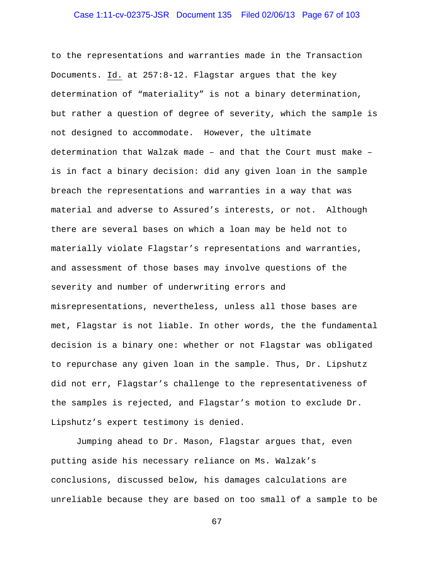# Case 1:11-cv-02375-JSR Document 135 Filed 02/06/13 Page 67 of 103

to the representations and warranties made in the Transaction Documents. Id. at 257:8-12. Flagstar argues that the key determination of "materiality" is not a binary determination, but rather a question of degree of severity, which the sample is not designed to accommodate. However, the ultimate determination that Walzak made – and that the Court must make – is in fact a binary decision: did any given loan in the sample breach the representations and warranties in a way that was material and adverse to Assured's interests, or not. Although there are several bases on which a loan may be held not to materially violate Flagstar's representations and warranties, and assessment of those bases may involve questions of the severity and number of underwriting errors and misrepresentations, nevertheless, unless all those bases are met, Flagstar is not liable. In other words, the the fundamental decision is a binary one: whether or not Flagstar was obligated to repurchase any given loan in the sample. Thus, Dr. Lipshutz did not err, Flagstar's challenge to the representativeness of the samples is rejected, and Flagstar's motion to exclude Dr. Lipshutz's expert testimony is denied.

Jumping ahead to Dr. Mason, Flagstar argues that, even putting aside his necessary reliance on Ms. Walzak's conclusions, discussed below, his damages calculations are unreliable because they are based on too small of a sample to be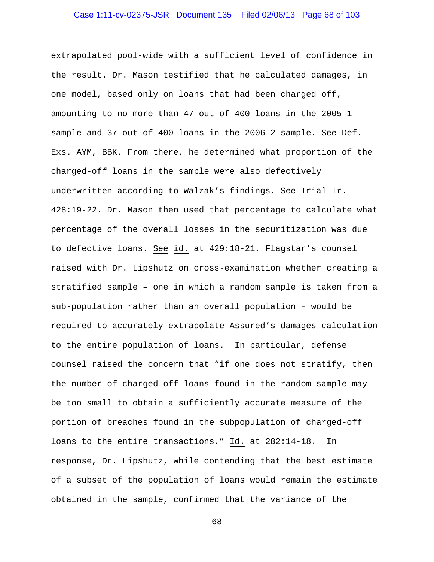# Case 1:11-cv-02375-JSR Document 135 Filed 02/06/13 Page 68 of 103

extrapolated pool-wide with a sufficient level of confidence in the result. Dr. Mason testified that he calculated damages, in one model, based only on loans that had been charged off, amounting to no more than 47 out of 400 loans in the 2005-1 sample and 37 out of 400 loans in the 2006-2 sample. See Def. Exs. AYM, BBK. From there, he determined what proportion of the charged-off loans in the sample were also defectively underwritten according to Walzak's findings. See Trial Tr. 428:19-22. Dr. Mason then used that percentage to calculate what percentage of the overall losses in the securitization was due to defective loans. See id. at 429:18-21. Flagstar's counsel raised with Dr. Lipshutz on cross-examination whether creating a stratified sample – one in which a random sample is taken from a sub-population rather than an overall population – would be required to accurately extrapolate Assured's damages calculation to the entire population of loans. In particular, defense counsel raised the concern that "if one does not stratify, then the number of charged-off loans found in the random sample may be too small to obtain a sufficiently accurate measure of the portion of breaches found in the subpopulation of charged-off loans to the entire transactions." Id. at 282:14-18. In response, Dr. Lipshutz, while contending that the best estimate of a subset of the population of loans would remain the estimate obtained in the sample, confirmed that the variance of the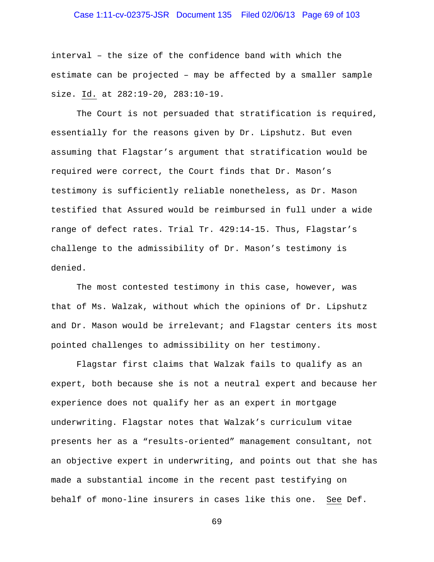# Case 1:11-cv-02375-JSR Document 135 Filed 02/06/13 Page 69 of 103

interval – the size of the confidence band with which the estimate can be projected – may be affected by a smaller sample size. Id. at 282:19-20, 283:10-19.

 The Court is not persuaded that stratification is required, essentially for the reasons given by Dr. Lipshutz. But even assuming that Flagstar's argument that stratification would be required were correct, the Court finds that Dr. Mason's testimony is sufficiently reliable nonetheless, as Dr. Mason testified that Assured would be reimbursed in full under a wide range of defect rates. Trial Tr. 429:14-15. Thus, Flagstar's challenge to the admissibility of Dr. Mason's testimony is denied.

 The most contested testimony in this case, however, was that of Ms. Walzak, without which the opinions of Dr. Lipshutz and Dr. Mason would be irrelevant; and Flagstar centers its most pointed challenges to admissibility on her testimony.

 Flagstar first claims that Walzak fails to qualify as an expert, both because she is not a neutral expert and because her experience does not qualify her as an expert in mortgage underwriting. Flagstar notes that Walzak's curriculum vitae presents her as a "results-oriented" management consultant, not an objective expert in underwriting, and points out that she has made a substantial income in the recent past testifying on behalf of mono-line insurers in cases like this one. See Def.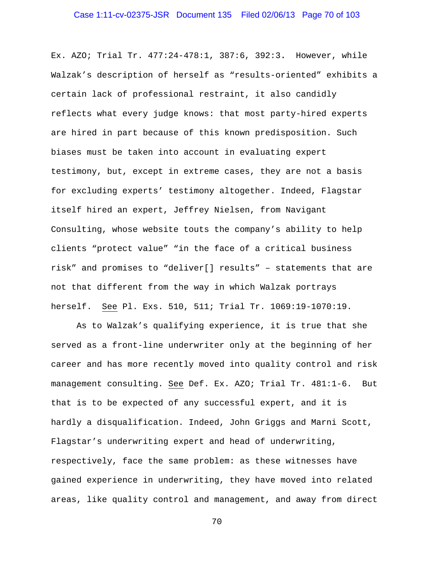Ex. AZO; Trial Tr. 477:24-478:1, 387:6, 392:3**.** However, while Walzak's description of herself as "results-oriented" exhibits a certain lack of professional restraint, it also candidly reflects what every judge knows: that most party-hired experts are hired in part because of this known predisposition. Such biases must be taken into account in evaluating expert testimony, but, except in extreme cases, they are not a basis for excluding experts' testimony altogether. Indeed, Flagstar itself hired an expert, Jeffrey Nielsen, from Navigant Consulting, whose website touts the company's ability to help clients "protect value" "in the face of a critical business risk" and promises to "deliver[] results" – statements that are not that different from the way in which Walzak portrays herself. See Pl. Exs. 510, 511; Trial Tr. 1069:19-1070:19.

 As to Walzak's qualifying experience, it is true that she served as a front-line underwriter only at the beginning of her career and has more recently moved into quality control and risk management consulting. See Def. Ex. AZO; Trial Tr. 481:1-6. But that is to be expected of any successful expert, and it is hardly a disqualification. Indeed, John Griggs and Marni Scott, Flagstar's underwriting expert and head of underwriting, respectively, face the same problem: as these witnesses have gained experience in underwriting, they have moved into related areas, like quality control and management, and away from direct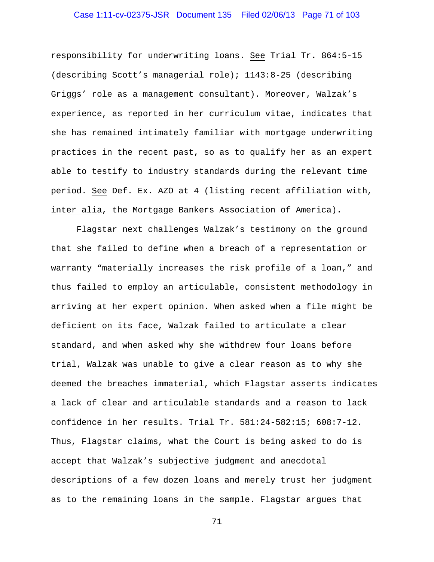# Case 1:11-cv-02375-JSR Document 135 Filed 02/06/13 Page 71 of 103

responsibility for underwriting loans. See Trial Tr**.** 864:5-15 (describing Scott's managerial role); 1143:8-25 (describing Griggs' role as a management consultant). Moreover, Walzak's experience, as reported in her curriculum vitae, indicates that she has remained intimately familiar with mortgage underwriting practices in the recent past, so as to qualify her as an expert able to testify to industry standards during the relevant time period. See Def. Ex. AZO at 4 (listing recent affiliation with, inter alia, the Mortgage Bankers Association of America)**.** 

 Flagstar next challenges Walzak's testimony on the ground that she failed to define when a breach of a representation or warranty "materially increases the risk profile of a loan," and thus failed to employ an articulable, consistent methodology in arriving at her expert opinion. When asked when a file might be deficient on its face, Walzak failed to articulate a clear standard, and when asked why she withdrew four loans before trial, Walzak was unable to give a clear reason as to why she deemed the breaches immaterial, which Flagstar asserts indicates a lack of clear and articulable standards and a reason to lack confidence in her results. Trial Tr. 581:24-582:15; 608:7-12. Thus, Flagstar claims, what the Court is being asked to do is accept that Walzak's subjective judgment and anecdotal descriptions of a few dozen loans and merely trust her judgment as to the remaining loans in the sample. Flagstar argues that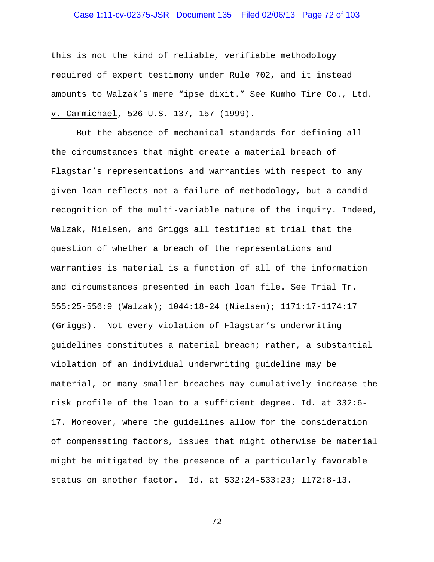# Case 1:11-cv-02375-JSR Document 135 Filed 02/06/13 Page 72 of 103

this is not the kind of reliable, verifiable methodology required of expert testimony under Rule 702, and it instead amounts to Walzak's mere "ipse dixit." See Kumho Tire Co., Ltd. v. Carmichael, 526 U.S. 137, 157 (1999).

 But the absence of mechanical standards for defining all the circumstances that might create a material breach of Flagstar's representations and warranties with respect to any given loan reflects not a failure of methodology, but a candid recognition of the multi-variable nature of the inquiry. Indeed, Walzak, Nielsen, and Griggs all testified at trial that the question of whether a breach of the representations and warranties is material is a function of all of the information and circumstances presented in each loan file. See Trial Tr. 555:25-556:9 (Walzak); 1044:18-24 (Nielsen); 1171:17-1174:17 (Griggs). Not every violation of Flagstar's underwriting guidelines constitutes a material breach; rather, a substantial violation of an individual underwriting guideline may be material, or many smaller breaches may cumulatively increase the risk profile of the loan to a sufficient degree. Id. at 332:6- 17. Moreover, where the guidelines allow for the consideration of compensating factors, issues that might otherwise be material might be mitigated by the presence of a particularly favorable status on another factor. Id. at 532:24-533:23; 1172:8-13.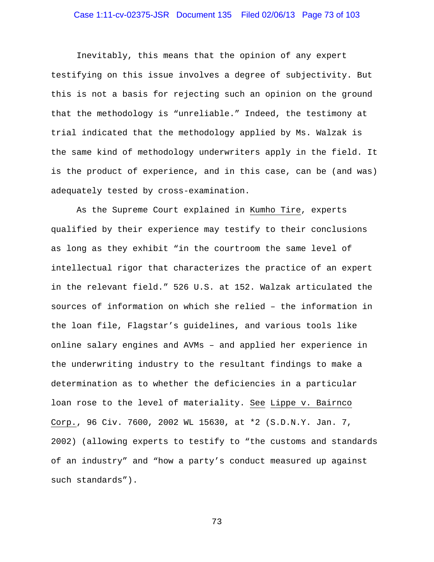# Case 1:11-cv-02375-JSR Document 135 Filed 02/06/13 Page 73 of 103

 Inevitably, this means that the opinion of any expert testifying on this issue involves a degree of subjectivity. But this is not a basis for rejecting such an opinion on the ground that the methodology is "unreliable." Indeed, the testimony at trial indicated that the methodology applied by Ms. Walzak is the same kind of methodology underwriters apply in the field. It is the product of experience, and in this case, can be (and was) adequately tested by cross-examination.

As the Supreme Court explained in Kumho Tire, experts qualified by their experience may testify to their conclusions as long as they exhibit "in the courtroom the same level of intellectual rigor that characterizes the practice of an expert in the relevant field." 526 U.S. at 152. Walzak articulated the sources of information on which she relied – the information in the loan file, Flagstar's guidelines, and various tools like online salary engines and AVMs – and applied her experience in the underwriting industry to the resultant findings to make a determination as to whether the deficiencies in a particular loan rose to the level of materiality. See Lippe v. Bairnco Corp., 96 Civ. 7600, 2002 WL 15630, at \*2 (S.D.N.Y. Jan. 7, 2002) (allowing experts to testify to "the customs and standards of an industry" and "how a party's conduct measured up against such standards").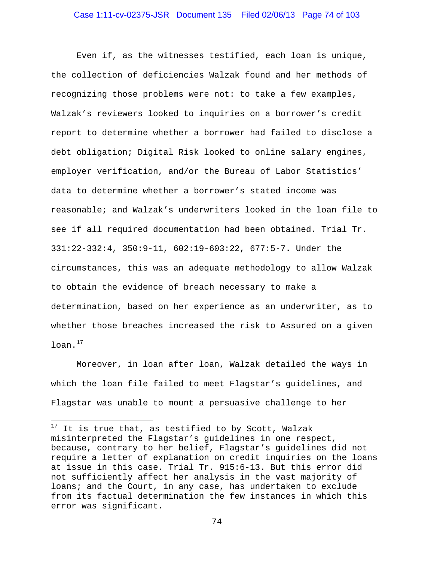# Case 1:11-cv-02375-JSR Document 135 Filed 02/06/13 Page 74 of 103

Even if, as the witnesses testified, each loan is unique, the collection of deficiencies Walzak found and her methods of recognizing those problems were not: to take a few examples, Walzak's reviewers looked to inquiries on a borrower's credit report to determine whether a borrower had failed to disclose a debt obligation; Digital Risk looked to online salary engines, employer verification, and/or the Bureau of Labor Statistics' data to determine whether a borrower's stated income was reasonable; and Walzak's underwriters looked in the loan file to see if all required documentation had been obtained. Trial Tr. 331:22-332:4, 350:9-11, 602:19-603:22, 677:5-7**.** Under the circumstances, this was an adequate methodology to allow Walzak to obtain the evidence of breach necessary to make a determination, based on her experience as an underwriter, as to whether those breaches increased the risk to Assured on a given  $l$ oan. $^{17}$ 

Moreover, in loan after loan, Walzak detailed the ways in which the loan file failed to meet Flagstar's guidelines, and Flagstar was unable to mount a persuasive challenge to her

 $\overline{a}$ 

 $17$  It is true that, as testified to by Scott, Walzak misinterpreted the Flagstar's guidelines in one respect, because, contrary to her belief, Flagstar's guidelines did not require a letter of explanation on credit inquiries on the loans at issue in this case. Trial Tr. 915:6-13. But this error did not sufficiently affect her analysis in the vast majority of loans; and the Court, in any case, has undertaken to exclude from its factual determination the few instances in which this error was significant.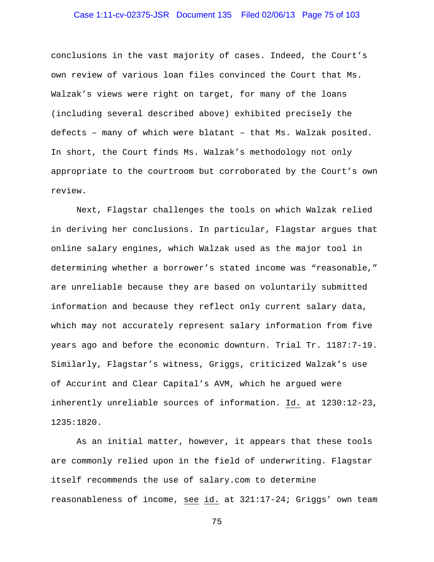# Case 1:11-cv-02375-JSR Document 135 Filed 02/06/13 Page 75 of 103

conclusions in the vast majority of cases. Indeed, the Court's own review of various loan files convinced the Court that Ms. Walzak's views were right on target, for many of the loans (including several described above) exhibited precisely the defects – many of which were blatant – that Ms. Walzak posited. In short, the Court finds Ms. Walzak's methodology not only appropriate to the courtroom but corroborated by the Court's own review.

Next, Flagstar challenges the tools on which Walzak relied in deriving her conclusions. In particular, Flagstar argues that online salary engines, which Walzak used as the major tool in determining whether a borrower's stated income was "reasonable," are unreliable because they are based on voluntarily submitted information and because they reflect only current salary data, which may not accurately represent salary information from five years ago and before the economic downturn. Trial Tr. 1187:7-19. Similarly, Flagstar's witness, Griggs, criticized Walzak's use of Accurint and Clear Capital's AVM, which he argued were inherently unreliable sources of information. Id. at 1230:12-23, 1235:1820.

As an initial matter, however, it appears that these tools are commonly relied upon in the field of underwriting. Flagstar itself recommends the use of salary.com to determine reasonableness of income, see id. at 321:17-24; Griggs' own team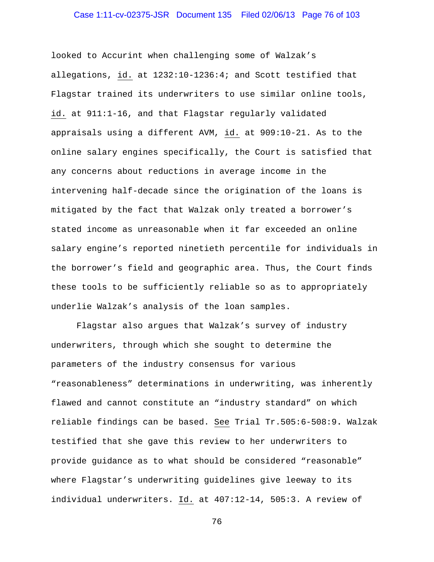# Case 1:11-cv-02375-JSR Document 135 Filed 02/06/13 Page 76 of 103

looked to Accurint when challenging some of Walzak's allegations, id. at 1232:10-1236:4; and Scott testified that Flagstar trained its underwriters to use similar online tools, id. at 911:1-16, and that Flagstar regularly validated appraisals using a different AVM, id. at 909:10-21. As to the online salary engines specifically, the Court is satisfied that any concerns about reductions in average income in the intervening half-decade since the origination of the loans is mitigated by the fact that Walzak only treated a borrower's stated income as unreasonable when it far exceeded an online salary engine's reported ninetieth percentile for individuals in the borrower's field and geographic area. Thus, the Court finds these tools to be sufficiently reliable so as to appropriately underlie Walzak's analysis of the loan samples.

Flagstar also argues that Walzak's survey of industry underwriters, through which she sought to determine the parameters of the industry consensus for various "reasonableness" determinations in underwriting, was inherently flawed and cannot constitute an "industry standard" on which reliable findings can be based. See Trial Tr.505:6-508:9**.** Walzak testified that she gave this review to her underwriters to provide guidance as to what should be considered "reasonable" where Flagstar's underwriting guidelines give leeway to its individual underwriters. Id. at 407:12-14, 505:3. A review of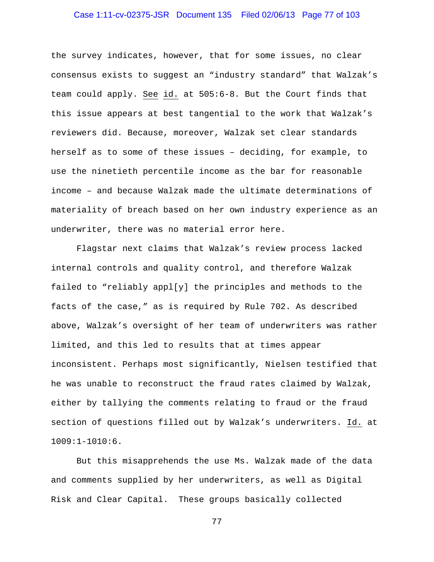# Case 1:11-cv-02375-JSR Document 135 Filed 02/06/13 Page 77 of 103

the survey indicates, however, that for some issues, no clear consensus exists to suggest an "industry standard" that Walzak's team could apply. See id. at 505:6-8. But the Court finds that this issue appears at best tangential to the work that Walzak's reviewers did. Because, moreover, Walzak set clear standards herself as to some of these issues – deciding, for example, to use the ninetieth percentile income as the bar for reasonable income – and because Walzak made the ultimate determinations of materiality of breach based on her own industry experience as an underwriter, there was no material error here.

Flagstar next claims that Walzak's review process lacked internal controls and quality control, and therefore Walzak failed to "reliably appl[y] the principles and methods to the facts of the case," as is required by Rule 702. As described above, Walzak's oversight of her team of underwriters was rather limited, and this led to results that at times appear inconsistent. Perhaps most significantly, Nielsen testified that he was unable to reconstruct the fraud rates claimed by Walzak, either by tallying the comments relating to fraud or the fraud section of questions filled out by Walzak's underwriters. Id. at 1009:1-1010:6.

But this misapprehends the use Ms. Walzak made of the data and comments supplied by her underwriters, as well as Digital Risk and Clear Capital. These groups basically collected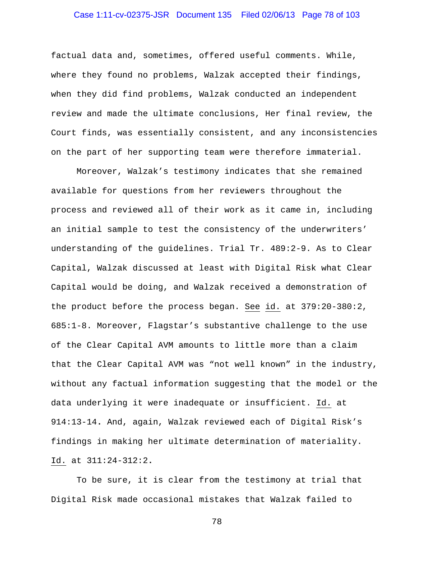# Case 1:11-cv-02375-JSR Document 135 Filed 02/06/13 Page 78 of 103

factual data and, sometimes, offered useful comments. While, where they found no problems, Walzak accepted their findings, when they did find problems, Walzak conducted an independent review and made the ultimate conclusions, Her final review, the Court finds, was essentially consistent, and any inconsistencies on the part of her supporting team were therefore immaterial.

Moreover, Walzak's testimony indicates that she remained available for questions from her reviewers throughout the process and reviewed all of their work as it came in, including an initial sample to test the consistency of the underwriters' understanding of the guidelines. Trial Tr. 489:2-9. As to Clear Capital, Walzak discussed at least with Digital Risk what Clear Capital would be doing, and Walzak received a demonstration of the product before the process began. See id. at 379:20-380:2, 685:1-8. Moreover, Flagstar's substantive challenge to the use of the Clear Capital AVM amounts to little more than a claim that the Clear Capital AVM was "not well known" in the industry, without any factual information suggesting that the model or the data underlying it were inadequate or insufficient. Id. at 914:13-14**.** And, again, Walzak reviewed each of Digital Risk's findings in making her ultimate determination of materiality. Id. at 311:24-312:2**.** 

To be sure, it is clear from the testimony at trial that Digital Risk made occasional mistakes that Walzak failed to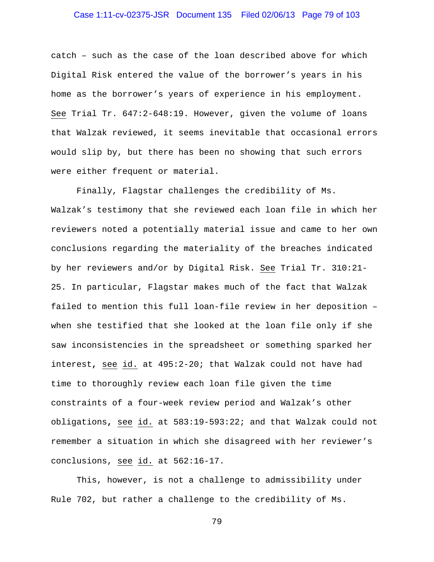# Case 1:11-cv-02375-JSR Document 135 Filed 02/06/13 Page 79 of 103

catch – such as the case of the loan described above for which Digital Risk entered the value of the borrower's years in his home as the borrower's years of experience in his employment. See Trial Tr. 647:2-648:19. However, given the volume of loans that Walzak reviewed, it seems inevitable that occasional errors would slip by, but there has been no showing that such errors were either frequent or material.

 Finally, Flagstar challenges the credibility of Ms. Walzak's testimony that she reviewed each loan file in which her reviewers noted a potentially material issue and came to her own conclusions regarding the materiality of the breaches indicated by her reviewers and/or by Digital Risk. See Trial Tr. 310:21- 25. In particular, Flagstar makes much of the fact that Walzak failed to mention this full loan-file review in her deposition – when she testified that she looked at the loan file only if she saw inconsistencies in the spreadsheet or something sparked her interest**,** see id. at 495:2-20; that Walzak could not have had time to thoroughly review each loan file given the time constraints of a four-week review period and Walzak's other obligations**,** see id. at 583:19-593:22; and that Walzak could not remember a situation in which she disagreed with her reviewer's conclusions, see id. at 562:16-17.

 This, however, is not a challenge to admissibility under Rule 702, but rather a challenge to the credibility of Ms.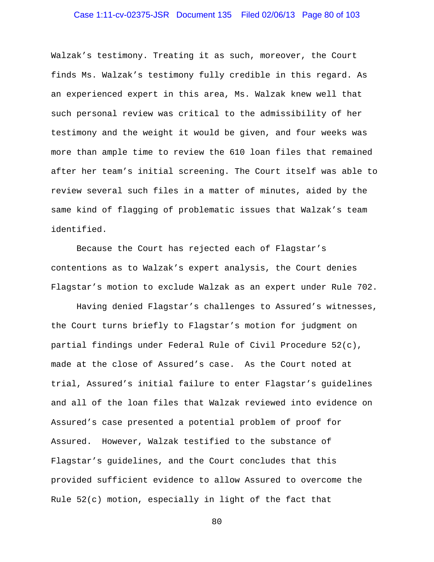# Case 1:11-cv-02375-JSR Document 135 Filed 02/06/13 Page 80 of 103

Walzak's testimony. Treating it as such, moreover, the Court finds Ms. Walzak's testimony fully credible in this regard. As an experienced expert in this area, Ms. Walzak knew well that such personal review was critical to the admissibility of her testimony and the weight it would be given, and four weeks was more than ample time to review the 610 loan files that remained after her team's initial screening. The Court itself was able to review several such files in a matter of minutes, aided by the same kind of flagging of problematic issues that Walzak's team identified.

 Because the Court has rejected each of Flagstar's contentions as to Walzak's expert analysis, the Court denies Flagstar's motion to exclude Walzak as an expert under Rule 702.

Having denied Flagstar's challenges to Assured's witnesses, the Court turns briefly to Flagstar's motion for judgment on partial findings under Federal Rule of Civil Procedure 52(c), made at the close of Assured's case. As the Court noted at trial, Assured's initial failure to enter Flagstar's guidelines and all of the loan files that Walzak reviewed into evidence on Assured's case presented a potential problem of proof for Assured. However, Walzak testified to the substance of Flagstar's guidelines, and the Court concludes that this provided sufficient evidence to allow Assured to overcome the Rule 52(c) motion, especially in light of the fact that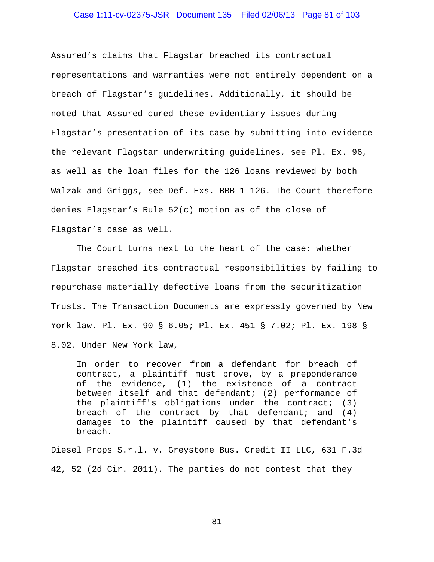# Case 1:11-cv-02375-JSR Document 135 Filed 02/06/13 Page 81 of 103

Assured's claims that Flagstar breached its contractual representations and warranties were not entirely dependent on a breach of Flagstar's guidelines. Additionally, it should be noted that Assured cured these evidentiary issues during Flagstar's presentation of its case by submitting into evidence the relevant Flagstar underwriting guidelines, see Pl. Ex. 96, as well as the loan files for the 126 loans reviewed by both Walzak and Griggs, see Def. Exs. BBB 1-126. The Court therefore denies Flagstar's Rule 52(c) motion as of the close of Flagstar's case as well.

The Court turns next to the heart of the case: whether Flagstar breached its contractual responsibilities by failing to repurchase materially defective loans from the securitization Trusts. The Transaction Documents are expressly governed by New York law. Pl. Ex. 90 § 6.05; Pl. Ex. 451 § 7.02; Pl. Ex. 198 § 8.02. Under New York law,

In order to recover from a defendant for breach of contract, a plaintiff must prove, by a preponderance of the evidence, (1) the existence of a contract between itself and that defendant; (2) performance of the plaintiff's obligations under the contract; (3) breach of the contract by that defendant; and  $(4)$ damages to the plaintiff caused by that defendant's breach.

Diesel Props S.r.l. v. Greystone Bus. Credit II LLC, 631 F.3d 42, 52 (2d Cir. 2011). The parties do not contest that they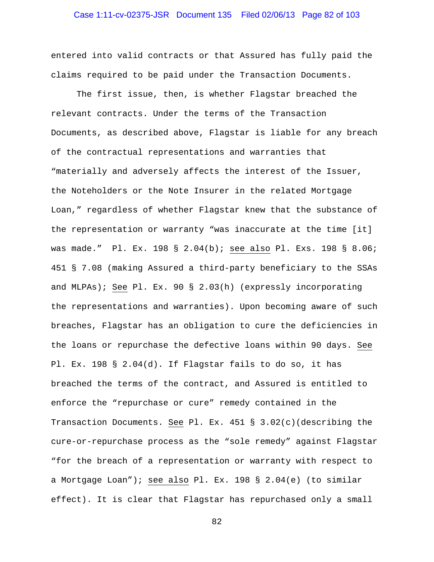# Case 1:11-cv-02375-JSR Document 135 Filed 02/06/13 Page 82 of 103

entered into valid contracts or that Assured has fully paid the claims required to be paid under the Transaction Documents.

The first issue, then, is whether Flagstar breached the relevant contracts. Under the terms of the Transaction Documents, as described above, Flagstar is liable for any breach of the contractual representations and warranties that "materially and adversely affects the interest of the Issuer, the Noteholders or the Note Insurer in the related Mortgage Loan," regardless of whether Flagstar knew that the substance of the representation or warranty "was inaccurate at the time [it] was made." Pl. Ex. 198 § 2.04(b); see also Pl. Exs. 198 § 8.06; 451 § 7.08 (making Assured a third-party beneficiary to the SSAs and MLPAs); See Pl. Ex. 90 § 2.03(h) (expressly incorporating the representations and warranties). Upon becoming aware of such breaches, Flagstar has an obligation to cure the deficiencies in the loans or repurchase the defective loans within 90 days. See Pl. Ex. 198 § 2.04(d). If Flagstar fails to do so, it has breached the terms of the contract, and Assured is entitled to enforce the "repurchase or cure" remedy contained in the Transaction Documents. See Pl. Ex. 451 § 3.02(c)(describing the cure-or-repurchase process as the "sole remedy" against Flagstar "for the breach of a representation or warranty with respect to a Mortgage Loan"); see also Pl. Ex. 198 § 2.04(e) (to similar effect). It is clear that Flagstar has repurchased only a small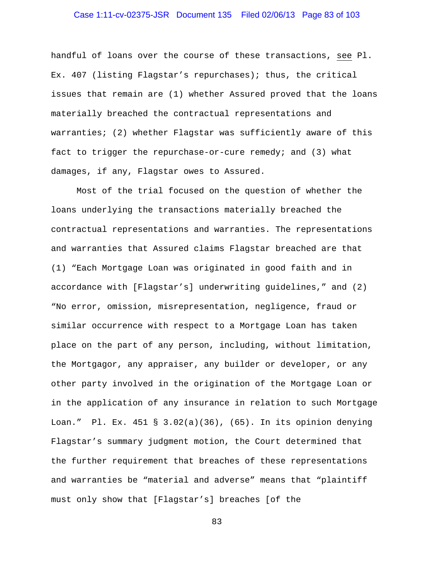# Case 1:11-cv-02375-JSR Document 135 Filed 02/06/13 Page 83 of 103

handful of loans over the course of these transactions, see Pl. Ex. 407 (listing Flagstar's repurchases); thus, the critical issues that remain are (1) whether Assured proved that the loans materially breached the contractual representations and warranties; (2) whether Flagstar was sufficiently aware of this fact to trigger the repurchase-or-cure remedy; and (3) what damages, if any, Flagstar owes to Assured.

Most of the trial focused on the question of whether the loans underlying the transactions materially breached the contractual representations and warranties. The representations and warranties that Assured claims Flagstar breached are that (1) "Each Mortgage Loan was originated in good faith and in accordance with [Flagstar's] underwriting guidelines," and (2) "No error, omission, misrepresentation, negligence, fraud or similar occurrence with respect to a Mortgage Loan has taken place on the part of any person, including, without limitation, the Mortgagor, any appraiser, any builder or developer, or any other party involved in the origination of the Mortgage Loan or in the application of any insurance in relation to such Mortgage Loan." Pl. Ex. 451 § 3.02(a)(36), (65). In its opinion denying Flagstar's summary judgment motion, the Court determined that the further requirement that breaches of these representations and warranties be "material and adverse" means that "plaintiff must only show that [Flagstar's] breaches [of the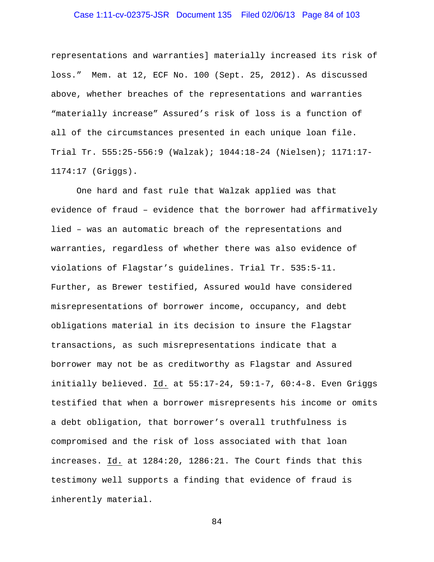# Case 1:11-cv-02375-JSR Document 135 Filed 02/06/13 Page 84 of 103

representations and warranties] materially increased its risk of loss." Mem. at 12, ECF No. 100 (Sept. 25, 2012). As discussed above, whether breaches of the representations and warranties "materially increase" Assured's risk of loss is a function of all of the circumstances presented in each unique loan file. Trial Tr. 555:25-556:9 (Walzak); 1044:18-24 (Nielsen); 1171:17- 1174:17 (Griggs).

 One hard and fast rule that Walzak applied was that evidence of fraud – evidence that the borrower had affirmatively lied – was an automatic breach of the representations and warranties, regardless of whether there was also evidence of violations of Flagstar's guidelines. Trial Tr. 535:5-11. Further, as Brewer testified, Assured would have considered misrepresentations of borrower income, occupancy, and debt obligations material in its decision to insure the Flagstar transactions, as such misrepresentations indicate that a borrower may not be as creditworthy as Flagstar and Assured initially believed. Id. at 55:17-24, 59:1-7, 60:4-8. Even Griggs testified that when a borrower misrepresents his income or omits a debt obligation, that borrower's overall truthfulness is compromised and the risk of loss associated with that loan increases. Id. at 1284:20, 1286:21. The Court finds that this testimony well supports a finding that evidence of fraud is inherently material.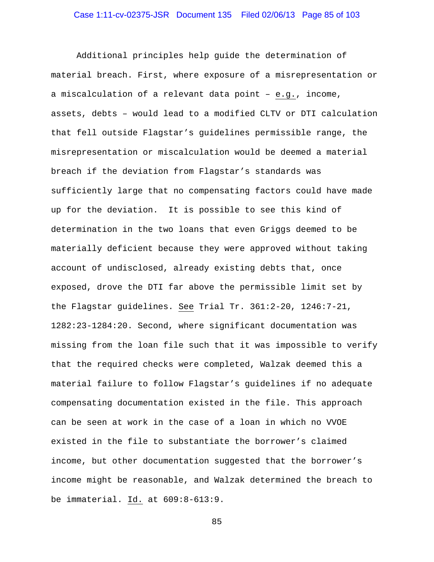Additional principles help guide the determination of material breach. First, where exposure of a misrepresentation or a miscalculation of a relevant data point – e.g., income, assets, debts – would lead to a modified CLTV or DTI calculation that fell outside Flagstar's guidelines permissible range, the misrepresentation or miscalculation would be deemed a material breach if the deviation from Flagstar's standards was sufficiently large that no compensating factors could have made up for the deviation. It is possible to see this kind of determination in the two loans that even Griggs deemed to be materially deficient because they were approved without taking account of undisclosed, already existing debts that, once exposed, drove the DTI far above the permissible limit set by the Flagstar guidelines. See Trial Tr. 361:2-20, 1246:7-21, 1282:23-1284:20. Second, where significant documentation was missing from the loan file such that it was impossible to verify that the required checks were completed, Walzak deemed this a material failure to follow Flagstar's guidelines if no adequate compensating documentation existed in the file. This approach can be seen at work in the case of a loan in which no VVOE existed in the file to substantiate the borrower's claimed income, but other documentation suggested that the borrower's income might be reasonable, and Walzak determined the breach to be immaterial. Id. at 609:8-613:9.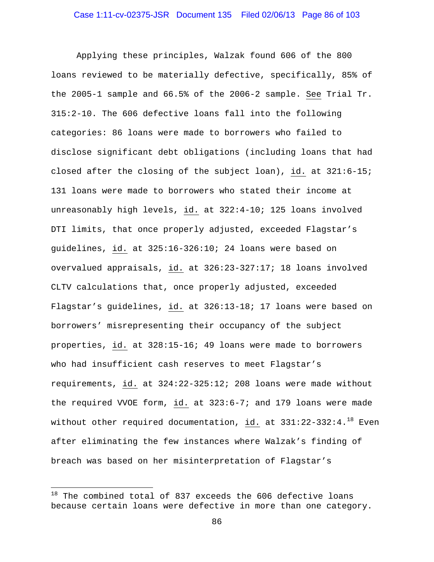Applying these principles, Walzak found 606 of the 800 loans reviewed to be materially defective, specifically, 85% of the 2005-1 sample and 66.5% of the 2006-2 sample. See Trial Tr. 315:2-10. The 606 defective loans fall into the following categories: 86 loans were made to borrowers who failed to disclose significant debt obligations (including loans that had closed after the closing of the subject loan), id. at 321:6-15; 131 loans were made to borrowers who stated their income at unreasonably high levels, id. at 322:4-10; 125 loans involved DTI limits, that once properly adjusted, exceeded Flagstar's guidelines, id. at 325:16-326:10; 24 loans were based on overvalued appraisals, id. at 326:23-327:17; 18 loans involved CLTV calculations that, once properly adjusted, exceeded Flagstar's guidelines, id. at 326:13-18; 17 loans were based on borrowers' misrepresenting their occupancy of the subject properties, id. at 328:15-16; 49 loans were made to borrowers who had insufficient cash reserves to meet Flagstar's requirements, id. at 324:22-325:12; 208 loans were made without the required VVOE form, id. at 323:6-7; and 179 loans were made without other required documentation, id. at  $331:22-332:4.^{18}$  Even after eliminating the few instances where Walzak's finding of breach was based on her misinterpretation of Flagstar's

 $\overline{a}$ 

 $18$  The combined total of 837 exceeds the 606 defective loans because certain loans were defective in more than one category.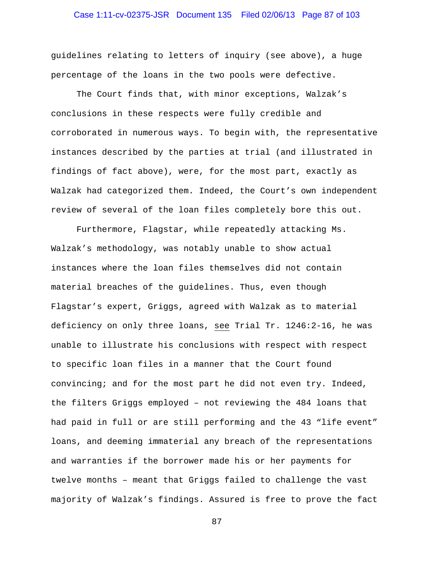# Case 1:11-cv-02375-JSR Document 135 Filed 02/06/13 Page 87 of 103

guidelines relating to letters of inquiry (see above), a huge percentage of the loans in the two pools were defective.

The Court finds that, with minor exceptions, Walzak's conclusions in these respects were fully credible and corroborated in numerous ways. To begin with, the representative instances described by the parties at trial (and illustrated in findings of fact above), were, for the most part, exactly as Walzak had categorized them. Indeed, the Court's own independent review of several of the loan files completely bore this out.

Furthermore, Flagstar, while repeatedly attacking Ms. Walzak's methodology, was notably unable to show actual instances where the loan files themselves did not contain material breaches of the guidelines. Thus, even though Flagstar's expert, Griggs, agreed with Walzak as to material deficiency on only three loans, see Trial Tr. 1246:2-16, he was unable to illustrate his conclusions with respect with respect to specific loan files in a manner that the Court found convincing; and for the most part he did not even try. Indeed, the filters Griggs employed – not reviewing the 484 loans that had paid in full or are still performing and the 43 "life event" loans, and deeming immaterial any breach of the representations and warranties if the borrower made his or her payments for twelve months – meant that Griggs failed to challenge the vast majority of Walzak's findings. Assured is free to prove the fact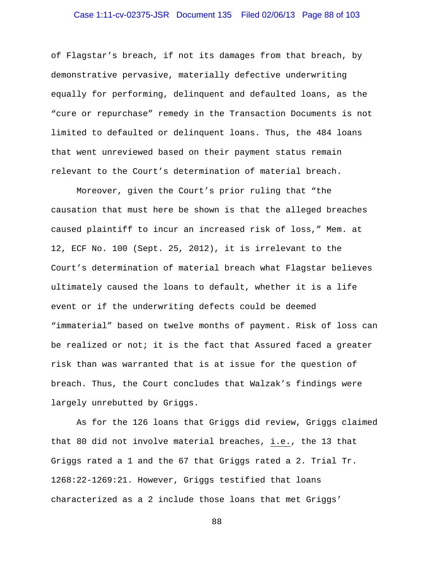# Case 1:11-cv-02375-JSR Document 135 Filed 02/06/13 Page 88 of 103

of Flagstar's breach, if not its damages from that breach, by demonstrative pervasive, materially defective underwriting equally for performing, delinquent and defaulted loans, as the "cure or repurchase" remedy in the Transaction Documents is not limited to defaulted or delinquent loans. Thus, the 484 loans that went unreviewed based on their payment status remain relevant to the Court's determination of material breach.

Moreover, given the Court's prior ruling that "the causation that must here be shown is that the alleged breaches caused plaintiff to incur an increased risk of loss," Mem. at 12, ECF No. 100 (Sept. 25, 2012), it is irrelevant to the Court's determination of material breach what Flagstar believes ultimately caused the loans to default, whether it is a life event or if the underwriting defects could be deemed "immaterial" based on twelve months of payment. Risk of loss can be realized or not; it is the fact that Assured faced a greater risk than was warranted that is at issue for the question of breach. Thus, the Court concludes that Walzak's findings were largely unrebutted by Griggs.

As for the 126 loans that Griggs did review, Griggs claimed that 80 did not involve material breaches, i.e., the 13 that Griggs rated a 1 and the 67 that Griggs rated a 2. Trial Tr. 1268:22-1269:21. However, Griggs testified that loans characterized as a 2 include those loans that met Griggs'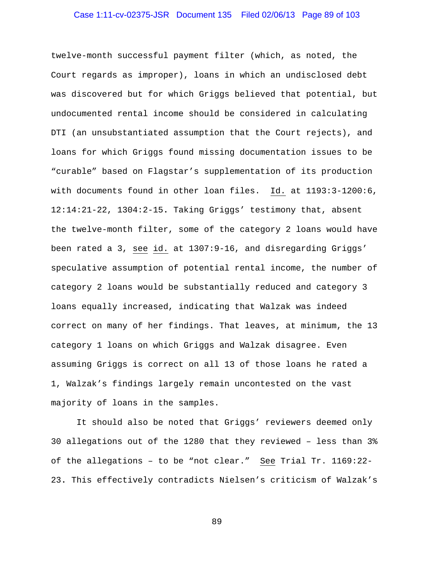# Case 1:11-cv-02375-JSR Document 135 Filed 02/06/13 Page 89 of 103

twelve-month successful payment filter (which, as noted, the Court regards as improper), loans in which an undisclosed debt was discovered but for which Griggs believed that potential, but undocumented rental income should be considered in calculating DTI (an unsubstantiated assumption that the Court rejects), and loans for which Griggs found missing documentation issues to be "curable" based on Flagstar's supplementation of its production with documents found in other loan files. Id. at 1193:3-1200:6, 12:14:21-22, 1304:2-15**.** Taking Griggs' testimony that, absent the twelve-month filter, some of the category 2 loans would have been rated a 3, see id. at 1307:9-16, and disregarding Griggs' speculative assumption of potential rental income, the number of category 2 loans would be substantially reduced and category 3 loans equally increased, indicating that Walzak was indeed correct on many of her findings. That leaves, at minimum, the 13 category 1 loans on which Griggs and Walzak disagree. Even assuming Griggs is correct on all 13 of those loans he rated a 1, Walzak's findings largely remain uncontested on the vast majority of loans in the samples.

It should also be noted that Griggs' reviewers deemed only 30 allegations out of the 1280 that they reviewed – less than 3% of the allegations - to be "not clear." See Trial Tr. 1169:22-23**.** This effectively contradicts Nielsen's criticism of Walzak's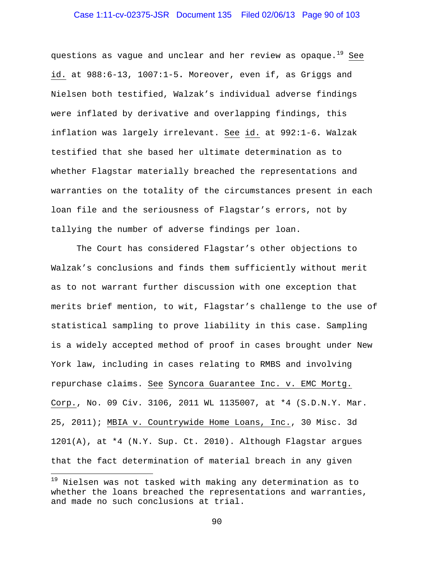# Case 1:11-cv-02375-JSR Document 135 Filed 02/06/13 Page 90 of 103

questions as vague and unclear and her review as opaque.<sup>19</sup> See id. at 988:6-13, 1007:1-5**.** Moreover, even if, as Griggs and Nielsen both testified, Walzak's individual adverse findings were inflated by derivative and overlapping findings, this inflation was largely irrelevant. See id. at 992:1-6**.** Walzak testified that she based her ultimate determination as to whether Flagstar materially breached the representations and warranties on the totality of the circumstances present in each loan file and the seriousness of Flagstar's errors, not by tallying the number of adverse findings per loan.

The Court has considered Flagstar's other objections to Walzak's conclusions and finds them sufficiently without merit as to not warrant further discussion with one exception that merits brief mention, to wit, Flagstar's challenge to the use of statistical sampling to prove liability in this case. Sampling is a widely accepted method of proof in cases brought under New York law, including in cases relating to RMBS and involving repurchase claims. See Syncora Guarantee Inc. v. EMC Mortg. Corp., No. 09 Civ. 3106, 2011 WL 1135007, at \*4 (S.D.N.Y. Mar. 25, 2011); MBIA v. Countrywide Home Loans, Inc., 30 Misc. 3d 1201(A), at \*4 (N.Y. Sup. Ct. 2010). Although Flagstar argues that the fact determination of material breach in any given

<u>.</u>

<sup>&</sup>lt;sup>19</sup> Nielsen was not tasked with making any determination as to whether the loans breached the representations and warranties, and made no such conclusions at trial.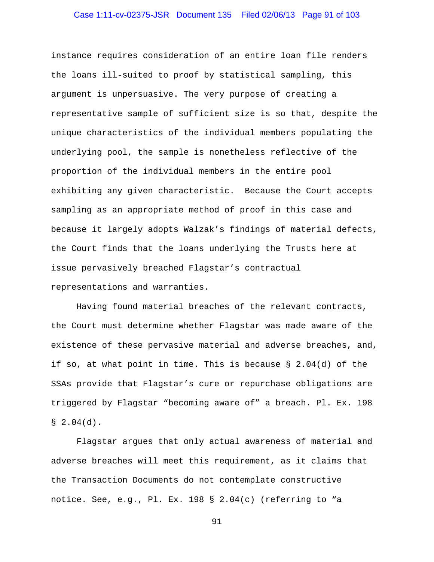# Case 1:11-cv-02375-JSR Document 135 Filed 02/06/13 Page 91 of 103

instance requires consideration of an entire loan file renders the loans ill-suited to proof by statistical sampling, this argument is unpersuasive. The very purpose of creating a representative sample of sufficient size is so that, despite the unique characteristics of the individual members populating the underlying pool, the sample is nonetheless reflective of the proportion of the individual members in the entire pool exhibiting any given characteristic. Because the Court accepts sampling as an appropriate method of proof in this case and because it largely adopts Walzak's findings of material defects, the Court finds that the loans underlying the Trusts here at issue pervasively breached Flagstar's contractual representations and warranties.

 Having found material breaches of the relevant contracts, the Court must determine whether Flagstar was made aware of the existence of these pervasive material and adverse breaches, and, if so, at what point in time. This is because § 2.04(d) of the SSAs provide that Flagstar's cure or repurchase obligations are triggered by Flagstar "becoming aware of" a breach. Pl. Ex. 198  $$2.04(d).$ 

 Flagstar argues that only actual awareness of material and adverse breaches will meet this requirement, as it claims that the Transaction Documents do not contemplate constructive notice. See, e.g., Pl. Ex. 198 § 2.04(c) (referring to "a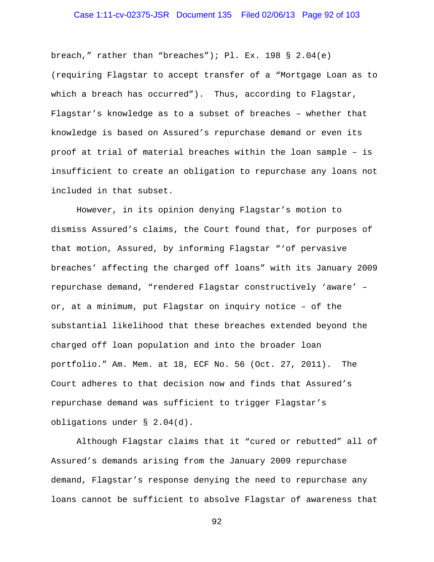# Case 1:11-cv-02375-JSR Document 135 Filed 02/06/13 Page 92 of 103

breach," rather than "breaches"); Pl. Ex. 198 § 2.04(e) (requiring Flagstar to accept transfer of a "Mortgage Loan as to which a breach has occurred"). Thus, according to Flagstar, Flagstar's knowledge as to a subset of breaches – whether that knowledge is based on Assured's repurchase demand or even its proof at trial of material breaches within the loan sample – is insufficient to create an obligation to repurchase any loans not included in that subset.

 However, in its opinion denying Flagstar's motion to dismiss Assured's claims, the Court found that, for purposes of that motion, Assured, by informing Flagstar "'of pervasive breaches' affecting the charged off loans" with its January 2009 repurchase demand, "rendered Flagstar constructively 'aware' – or, at a minimum, put Flagstar on inquiry notice – of the substantial likelihood that these breaches extended beyond the charged off loan population and into the broader loan portfolio." Am. Mem. at 18, ECF No. 56 (Oct. 27, 2011). The Court adheres to that decision now and finds that Assured's repurchase demand was sufficient to trigger Flagstar's obligations under § 2.04(d).

 Although Flagstar claims that it "cured or rebutted" all of Assured's demands arising from the January 2009 repurchase demand, Flagstar's response denying the need to repurchase any loans cannot be sufficient to absolve Flagstar of awareness that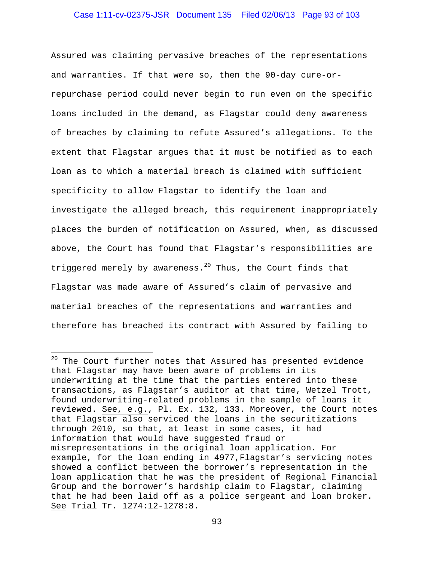# Case 1:11-cv-02375-JSR Document 135 Filed 02/06/13 Page 93 of 103

Assured was claiming pervasive breaches of the representations and warranties. If that were so, then the 90-day cure-orrepurchase period could never begin to run even on the specific loans included in the demand, as Flagstar could deny awareness of breaches by claiming to refute Assured's allegations. To the extent that Flagstar argues that it must be notified as to each loan as to which a material breach is claimed with sufficient specificity to allow Flagstar to identify the loan and investigate the alleged breach, this requirement inappropriately places the burden of notification on Assured, when, as discussed above, the Court has found that Flagstar's responsibilities are triggered merely by awareness.<sup>20</sup> Thus, the Court finds that Flagstar was made aware of Assured's claim of pervasive and material breaches of the representations and warranties and therefore has breached its contract with Assured by failing to

 $\overline{a}$ 

 $20$  The Court further notes that Assured has presented evidence that Flagstar may have been aware of problems in its underwriting at the time that the parties entered into these transactions, as Flagstar's auditor at that time, Wetzel Trott, found underwriting-related problems in the sample of loans it reviewed. See, e.g., Pl. Ex. 132, 133. Moreover, the Court notes that Flagstar also serviced the loans in the securitizations through 2010, so that, at least in some cases, it had information that would have suggested fraud or misrepresentations in the original loan application. For example, for the loan ending in 4977,Flagstar's servicing notes showed a conflict between the borrower's representation in the loan application that he was the president of Regional Financial Group and the borrower's hardship claim to Flagstar, claiming that he had been laid off as a police sergeant and loan broker. See Trial Tr. 1274:12-1278:8.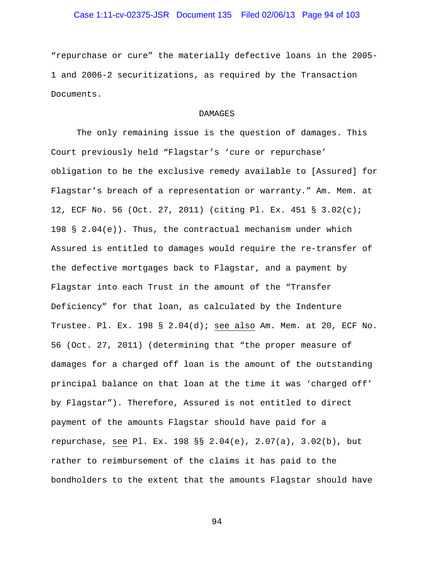# Case 1:11-cv-02375-JSR Document 135 Filed 02/06/13 Page 94 of 103

"repurchase or cure" the materially defective loans in the 2005- 1 and 2006-2 securitizations, as required by the Transaction Documents.

## DAMAGES

The only remaining issue is the question of damages. This Court previously held "Flagstar's 'cure or repurchase' obligation to be the exclusive remedy available to [Assured] for Flagstar's breach of a representation or warranty." Am. Mem. at 12, ECF No. 56 (Oct. 27, 2011) (citing Pl. Ex. 451 § 3.02(c); 198 § 2.04 $(e)$ ). Thus, the contractual mechanism under which Assured is entitled to damages would require the re-transfer of the defective mortgages back to Flagstar, and a payment by Flagstar into each Trust in the amount of the "Transfer Deficiency" for that loan, as calculated by the Indenture Trustee. Pl. Ex. 198 § 2.04(d); see also Am. Mem. at 20, ECF No. 56 (Oct. 27, 2011) (determining that "the proper measure of damages for a charged off loan is the amount of the outstanding principal balance on that loan at the time it was 'charged off' by Flagstar"). Therefore, Assured is not entitled to direct payment of the amounts Flagstar should have paid for a repurchase, see Pl. Ex. 198 §§ 2.04(e), 2.07(a), 3.02(b), but rather to reimbursement of the claims it has paid to the bondholders to the extent that the amounts Flagstar should have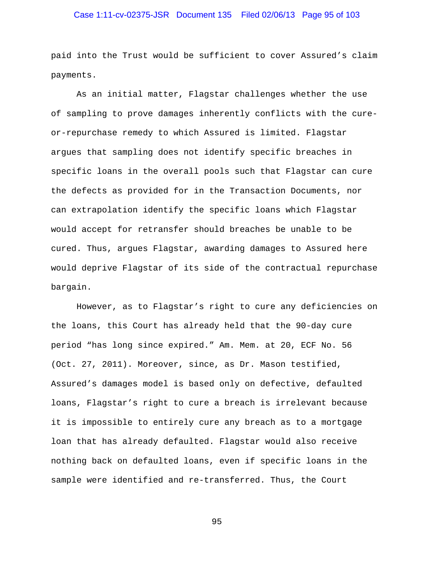# Case 1:11-cv-02375-JSR Document 135 Filed 02/06/13 Page 95 of 103

paid into the Trust would be sufficient to cover Assured's claim payments.

As an initial matter, Flagstar challenges whether the use of sampling to prove damages inherently conflicts with the cureor-repurchase remedy to which Assured is limited. Flagstar argues that sampling does not identify specific breaches in specific loans in the overall pools such that Flagstar can cure the defects as provided for in the Transaction Documents, nor can extrapolation identify the specific loans which Flagstar would accept for retransfer should breaches be unable to be cured. Thus, argues Flagstar, awarding damages to Assured here would deprive Flagstar of its side of the contractual repurchase bargain.

However, as to Flagstar's right to cure any deficiencies on the loans, this Court has already held that the 90-day cure period "has long since expired." Am. Mem. at 20, ECF No. 56 (Oct. 27, 2011). Moreover, since, as Dr. Mason testified, Assured's damages model is based only on defective, defaulted loans, Flagstar's right to cure a breach is irrelevant because it is impossible to entirely cure any breach as to a mortgage loan that has already defaulted. Flagstar would also receive nothing back on defaulted loans, even if specific loans in the sample were identified and re-transferred. Thus, the Court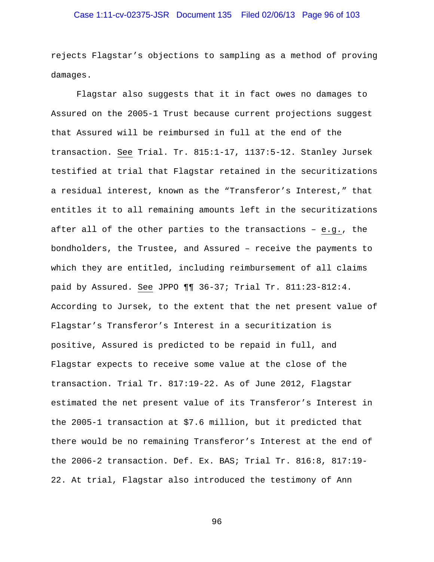# Case 1:11-cv-02375-JSR Document 135 Filed 02/06/13 Page 96 of 103

rejects Flagstar's objections to sampling as a method of proving damages.

Flagstar also suggests that it in fact owes no damages to Assured on the 2005-1 Trust because current projections suggest that Assured will be reimbursed in full at the end of the transaction. See Trial. Tr. 815:1-17, 1137:5-12. Stanley Jursek testified at trial that Flagstar retained in the securitizations a residual interest, known as the "Transferor's Interest," that entitles it to all remaining amounts left in the securitizations after all of the other parties to the transactions – e.g., the bondholders, the Trustee, and Assured – receive the payments to which they are entitled, including reimbursement of all claims paid by Assured. See JPPO ¶¶ 36-37; Trial Tr. 811:23-812:4. According to Jursek, to the extent that the net present value of Flagstar's Transferor's Interest in a securitization is positive, Assured is predicted to be repaid in full, and Flagstar expects to receive some value at the close of the transaction. Trial Tr. 817:19-22. As of June 2012, Flagstar estimated the net present value of its Transferor's Interest in the 2005-1 transaction at \$7.6 million, but it predicted that there would be no remaining Transferor's Interest at the end of the 2006-2 transaction. Def. Ex. BAS; Trial Tr. 816:8, 817:19- 22. At trial, Flagstar also introduced the testimony of Ann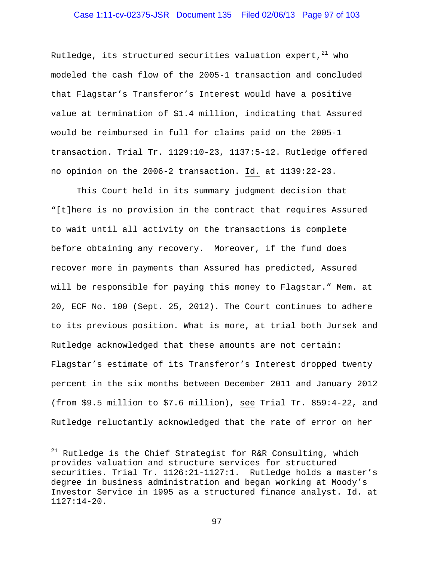# Case 1:11-cv-02375-JSR Document 135 Filed 02/06/13 Page 97 of 103

Rutledge, its structured securities valuation expert,  $21$  who modeled the cash flow of the 2005-1 transaction and concluded that Flagstar's Transferor's Interest would have a positive value at termination of \$1.4 million, indicating that Assured would be reimbursed in full for claims paid on the 2005-1 transaction. Trial Tr. 1129:10-23, 1137:5-12. Rutledge offered no opinion on the 2006-2 transaction. Id. at 1139:22-23.

This Court held in its summary judgment decision that "[t]here is no provision in the contract that requires Assured to wait until all activity on the transactions is complete before obtaining any recovery. Moreover, if the fund does recover more in payments than Assured has predicted, Assured will be responsible for paying this money to Flagstar." Mem. at 20, ECF No. 100 (Sept. 25, 2012). The Court continues to adhere to its previous position. What is more, at trial both Jursek and Rutledge acknowledged that these amounts are not certain: Flagstar's estimate of its Transferor's Interest dropped twenty percent in the six months between December 2011 and January 2012 (from \$9.5 million to \$7.6 million), see Trial Tr. 859:4-22, and Rutledge reluctantly acknowledged that the rate of error on her

 $\overline{a}$ 

 $21$  Rutledge is the Chief Strategist for R&R Consulting, which provides valuation and structure services for structured securities. Trial Tr. 1126:21-1127:1. Rutledge holds a master's degree in business administration and began working at Moody's Investor Service in 1995 as a structured finance analyst. Id. at 1127:14-20.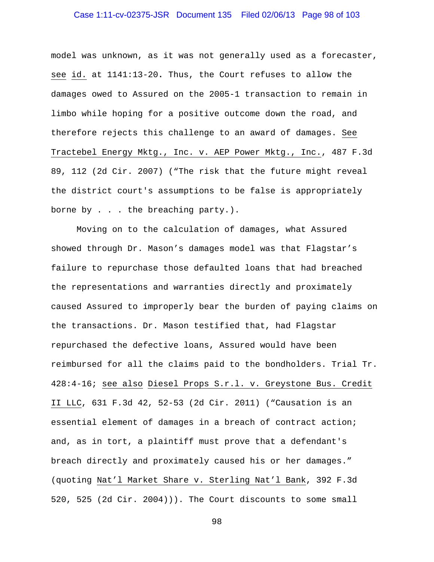# Case 1:11-cv-02375-JSR Document 135 Filed 02/06/13 Page 98 of 103

model was unknown, as it was not generally used as a forecaster, see id. at 1141:13-20**.** Thus, the Court refuses to allow the damages owed to Assured on the 2005-1 transaction to remain in limbo while hoping for a positive outcome down the road, and therefore rejects this challenge to an award of damages. See Tractebel Energy Mktg., Inc. v. AEP Power Mktg., Inc., 487 F.3d 89, 112 (2d Cir. 2007) ("The risk that the future might reveal the district court's assumptions to be false is appropriately borne by . . . the breaching party.).

Moving on to the calculation of damages, what Assured showed through Dr. Mason's damages model was that Flagstar's failure to repurchase those defaulted loans that had breached the representations and warranties directly and proximately caused Assured to improperly bear the burden of paying claims on the transactions. Dr. Mason testified that, had Flagstar repurchased the defective loans, Assured would have been reimbursed for all the claims paid to the bondholders. Trial Tr. 428:4-16; see also Diesel Props S.r.l. v. Greystone Bus. Credit II LLC, 631 F.3d 42, 52-53 (2d Cir. 2011) ("Causation is an essential element of damages in a breach of contract action; and, as in tort, a plaintiff must prove that a defendant's breach directly and proximately caused his or her damages." (quoting Nat'l Market Share v. Sterling Nat'l Bank, 392 F.3d 520, 525 (2d Cir. 2004))). The Court discounts to some small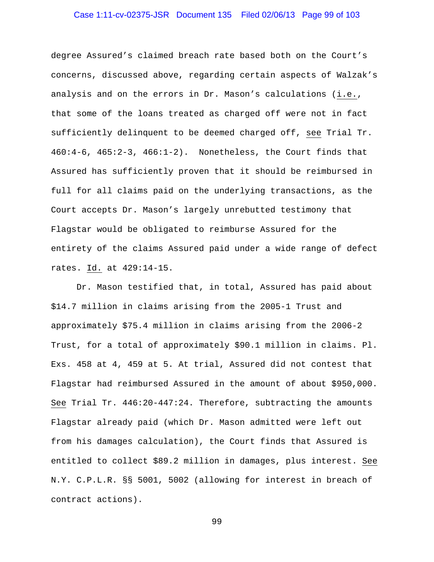# Case 1:11-cv-02375-JSR Document 135 Filed 02/06/13 Page 99 of 103

degree Assured's claimed breach rate based both on the Court's concerns, discussed above, regarding certain aspects of Walzak's analysis and on the errors in Dr. Mason's calculations (i.e., that some of the loans treated as charged off were not in fact sufficiently delinquent to be deemed charged off, see Trial Tr. 460:4-6, 465:2-3, 466:1-2). Nonetheless, the Court finds that Assured has sufficiently proven that it should be reimbursed in full for all claims paid on the underlying transactions, as the Court accepts Dr. Mason's largely unrebutted testimony that Flagstar would be obligated to reimburse Assured for the entirety of the claims Assured paid under a wide range of defect rates. Id. at 429:14-15.

Dr. Mason testified that, in total, Assured has paid about \$14.7 million in claims arising from the 2005-1 Trust and approximately \$75.4 million in claims arising from the 2006-2 Trust, for a total of approximately \$90.1 million in claims. Pl. Exs. 458 at 4, 459 at 5. At trial, Assured did not contest that Flagstar had reimbursed Assured in the amount of about \$950,000. See Trial Tr. 446:20-447:24. Therefore, subtracting the amounts Flagstar already paid (which Dr. Mason admitted were left out from his damages calculation), the Court finds that Assured is entitled to collect \$89.2 million in damages, plus interest. See N.Y. C.P.L.R. §§ 5001, 5002 (allowing for interest in breach of contract actions).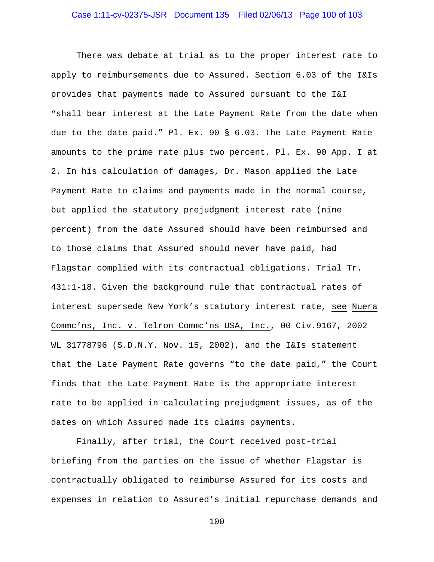There was debate at trial as to the proper interest rate to apply to reimbursements due to Assured. Section 6.03 of the I&Is provides that payments made to Assured pursuant to the I&I "shall bear interest at the Late Payment Rate from the date when due to the date paid." Pl. Ex. 90 § 6.03. The Late Payment Rate amounts to the prime rate plus two percent. Pl. Ex. 90 App. I at 2. In his calculation of damages, Dr. Mason applied the Late Payment Rate to claims and payments made in the normal course, but applied the statutory prejudgment interest rate (nine percent) from the date Assured should have been reimbursed and to those claims that Assured should never have paid, had Flagstar complied with its contractual obligations. Trial Tr. 431:1-18. Given the background rule that contractual rates of interest supersede New York's statutory interest rate, see Nuera Commc'ns, Inc. v. Telron Commc'ns USA, Inc., 00 Civ.9167, 2002 WL 31778796 (S.D.N.Y. Nov. 15, 2002), and the I&Is statement that the Late Payment Rate governs "to the date paid," the Court finds that the Late Payment Rate is the appropriate interest rate to be applied in calculating prejudgment issues, as of the dates on which Assured made its claims payments.

Finally, after trial, the Court received post-trial briefing from the parties on the issue of whether Flagstar is contractually obligated to reimburse Assured for its costs and expenses in relation to Assured's initial repurchase demands and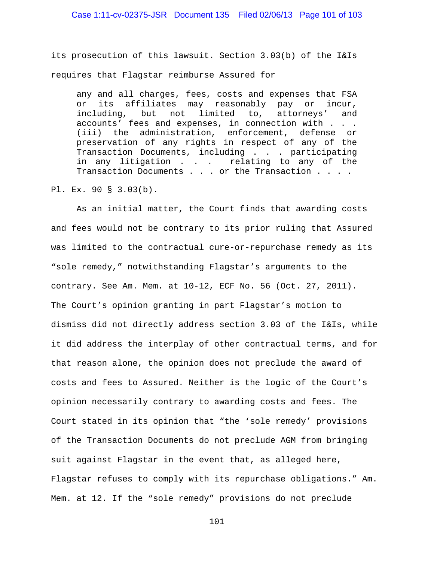# Case 1:11-cv-02375-JSR Document 135 Filed 02/06/13 Page 101 of 103

its prosecution of this lawsuit. Section 3.03(b) of the I&Is requires that Flagstar reimburse Assured for

any and all charges, fees, costs and expenses that FSA or its affiliates may reasonably pay or incur, including, but not limited to, attorneys' and accounts' fees and expenses, in connection with . . . (iii) the administration, enforcement, defense or preservation of any rights in respect of any of the Transaction Documents, including . . . participating in any litigation . . . relating to any of the Transaction Documents . . . or the Transaction . . . .

Pl. Ex. 90 § 3.03(b).

 As an initial matter, the Court finds that awarding costs and fees would not be contrary to its prior ruling that Assured was limited to the contractual cure-or-repurchase remedy as its "sole remedy," notwithstanding Flagstar's arguments to the contrary. See Am. Mem. at 10-12, ECF No. 56 (Oct. 27, 2011). The Court's opinion granting in part Flagstar's motion to dismiss did not directly address section 3.03 of the I&Is, while it did address the interplay of other contractual terms, and for that reason alone, the opinion does not preclude the award of costs and fees to Assured. Neither is the logic of the Court's opinion necessarily contrary to awarding costs and fees. The Court stated in its opinion that "the 'sole remedy' provisions of the Transaction Documents do not preclude AGM from bringing suit against Flagstar in the event that, as alleged here, Flagstar refuses to comply with its repurchase obligations." Am. Mem. at 12. If the "sole remedy" provisions do not preclude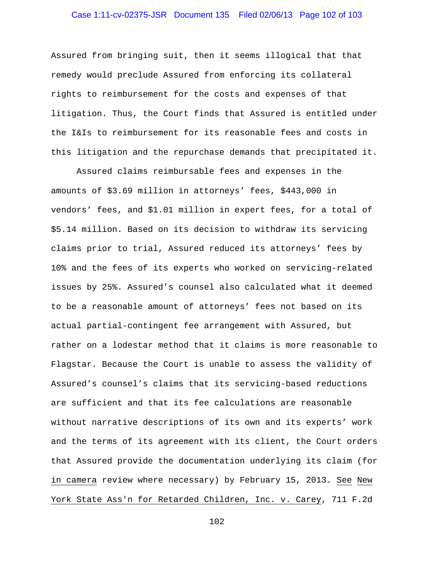# Case 1:11-cv-02375-JSR Document 135 Filed 02/06/13 Page 102 of 103

Assured from bringing suit, then it seems illogical that that remedy would preclude Assured from enforcing its collateral rights to reimbursement for the costs and expenses of that litigation. Thus, the Court finds that Assured is entitled under the I&Is to reimbursement for its reasonable fees and costs in this litigation and the repurchase demands that precipitated it.

Assured claims reimbursable fees and expenses in the amounts of \$3.69 million in attorneys' fees, \$443,000 in vendors' fees, and \$1.01 million in expert fees, for a total of \$5.14 million. Based on its decision to withdraw its servicing claims prior to trial, Assured reduced its attorneys' fees by 10% and the fees of its experts who worked on servicing-related issues by 25%. Assured's counsel also calculated what it deemed to be a reasonable amount of attorneys' fees not based on its actual partial-contingent fee arrangement with Assured, but rather on a lodestar method that it claims is more reasonable to Flagstar. Because the Court is unable to assess the validity of Assured's counsel's claims that its servicing-based reductions are sufficient and that its fee calculations are reasonable without narrative descriptions of its own and its experts' work and the terms of its agreement with its client, the Court orders that Assured provide the documentation underlying its claim (for in camera review where necessary) by February 15, 2013. See New York State Ass'n for Retarded Children, Inc. v. Carey, 711 F.2d